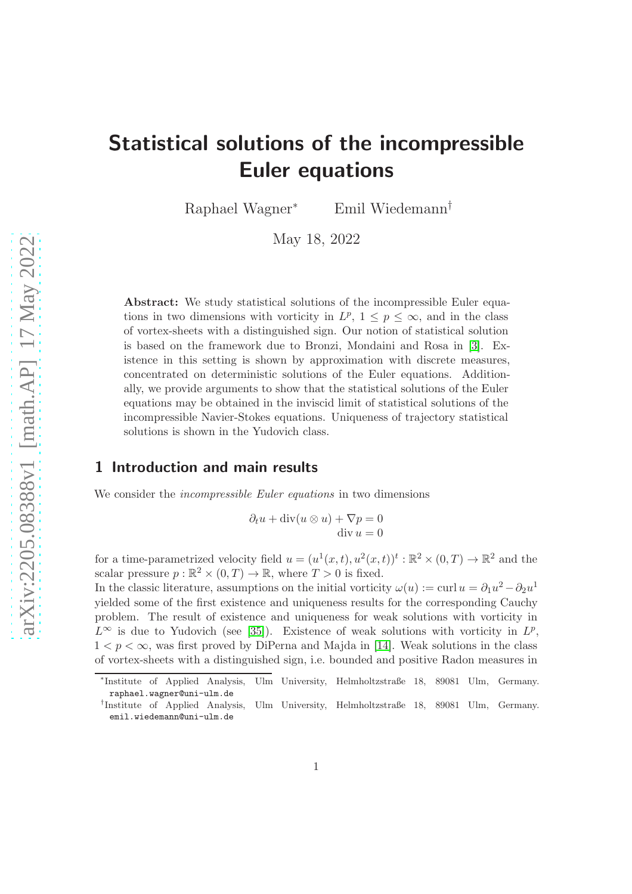# Statistical solutions of the incompressible Euler equations

Raphael Wagner<sup>∗</sup> Emil Wiedemann†

May 18, 2022

Abstract: We study statistical solutions of the incompressible Euler equations in two dimensions with vorticity in  $L^p$ ,  $1 \leq p \leq \infty$ , and in the class of vortex-sheets with a distinguished sign. Our notion of statistical solution is based on the framework due to Bronzi, Mondaini and Rosa in [\[3\]](#page-42-0). Existence in this setting is shown by approximation with discrete measures, concentrated on deterministic solutions of the Euler equations. Additionally, we provide arguments to show that the statistical solutions of the Euler equations may be obtained in the inviscid limit of statistical solutions of the incompressible Navier-Stokes equations. Uniqueness of trajectory statistical solutions is shown in the Yudovich class.

#### 1 Introduction and main results

We consider the *incompressible Euler equations* in two dimensions

$$
\partial_t u + \operatorname{div}(u \otimes u) + \nabla p = 0
$$
  
div  $u = 0$ 

for a time-parametrized velocity field  $u = (u^1(x,t), u^2(x,t))^t : \mathbb{R}^2 \times (0,T) \to \mathbb{R}^2$  and the scalar pressure  $p : \mathbb{R}^2 \times (0, T) \to \mathbb{R}$ , where  $T > 0$  is fixed.

In the classic literature, assumptions on the initial vorticity  $\omega(u) := \text{curl } u = \partial_1 u^2 - \partial_2 u^1$ yielded some of the first existence and uniqueness results for the corresponding Cauchy problem. The result of existence and uniqueness for weak solutions with vorticity in  $L^{\infty}$  is due to Yudovich (see [\[35\]](#page-45-0)). Existence of weak solutions with vorticity in  $L^p$ ,  $1 < p < \infty$ , was first proved by DiPerna and Majda in [\[14\]](#page-43-0). Weak solutions in the class of vortex-sheets with a distinguished sign, i.e. bounded and positive Radon measures in

<sup>\*</sup>Institute of Applied Analysis, Ulm University, Helmholtzstraße 18, 89081 Ulm, Germany. raphael.wagner@uni-ulm.de

<sup>†</sup> Institute of Applied Analysis, Ulm University, Helmholtzstraße 18, 89081 Ulm, Germany. emil.wiedemann@uni-ulm.de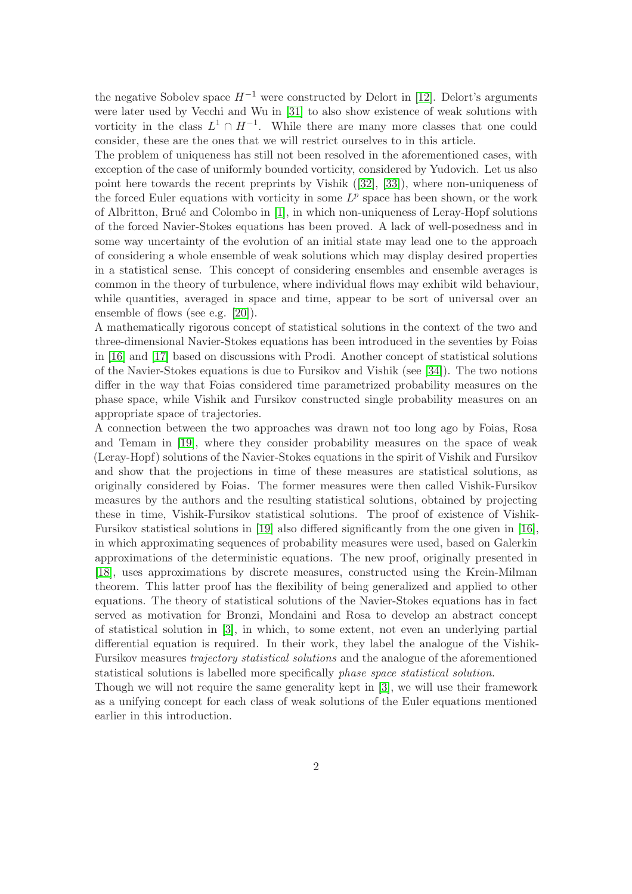the negative Sobolev space  $H^{-1}$  were constructed by Delort in [\[12\]](#page-43-1). Delort's arguments were later used by Vecchi and Wu in [\[31\]](#page-44-0) to also show existence of weak solutions with vorticity in the class  $L^1 \cap H^{-1}$ . While there are many more classes that one could consider, these are the ones that we will restrict ourselves to in this article.

The problem of uniqueness has still not been resolved in the aforementioned cases, with exception of the case of uniformly bounded vorticity, considered by Yudovich. Let us also point here towards the recent preprints by Vishik ([\[32\]](#page-44-1), [\[33\]](#page-44-2)), where non-uniqueness of the forced Euler equations with vorticity in some  $L^p$  space has been shown, or the work of Albritton, Brué and Colombo in  $[1]$ , in which non-uniqueness of Leray-Hopf solutions of the forced Navier-Stokes equations has been proved. A lack of well-posedness and in some way uncertainty of the evolution of an initial state may lead one to the approach of considering a whole ensemble of weak solutions which may display desired properties in a statistical sense. This concept of considering ensembles and ensemble averages is common in the theory of turbulence, where individual flows may exhibit wild behaviour, while quantities, averaged in space and time, appear to be sort of universal over an ensemble of flows (see e.g. [\[20\]](#page-44-3)).

A mathematically rigorous concept of statistical solutions in the context of the two and three-dimensional Navier-Stokes equations has been introduced in the seventies by Foias in [\[16\]](#page-43-2) and [\[17\]](#page-43-3) based on discussions with Prodi. Another concept of statistical solutions of the Navier-Stokes equations is due to Fursikov and Vishik (see [\[34\]](#page-44-4)). The two notions differ in the way that Foias considered time parametrized probability measures on the phase space, while Vishik and Fursikov constructed single probability measures on an appropriate space of trajectories.

A connection between the two approaches was drawn not too long ago by Foias, Rosa and Temam in [\[19\]](#page-43-4), where they consider probability measures on the space of weak (Leray-Hopf) solutions of the Navier-Stokes equations in the spirit of Vishik and Fursikov and show that the projections in time of these measures are statistical solutions, as originally considered by Foias. The former measures were then called Vishik-Fursikov measures by the authors and the resulting statistical solutions, obtained by projecting these in time, Vishik-Fursikov statistical solutions. The proof of existence of Vishik-Fursikov statistical solutions in [\[19\]](#page-43-4) also differed significantly from the one given in [\[16\]](#page-43-2), in which approximating sequences of probability measures were used, based on Galerkin approximations of the deterministic equations. The new proof, originally presented in [\[18\]](#page-43-5), uses approximations by discrete measures, constructed using the Krein-Milman theorem. This latter proof has the flexibility of being generalized and applied to other equations. The theory of statistical solutions of the Navier-Stokes equations has in fact served as motivation for Bronzi, Mondaini and Rosa to develop an abstract concept of statistical solution in [\[3\]](#page-42-0), in which, to some extent, not even an underlying partial differential equation is required. In their work, they label the analogue of the Vishik-Fursikov measures trajectory statistical solutions and the analogue of the aforementioned statistical solutions is labelled more specifically phase space statistical solution.

Though we will not require the same generality kept in [\[3\]](#page-42-0), we will use their framework as a unifying concept for each class of weak solutions of the Euler equations mentioned earlier in this introduction.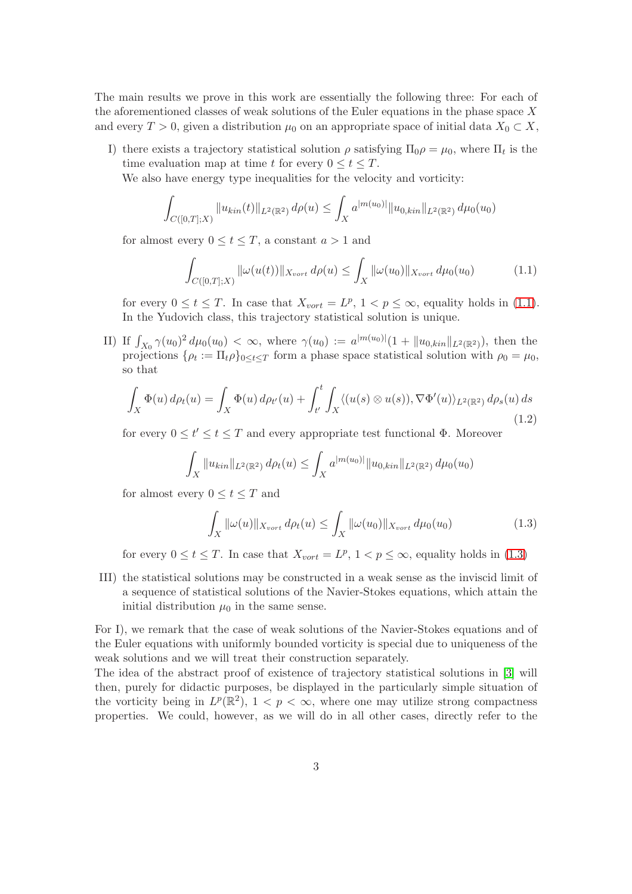The main results we prove in this work are essentially the following three: For each of the aforementioned classes of weak solutions of the Euler equations in the phase space  $X$ and every  $T > 0$ , given a distribution  $\mu_0$  on an appropriate space of initial data  $X_0 \subset X$ ,

I) there exists a trajectory statistical solution  $\rho$  satisfying  $\Pi_0 \rho = \mu_0$ , where  $\Pi_t$  is the time evaluation map at time t for every  $0 \le t \le T$ .

We also have energy type inequalities for the velocity and vorticity:

$$
\int_{C([0,T];X)} \|u_{kin}(t)\|_{L^2(\mathbb{R}^2)} d\rho(u) \le \int_X a^{|m(u_0)|} \|u_{0,kin}\|_{L^2(\mathbb{R}^2)} d\mu_0(u_0)
$$

for almost every  $0 \le t \le T$ , a constant  $a > 1$  and

<span id="page-2-0"></span>
$$
\int_{C([0,T];X)} \|\omega(u(t))\|_{X_{vort}} d\rho(u) \le \int_X \|\omega(u_0)\|_{X_{vort}} d\mu_0(u_0) \tag{1.1}
$$

for every  $0 \le t \le T$ . In case that  $X_{vort} = L^p$ ,  $1 < p \le \infty$ , equality holds in [\(1.1\)](#page-2-0). In the Yudovich class, this trajectory statistical solution is unique.

II) If  $\int_{X_0} \gamma(u_0)^2 d\mu_0(u_0) < \infty$ , where  $\gamma(u_0) := a^{|m(u_0)|} (1 + \|u_{0,kin}\|_{L^2(\mathbb{R}^2)})$ , then the projections  $\{\rho_t := \Pi_t \rho\}_{0 \le t \le T}$  form a phase space statistical solution with  $\rho_0 = \mu_0$ , so that

<span id="page-2-2"></span>
$$
\int_X \Phi(u) d\rho_t(u) = \int_X \Phi(u) d\rho_{t'}(u) + \int_{t'}^t \int_X \langle (u(s) \otimes u(s)), \nabla \Phi'(u) \rangle_{L^2(\mathbb{R}^2)} d\rho_s(u) ds
$$
\n(1.2)

for every  $0 \le t' \le T$  and every appropriate test functional  $\Phi$ . Moreover

$$
\int_X \|u_{kin}\|_{L^2(\mathbb{R}^2)} d\rho_t(u) \le \int_X a^{|m(u_0)|} \|u_{0,kin}\|_{L^2(\mathbb{R}^2)} d\mu_0(u_0)
$$

for almost every  $0 \le t \le T$  and

<span id="page-2-1"></span>
$$
\int_{X} \|\omega(u)\|_{X_{vort}} d\rho_t(u) \le \int_{X} \|\omega(u_0)\|_{X_{vort}} d\mu_0(u_0)
$$
\n(1.3)

for every  $0 \le t \le T$ . In case that  $X_{vort} = L^p$ ,  $1 < p \le \infty$ , equality holds in [\(1.3\)](#page-2-1)

III) the statistical solutions may be constructed in a weak sense as the inviscid limit of a sequence of statistical solutions of the Navier-Stokes equations, which attain the initial distribution  $\mu_0$  in the same sense.

For I), we remark that the case of weak solutions of the Navier-Stokes equations and of the Euler equations with uniformly bounded vorticity is special due to uniqueness of the weak solutions and we will treat their construction separately.

The idea of the abstract proof of existence of trajectory statistical solutions in [\[3\]](#page-42-0) will then, purely for didactic purposes, be displayed in the particularly simple situation of the vorticity being in  $L^p(\mathbb{R}^2)$ ,  $1 < p < \infty$ , where one may utilize strong compactness properties. We could, however, as we will do in all other cases, directly refer to the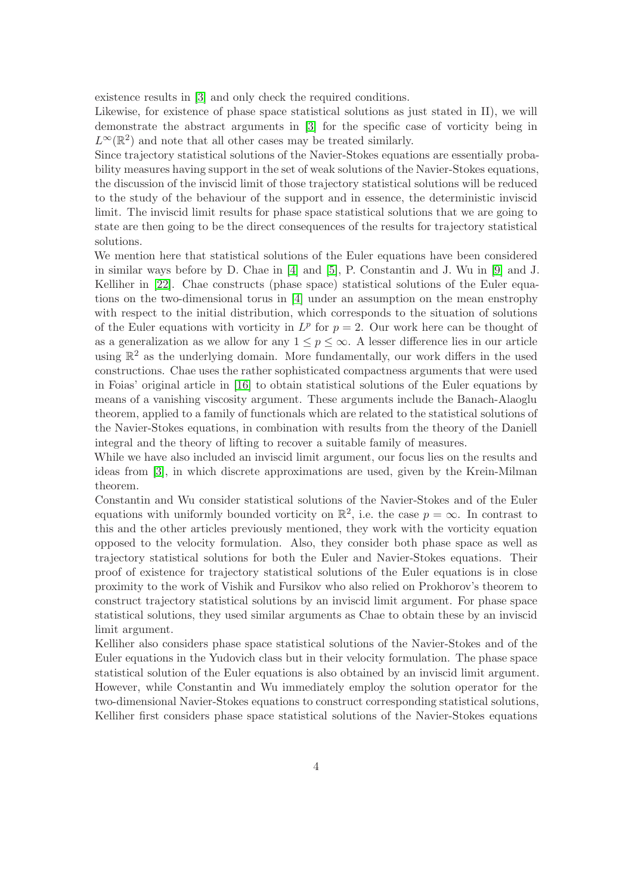existence results in [\[3\]](#page-42-0) and only check the required conditions.

Likewise, for existence of phase space statistical solutions as just stated in II), we will demonstrate the abstract arguments in [\[3\]](#page-42-0) for the specific case of vorticity being in  $L^{\infty}(\mathbb{R}^2)$  and note that all other cases may be treated similarly.

Since trajectory statistical solutions of the Navier-Stokes equations are essentially probability measures having support in the set of weak solutions of the Navier-Stokes equations, the discussion of the inviscid limit of those trajectory statistical solutions will be reduced to the study of the behaviour of the support and in essence, the deterministic inviscid limit. The inviscid limit results for phase space statistical solutions that we are going to state are then going to be the direct consequences of the results for trajectory statistical solutions.

We mention here that statistical solutions of the Euler equations have been considered in similar ways before by D. Chae in [\[4\]](#page-42-2) and [\[5\]](#page-42-3), P. Constantin and J. Wu in [\[9\]](#page-43-6) and J. Kelliher in [\[22\]](#page-44-5). Chae constructs (phase space) statistical solutions of the Euler equations on the two-dimensional torus in [\[4\]](#page-42-2) under an assumption on the mean enstrophy with respect to the initial distribution, which corresponds to the situation of solutions of the Euler equations with vorticity in  $L^p$  for  $p = 2$ . Our work here can be thought of as a generalization as we allow for any  $1 \leq p \leq \infty$ . A lesser difference lies in our article using  $\mathbb{R}^2$  as the underlying domain. More fundamentally, our work differs in the used constructions. Chae uses the rather sophisticated compactness arguments that were used in Foias' original article in [\[16\]](#page-43-2) to obtain statistical solutions of the Euler equations by means of a vanishing viscosity argument. These arguments include the Banach-Alaoglu theorem, applied to a family of functionals which are related to the statistical solutions of the Navier-Stokes equations, in combination with results from the theory of the Daniell integral and the theory of lifting to recover a suitable family of measures.

While we have also included an inviscid limit argument, our focus lies on the results and ideas from [\[3\]](#page-42-0), in which discrete approximations are used, given by the Krein-Milman theorem.

Constantin and Wu consider statistical solutions of the Navier-Stokes and of the Euler equations with uniformly bounded vorticity on  $\mathbb{R}^2$ , i.e. the case  $p = \infty$ . In contrast to this and the other articles previously mentioned, they work with the vorticity equation opposed to the velocity formulation. Also, they consider both phase space as well as trajectory statistical solutions for both the Euler and Navier-Stokes equations. Their proof of existence for trajectory statistical solutions of the Euler equations is in close proximity to the work of Vishik and Fursikov who also relied on Prokhorov's theorem to construct trajectory statistical solutions by an inviscid limit argument. For phase space statistical solutions, they used similar arguments as Chae to obtain these by an inviscid limit argument.

Kelliher also considers phase space statistical solutions of the Navier-Stokes and of the Euler equations in the Yudovich class but in their velocity formulation. The phase space statistical solution of the Euler equations is also obtained by an inviscid limit argument. However, while Constantin and Wu immediately employ the solution operator for the two-dimensional Navier-Stokes equations to construct corresponding statistical solutions, Kelliher first considers phase space statistical solutions of the Navier-Stokes equations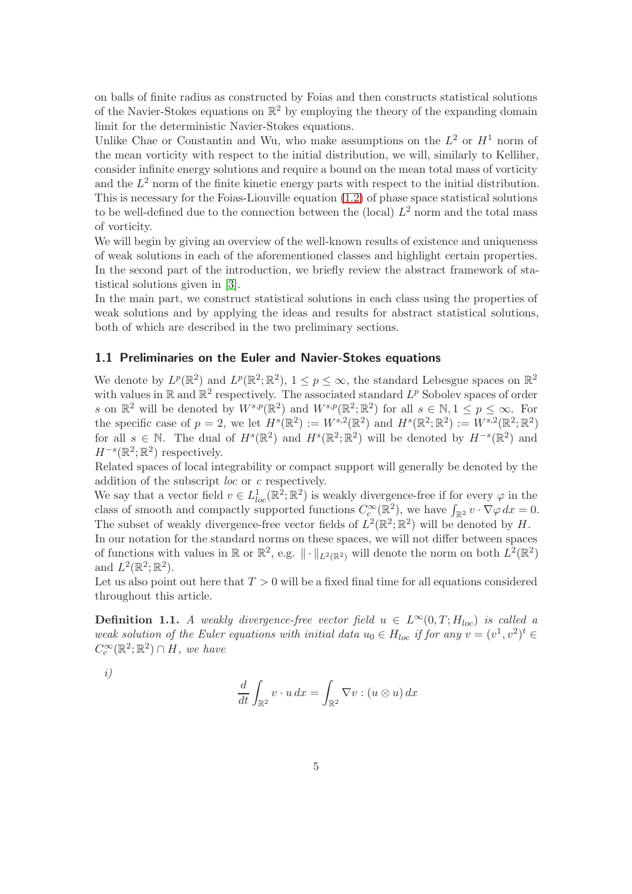on balls of finite radius as constructed by Foias and then constructs statistical solutions of the Navier-Stokes equations on  $\mathbb{R}^2$  by employing the theory of the expanding domain limit for the deterministic Navier-Stokes equations.

Unlike Chae or Constantin and Wu, who make assumptions on the  $L^2$  or  $H^1$  norm of the mean vorticity with respect to the initial distribution, we will, similarly to Kelliher, consider infinite energy solutions and require a bound on the mean total mass of vorticity and the  $L^2$  norm of the finite kinetic energy parts with respect to the initial distribution. This is necessary for the Foias-Liouville equation [\(1.2\)](#page-2-2) of phase space statistical solutions to be well-defined due to the connection between the (local)  $L^2$  norm and the total mass of vorticity.

We will begin by giving an overview of the well-known results of existence and uniqueness of weak solutions in each of the aforementioned classes and highlight certain properties. In the second part of the introduction, we briefly review the abstract framework of statistical solutions given in [\[3\]](#page-42-0).

In the main part, we construct statistical solutions in each class using the properties of weak solutions and by applying the ideas and results for abstract statistical solutions, both of which are described in the two preliminary sections.

#### <span id="page-4-1"></span>1.1 Preliminaries on the Euler and Navier-Stokes equations

We denote by  $L^p(\mathbb{R}^2)$  and  $L^p(\mathbb{R}^2;\mathbb{R}^2)$ ,  $1 \leq p \leq \infty$ , the standard Lebesgue spaces on  $\mathbb{R}^2$ with values in  $\mathbb R$  and  $\mathbb R^2$  respectively. The associated standard  $L^p$  Sobolev spaces of order s on  $\mathbb{R}^2$  will be denoted by  $W^{s,p}(\mathbb{R}^2)$  and  $W^{s,p}(\mathbb{R}^2;\mathbb{R}^2)$  for all  $s \in \mathbb{N}, 1 \le p \le \infty$ . For the specific case of  $p=2$ , we let  $H<sup>s</sup>(\mathbb{R}<sup>2</sup>) := W<sup>s,2</sup>(\mathbb{R}<sup>2</sup>)$  and  $H<sup>s</sup>(\mathbb{R}<sup>2</sup>; \mathbb{R}<sup>2</sup>) := W<sup>s,2</sup>(\mathbb{R}<sup>2</sup>; \mathbb{R}<sup>2</sup>)$ for all  $s \in \mathbb{N}$ . The dual of  $H^s(\mathbb{R}^2)$  and  $H^s(\mathbb{R}^2;\mathbb{R}^2)$  will be denoted by  $H^{-s}(\mathbb{R}^2)$  and  $H^{-s}(\mathbb{R}^2;\mathbb{R}^2)$  respectively.

Related spaces of local integrability or compact support will generally be denoted by the addition of the subscript loc or c respectively.

We say that a vector field  $v \in L^1_{loc}(\mathbb{R}^2;\mathbb{R}^2)$  is weakly divergence-free if for every  $\varphi$  in the class of smooth and compactly supported functions  $C_c^{\infty}(\mathbb{R}^2)$ , we have  $\int_{\mathbb{R}^2} v \cdot \nabla \varphi \, dx = 0$ . The subset of weakly divergence-free vector fields of  $L^2(\mathbb{R}^2;\mathbb{R}^2)$  will be denoted by H.

In our notation for the standard norms on these spaces, we will not differ between spaces of functions with values in  $\mathbb{R}$  or  $\mathbb{R}^2$ , e.g.  $\|\cdot\|_{L^2(\mathbb{R}^2)}$  will denote the norm on both  $L^2(\mathbb{R}^2)$ and  $L^2(\mathbb{R}^2;\mathbb{R}^2)$ .

<span id="page-4-0"></span>Let us also point out here that  $T > 0$  will be a fixed final time for all equations considered throughout this article.

**Definition 1.1.** A weakly divergence-free vector field  $u \in L^{\infty}(0,T;H_{loc})$  is called a weak solution of the Euler equations with initial data  $u_0 \in H_{loc}$  if for any  $v = (v^1, v^2)^t \in$  $C_c^{\infty}(\mathbb{R}^2;\mathbb{R}^2) \cap H$ , we have

$$
i)
$$

$$
\frac{d}{dt} \int_{\mathbb{R}^2} v \cdot u \, dx = \int_{\mathbb{R}^2} \nabla v : (u \otimes u) \, dx
$$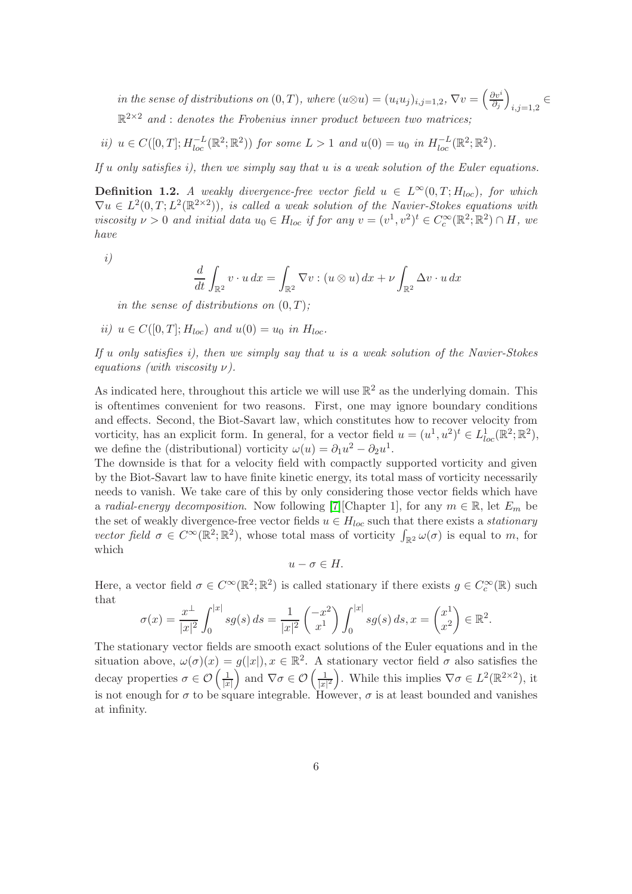in the sense of distributions on  $(0,T)$ , where  $(u \otimes u) = (u_i u_j)_{i,j=1,2}$ ,  $\nabla v = \left(\frac{\partial v^i}{\partial_j}\right)$  $\partial_j$  $\setminus$  $_{i,j=1,2}$  $\mathbb{R}^{2\times 2}$  and : denotes the Frobenius inner product between two matrices;

ii)  $u \in C([0,T]; H_{loc}^{-L}(\mathbb{R}^2; \mathbb{R}^2))$  for some  $L > 1$  and  $u(0) = u_0$  in  $H_{loc}^{-L}(\mathbb{R}^2; \mathbb{R}^2)$ .

<span id="page-5-0"></span>If  $u$  only satisfies i), then we simply say that  $u$  is a weak solution of the Euler equations.

**Definition 1.2.** A weakly divergence-free vector field  $u \in L^{\infty}(0,T;H_{loc})$ , for which  $\nabla u \in L^2(0,T; L^2(\mathbb{R}^{2\times2}))$ , is called a weak solution of the Navier-Stokes equations with viscosity  $\nu > 0$  and initial data  $u_0 \in H_{loc}$  if for any  $v = (v^1, v^2)^t \in C_c^{\infty}(\mathbb{R}^2; \mathbb{R}^2) \cap H$ , we have

i)

$$
\frac{d}{dt} \int_{\mathbb{R}^2} v \cdot u \, dx = \int_{\mathbb{R}^2} \nabla v : (u \otimes u) \, dx + \nu \int_{\mathbb{R}^2} \Delta v \cdot u \, dx
$$

in the sense of distributions on  $(0, T)$ ;

ii)  $u \in C([0, T]; H_{loc})$  and  $u(0) = u_0$  in  $H_{loc}$ .

If u only satisfies i), then we simply say that  $u$  is a weak solution of the Navier-Stokes equations (with viscosity  $\nu$ ).

As indicated here, throughout this article we will use  $\mathbb{R}^2$  as the underlying domain. This is oftentimes convenient for two reasons. First, one may ignore boundary conditions and effects. Second, the Biot-Savart law, which constitutes how to recover velocity from vorticity, has an explicit form. In general, for a vector field  $u = (u^1, u^2)^t \in L^1_{loc}(\mathbb{R}^2; \mathbb{R}^2)$ , we define the (distributional) vorticity  $\omega(u) = \partial_1 u^2 - \partial_2 u^1$ .

The downside is that for a velocity field with compactly supported vorticity and given by the Biot-Savart law to have finite kinetic energy, its total mass of vorticity necessarily needs to vanish. We take care of this by only considering those vector fields which have a radial-energy decomposition. Now following [\[7\]](#page-43-7)[Chapter 1], for any  $m \in \mathbb{R}$ , let  $E_m$  be the set of weakly divergence-free vector fields  $u \in H_{loc}$  such that there exists a *stationary* vector field  $\sigma \in C^{\infty}(\mathbb{R}^2; \mathbb{R}^2)$ , whose total mass of vorticity  $\int_{\mathbb{R}^2} \omega(\sigma)$  is equal to m, for which

$$
u-\sigma\in H.
$$

Here, a vector field  $\sigma \in C^{\infty}(\mathbb{R}^2; \mathbb{R}^2)$  is called stationary if there exists  $g \in C_c^{\infty}(\mathbb{R})$  such that

$$
\sigma(x) = \frac{x^{\perp}}{|x|^2} \int_0^{|x|} s g(s) \, ds = \frac{1}{|x|^2} \begin{pmatrix} -x^2 \\ x^1 \end{pmatrix} \int_0^{|x|} s g(s) \, ds, x = \begin{pmatrix} x^1 \\ x^2 \end{pmatrix} \in \mathbb{R}^2.
$$

The stationary vector fields are smooth exact solutions of the Euler equations and in the situation above,  $\omega(\sigma)(x) = g(|x|), x \in \mathbb{R}^2$ . A stationary vector field  $\sigma$  also satisfies the decay properties  $\sigma \in \mathcal{O}\left(\frac{1}{|x|}\right)$  $|x|$ ) and  $\nabla \sigma \in \mathcal{O}\left(\frac{1}{|x|}\right)$  $\frac{1}{|x|^2}$ . While this implies  $\nabla \sigma \in L^2(\mathbb{R}^{2 \times 2})$ , it is not enough for  $\sigma$  to be square integrable. However,  $\sigma$  is at least bounded and vanishes at infinity.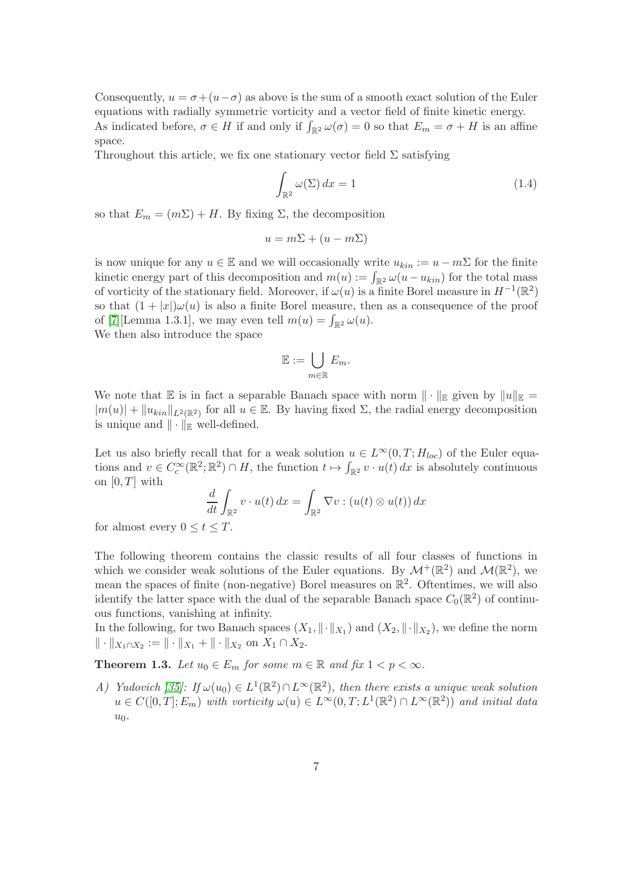Consequently,  $u = \sigma + (u - \sigma)$  as above is the sum of a smooth exact solution of the Euler equations with radially symmetric vorticity and a vector field of finite kinetic energy. As indicated before,  $\sigma \in H$  if and only if  $\int_{\mathbb{R}^2} \omega(\sigma) = 0$  so that  $E_m = \sigma + H$  is an affine space.

Throughout this article, we fix one stationary vector field  $\Sigma$  satisfying

<span id="page-6-1"></span>
$$
\int_{\mathbb{R}^2} \omega(\Sigma) dx = 1 \tag{1.4}
$$

so that  $E_m = (m\Sigma) + H$ . By fixing  $\Sigma$ , the decomposition

$$
u = m\Sigma + (u - m\Sigma)
$$

is now unique for any  $u \in \mathbb{E}$  and we will occasionally write  $u_{kin} := u - m\Sigma$  for the finite kinetic energy part of this decomposition and  $m(u) := \int_{\mathbb{R}^2} \omega(u - u_{kin})$  for the total mass of vorticity of the stationary field. Moreover, if  $\omega(u)$  is a finite Borel measure in  $H^{-1}(\mathbb{R}^2)$ so that  $(1+|x|)\omega(u)$  is also a finite Borel measure, then as a consequence of the proof of [\[7\]](#page-43-7) [Lemma 1.3.1], we may even tell  $m(u) = \int_{\mathbb{R}^2} \omega(u)$ .

We then also introduce the space

$$
\mathbb{E}:=\bigcup_{m\in\mathbb{R}}E_m.
$$

We note that E is in fact a separable Banach space with norm  $\|\cdot\|_{\mathbb{E}}$  given by  $\|u\|_{\mathbb{E}} =$  $|m(u)| + ||u_{kin}||_{L^2(\mathbb{R}^2)}$  for all  $u \in \mathbb{E}$ . By having fixed  $\Sigma$ , the radial energy decomposition is unique and  $\|\cdot\|_{\mathbb{R}}$  well-defined.

Let us also briefly recall that for a weak solution  $u \in L^{\infty}(0,T;H_{loc})$  of the Euler equations and  $v \in C_c^{\infty}(\mathbb{R}^2; \mathbb{R}^2) \cap H$ , the function  $t \mapsto \int_{\mathbb{R}^2} v \cdot u(t) dx$  is absolutely continuous on  $[0, T]$  with

$$
\frac{d}{dt} \int_{\mathbb{R}^2} v \cdot u(t) \, dx = \int_{\mathbb{R}^2} \nabla v : (u(t) \otimes u(t)) \, dx
$$

for almost every  $0 \le t \le T$ .

The following theorem contains the classic results of all four classes of functions in which we consider weak solutions of the Euler equations. By  $\mathcal{M}^+(\mathbb{R}^2)$  and  $\mathcal{M}(\mathbb{R}^2)$ , we mean the spaces of finite (non-negative) Borel measures on  $\mathbb{R}^2$ . Oftentimes, we will also identify the latter space with the dual of the separable Banach space  $C_0(\mathbb{R}^2)$  of continuous functions, vanishing at infinity.

<span id="page-6-0"></span>In the following, for two Banach spaces  $(X_1, \|\cdot\|_{X_1})$  and  $(X_2, \|\cdot\|_{X_2})$ , we define the norm  $\| \cdot \|_{X_1 \cap X_2} := \| \cdot \|_{X_1} + \| \cdot \|_{X_2}$  on  $X_1 \cap X_2$ .

**Theorem 1.3.** Let  $u_0 \in E_m$  for some  $m \in \mathbb{R}$  and fix  $1 < p < \infty$ .

A) Yudovich [\[35\]](#page-45-0): If  $\omega(u_0) \in L^1(\mathbb{R}^2) \cap L^{\infty}(\mathbb{R}^2)$ , then there exists a unique weak solution  $u \in C([0,T]; E_m)$  with vorticity  $\omega(u) \in L^{\infty}(0,T; L^1(\mathbb{R}^2) \cap L^{\infty}(\mathbb{R}^2))$  and initial data  $u_0$ .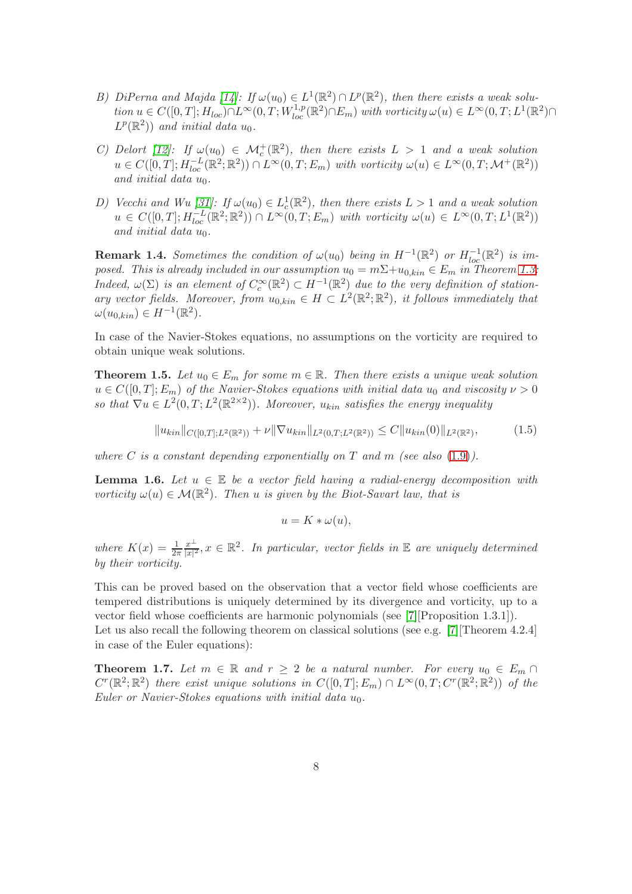- B) DiPerna and Majda [\[14\]](#page-43-0): If  $\omega(u_0) \in L^1(\mathbb{R}^2) \cap L^p(\mathbb{R}^2)$ , then there exists a weak solution  $u \in C([0, T]; H_{loc}) \cap L^{\infty}(0, T; W_{loc}^{1,p}(\mathbb{R}^2) \cap E_m)$  with vorticity  $\omega(u) \in L^{\infty}(0, T; L^{1}(\mathbb{R}^2) \cap$  $L^p(\mathbb{R}^2)$  and initial data  $u_0$ .
- C) Delort [\[12\]](#page-43-1): If  $\omega(u_0) \in \mathcal{M}_c^+(\mathbb{R}^2)$ , then there exists  $L > 1$  and a weak solution  $u \in C([0,T]; H^{-L}_{loc}(\mathbb{R}^2; \mathbb{R}^2)) \cap L^{\infty}(0,T; E_m)$  with vorticity  $\omega(u) \in L^{\infty}(0,T; \mathcal{M}^+(\mathbb{R}^2))$ and initial data  $u_0$ .
- D) Vecchi and Wu [\[31\]](#page-44-0): If  $\omega(u_0) \in L_c^1(\mathbb{R}^2)$ , then there exists  $L > 1$  and a weak solution  $u \in C([0,T]; H^{-L}_{loc}(\mathbb{R}^2; \mathbb{R}^2)) \cap L^{\infty}(0,T; E_m)$  with vorticity  $\omega(u) \in L^{\infty}(0,T; L^1(\mathbb{R}^2))$ and initial data  $u_0$ .

<span id="page-7-1"></span>**Remark 1.4.** Sometimes the condition of  $\omega(u_0)$  being in  $H^{-1}(\mathbb{R}^2)$  or  $H^{-1}_{loc}(\mathbb{R}^2)$  is imposed. This is already included in our assumption  $u_0 = m\sum + u_{0,kin} \in E_m$  in Theorem [1.3:](#page-6-0) Indeed,  $\omega(\Sigma)$  is an element of  $C_c^{\infty}(\mathbb{R}^2) \subset H^{-1}(\mathbb{R}^2)$  due to the very definition of stationary vector fields. Moreover, from  $u_{0,kin} \in H \subset L^2(\mathbb{R}^2;\mathbb{R}^2)$ , it follows immediately that  $\omega(u_{0,kin}) \in H^{-1}(\mathbb{R}^2).$ 

<span id="page-7-3"></span>In case of the Navier-Stokes equations, no assumptions on the vorticity are required to obtain unique weak solutions.

**Theorem 1.5.** Let  $u_0 \in E_m$  for some  $m \in \mathbb{R}$ . Then there exists a unique weak solution  $u \in C([0,T]; E_m)$  of the Navier-Stokes equations with initial data  $u_0$  and viscosity  $\nu > 0$ so that  $\nabla u \in L^2(0,T; L^2(\mathbb{R}^{2\times 2}))$ . Moreover,  $u_{kin}$  satisfies the energy inequality

$$
||u_{kin}||_{C([0,T];L^2(\mathbb{R}^2))} + \nu ||\nabla u_{kin}||_{L^2(0,T;L^2(\mathbb{R}^2))} \leq C ||u_{kin}(0)||_{L^2(\mathbb{R}^2)},\tag{1.5}
$$

<span id="page-7-4"></span>where C is a constant depending exponentially on T and m (see also  $(1.9)$ ).

**Lemma 1.6.** Let  $u \in \mathbb{E}$  be a vector field having a radial-energy decomposition with vorticity  $\omega(u) \in \mathcal{M}(\mathbb{R}^2)$ . Then u is given by the Biot-Savart law, that is

<span id="page-7-0"></span>
$$
u=K*\omega(u),
$$

where  $K(x) = \frac{1}{2\pi}$  $x^{\perp}$  $\frac{x^{\perp}}{|x|^2}$ ,  $x \in \mathbb{R}^2$ . In particular, vector fields in  $\mathbb E$  are uniquely determined by their vorticity.

This can be proved based on the observation that a vector field whose coefficients are tempered distributions is uniquely determined by its divergence and vorticity, up to a vector field whose coefficients are harmonic polynomials (see [\[7\]](#page-43-7)[Proposition 1.3.1]). Let us also recall the following theorem on classical solutions (see e.g. [\[7\]](#page-43-7)[Theorem 4.2.4] in case of the Euler equations):

<span id="page-7-2"></span>**Theorem 1.7.** Let  $m \in \mathbb{R}$  and  $r \geq 2$  be a natural number. For every  $u_0 \in E_m \cap$  $C^{r}(\mathbb{R}^2;\mathbb{R}^2)$  there exist unique solutions in  $C([0,T];E_m) \cap L^{\infty}(0,T;C^{r}(\mathbb{R}^2;\mathbb{R}^2))$  of the Euler or Navier-Stokes equations with initial data  $u_0$ .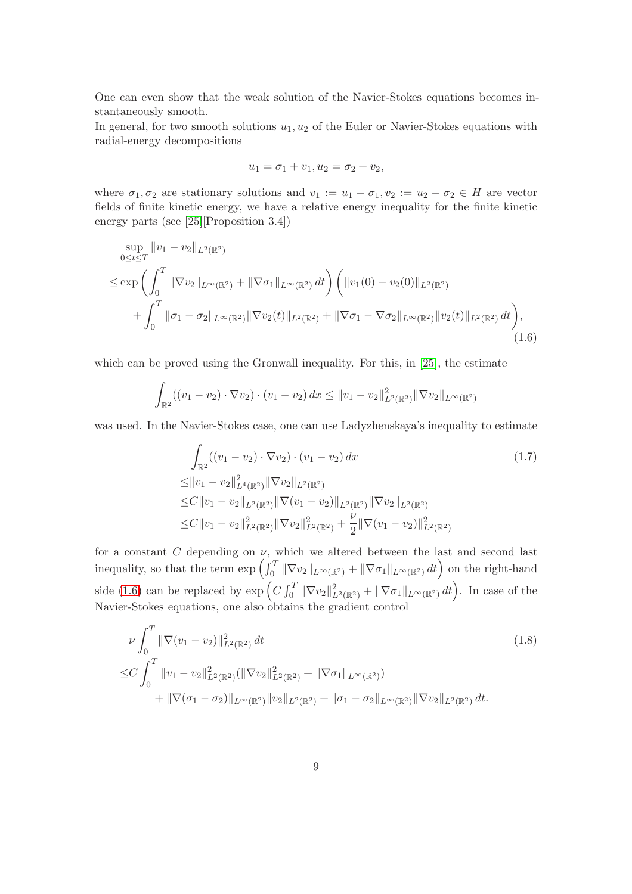One can even show that the weak solution of the Navier-Stokes equations becomes instantaneously smooth.

In general, for two smooth solutions  $u_1, u_2$  of the Euler or Navier-Stokes equations with radial-energy decompositions

<span id="page-8-0"></span>
$$
u_1 = \sigma_1 + v_1, u_2 = \sigma_2 + v_2,
$$

where  $\sigma_1, \sigma_2$  are stationary solutions and  $v_1 := u_1 - \sigma_1, v_2 := u_2 - \sigma_2 \in H$  are vector fields of finite kinetic energy, we have a relative energy inequality for the finite kinetic energy parts (see [\[25\]](#page-44-6)[Proposition 3.4])

$$
\sup_{0 \le t \le T} ||v_1 - v_2||_{L^2(\mathbb{R}^2)}\n\le \exp\left(\int_0^T ||\nabla v_2||_{L^{\infty}(\mathbb{R}^2)} + ||\nabla \sigma_1||_{L^{\infty}(\mathbb{R}^2)} dt\right) \left(||v_1(0) - v_2(0)||_{L^2(\mathbb{R}^2)}\right)\n+ \int_0^T ||\sigma_1 - \sigma_2||_{L^{\infty}(\mathbb{R}^2)} ||\nabla v_2(t)||_{L^2(\mathbb{R}^2)} + ||\nabla \sigma_1 - \nabla \sigma_2||_{L^{\infty}(\mathbb{R}^2)} ||v_2(t)||_{L^2(\mathbb{R}^2)} dt\right),
$$
\n(1.6)

which can be proved using the Gronwall inequality. For this, in [\[25\]](#page-44-6), the estimate

$$
\int_{\mathbb{R}^2} ((v_1 - v_2) \cdot \nabla v_2) \cdot (v_1 - v_2) \, dx \le ||v_1 - v_2||_{L^2(\mathbb{R}^2)}^2 ||\nabla v_2||_{L^\infty(\mathbb{R}^2)}
$$

was used. In the Navier-Stokes case, one can use Ladyzhenskaya's inequality to estimate

<span id="page-8-2"></span><span id="page-8-1"></span>
$$
\int_{\mathbb{R}^2} ((v_1 - v_2) \cdot \nabla v_2) \cdot (v_1 - v_2) dx
$$
\n
$$
\leq ||v_1 - v_2||_{L^4(\mathbb{R}^2)}^2 ||\nabla v_2||_{L^2(\mathbb{R}^2)}
$$
\n
$$
\leq C ||v_1 - v_2||_{L^2(\mathbb{R}^2)} ||\nabla (v_1 - v_2)||_{L^2(\mathbb{R}^2)} ||\nabla v_2||_{L^2(\mathbb{R}^2)}
$$
\n
$$
\leq C ||v_1 - v_2||_{L^2(\mathbb{R}^2)}^2 ||\nabla v_2||_{L^2(\mathbb{R}^2)}^2 + \frac{\nu}{2} ||\nabla (v_1 - v_2)||_{L^2(\mathbb{R}^2)}^2
$$
\n(1.7)

for a constant C depending on  $\nu$ , which we altered between the last and second last inequality, so that the term  $\exp\left(\int_0^T \|\nabla v_2\|_{L^\infty(\mathbb{R}^2)} + \|\nabla \sigma_1\|_{L^\infty(\mathbb{R}^2)} dt\right)$  on the right-hand side [\(1.6\)](#page-8-0) can be replaced by  $\exp\left(C \int_0^T \|\nabla v_2\|_{L^2(\mathbb{R}^2)}^2 + \|\nabla \sigma_1\|_{L^\infty(\mathbb{R}^2)} dt\right)$ . In case of the Navier-Stokes equations, one also obtains the gradient control

$$
\nu \int_0^T \|\nabla(v_1 - v_2)\|_{L^2(\mathbb{R}^2)}^2 dt
$$
\n
$$
\leq C \int_0^T \|v_1 - v_2\|_{L^2(\mathbb{R}^2)}^2 (\|\nabla v_2\|_{L^2(\mathbb{R}^2)}^2 + \|\nabla \sigma_1\|_{L^\infty(\mathbb{R}^2)})
$$
\n
$$
+ \|\nabla(\sigma_1 - \sigma_2)\|_{L^\infty(\mathbb{R}^2)} \|v_2\|_{L^2(\mathbb{R}^2)} + \|\sigma_1 - \sigma_2\|_{L^\infty(\mathbb{R}^2)} \|\nabla v_2\|_{L^2(\mathbb{R}^2)} dt.
$$
\n(1.8)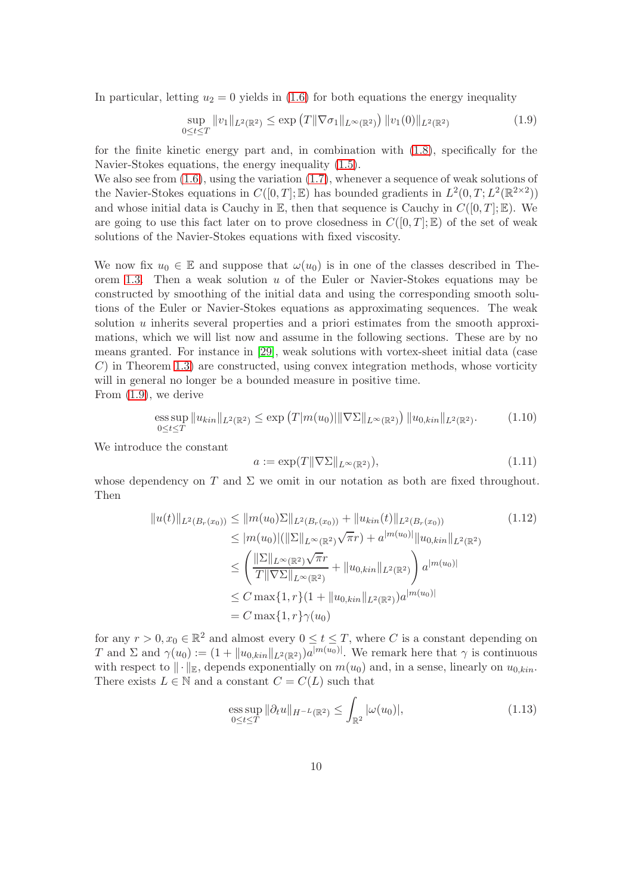In particular, letting  $u_2 = 0$  yields in [\(1.6\)](#page-8-0) for both equations the energy inequality

<span id="page-9-0"></span>
$$
\sup_{0 \le t \le T} ||v_1||_{L^2(\mathbb{R}^2)} \le \exp\left(T ||\nabla \sigma_1||_{L^\infty(\mathbb{R}^2)}\right) ||v_1(0)||_{L^2(\mathbb{R}^2)}\tag{1.9}
$$

for the finite kinetic energy part and, in combination with [\(1.8\)](#page-8-1), specifically for the Navier-Stokes equations, the energy inequality [\(1.5\)](#page-7-0).

We also see from  $(1.6)$ , using the variation  $(1.7)$ , whenever a sequence of weak solutions of the Navier-Stokes equations in  $C([0,T];\mathbb{E})$  has bounded gradients in  $L^2(0,T;L^2(\mathbb{R}^{2\times 2}))$ and whose initial data is Cauchy in  $\mathbb E$ , then that sequence is Cauchy in  $C([0, T]; \mathbb E)$ . We are going to use this fact later on to prove closedness in  $C([0,T];\mathbb{E})$  of the set of weak solutions of the Navier-Stokes equations with fixed viscosity.

We now fix  $u_0 \in \mathbb{E}$  and suppose that  $\omega(u_0)$  is in one of the classes described in The-orem [1.3.](#page-6-0) Then a weak solution  $u$  of the Euler or Navier-Stokes equations may be constructed by smoothing of the initial data and using the corresponding smooth solutions of the Euler or Navier-Stokes equations as approximating sequences. The weak solution  $u$  inherits several properties and a priori estimates from the smooth approximations, which we will list now and assume in the following sections. These are by no means granted. For instance in [\[29\]](#page-44-7), weak solutions with vortex-sheet initial data (case  $C$ ) in Theorem [1.3\)](#page-6-0) are constructed, using convex integration methods, whose vorticity will in general no longer be a bounded measure in positive time.

From [\(1.9\)](#page-9-0), we derive

<span id="page-9-3"></span>ess sup 
$$
||u_{kin}||_{L^2(\mathbb{R}^2)} \le \exp(T|m(u_0)||\nabla\Sigma||_{L^{\infty}(\mathbb{R}^2)}) ||u_{0,kin}||_{L^2(\mathbb{R}^2)}
$$
. (1.10)

We introduce the constant

<span id="page-9-2"></span><span id="page-9-1"></span>
$$
a := \exp(T \| \nabla \Sigma \|_{L^\infty(\mathbb{R}^2)}),\tag{1.11}
$$

whose dependency on T and  $\Sigma$  we omit in our notation as both are fixed throughout. Then

$$
||u(t)||_{L^{2}(B_{r}(x_{0}))} \leq ||m(u_{0})\Sigma||_{L^{2}(B_{r}(x_{0}))} + ||u_{kin}(t)||_{L^{2}(B_{r}(x_{0}))}
$$
\n
$$
\leq |m(u_{0})|(||\Sigma||_{L^{\infty}(\mathbb{R}^{2})}\sqrt{\pi}r) + a^{|m(u_{0})|}||u_{0,kin}||_{L^{2}(\mathbb{R}^{2})}
$$
\n
$$
\leq \left(\frac{||\Sigma||_{L^{\infty}(\mathbb{R}^{2})}\sqrt{\pi}r}{T||\nabla\Sigma||_{L^{\infty}(\mathbb{R}^{2})}} + ||u_{0,kin}||_{L^{2}(\mathbb{R}^{2})}\right)a^{|m(u_{0})|}
$$
\n
$$
\leq C \max\{1, r\}(1 + ||u_{0,kin}||_{L^{2}(\mathbb{R}^{2})})a^{|m(u_{0})|}
$$
\n
$$
= C \max\{1, r\}\gamma(u_{0})
$$
\n(1.12)

for any  $r > 0, x_0 \in \mathbb{R}^2$  and almost every  $0 \le t \le T$ , where C is a constant depending on T and  $\Sigma$  and  $\gamma(u_0) := (1 + ||u_{0,kin}||_{L^2(\mathbb{R}^2)})a^{|m(u_0)|}$ . We remark here that  $\gamma$  is continuous with respect to  $\|\cdot\|_{\mathbb{R}}$ , depends exponentially on  $m(u_0)$  and, in a sense, linearly on  $u_{0,kin}$ . There exists  $L \in \mathbb{N}$  and a constant  $C = C(L)$  such that

<span id="page-9-4"></span>
$$
\underset{0 \le t \le T}{\text{ess sup}} \|\partial_t u\|_{H^{-L}(\mathbb{R}^2)} \le \int_{\mathbb{R}^2} |\omega(u_0)|,\tag{1.13}
$$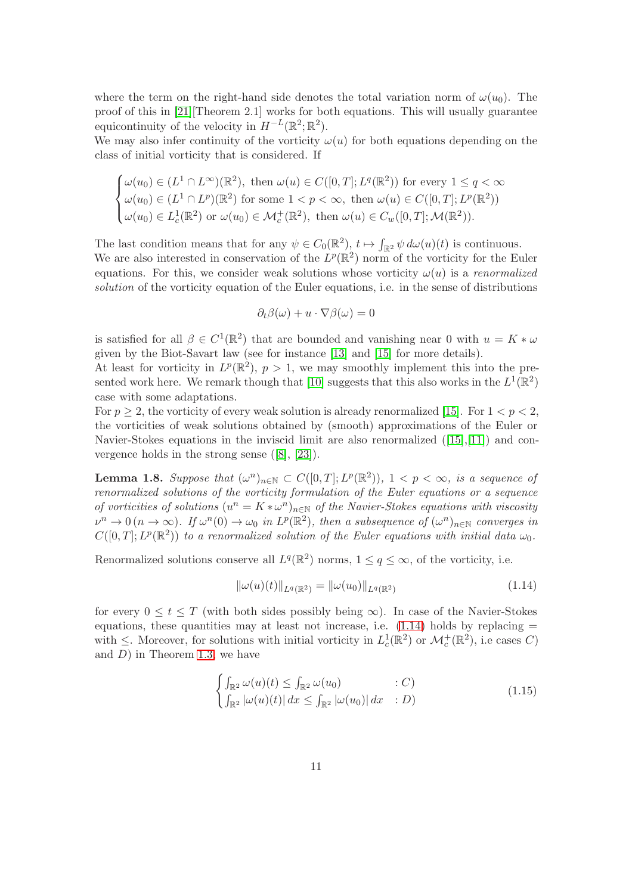where the term on the right-hand side denotes the total variation norm of  $\omega(u_0)$ . The proof of this in [\[21\]](#page-44-8)[Theorem 2.1] works for both equations. This will usually guarantee equicontinuity of the velocity in  $H^{-L}(\mathbb{R}^2; \mathbb{R}^2)$ .

We may also infer continuity of the vorticity  $\omega(u)$  for both equations depending on the class of initial vorticity that is considered. If

$$
\begin{cases} \omega(u_0) \in (L^1 \cap L^{\infty})(\mathbb{R}^2), \text{ then } \omega(u) \in C([0,T]; L^q(\mathbb{R}^2)) \text{ for every } 1 \le q < \infty \\ \omega(u_0) \in (L^1 \cap L^p)(\mathbb{R}^2) \text{ for some } 1 < p < \infty, \text{ then } \omega(u) \in C([0,T]; L^p(\mathbb{R}^2)) \\ \omega(u_0) \in L_c^1(\mathbb{R}^2) \text{ or } \omega(u_0) \in \mathcal{M}_c^+(\mathbb{R}^2), \text{ then } \omega(u) \in C_w([0,T]; \mathcal{M}(\mathbb{R}^2)). \end{cases}
$$

The last condition means that for any  $\psi \in C_0(\mathbb{R}^2)$ ,  $t \mapsto \int_{\mathbb{R}^2} \psi \, d\omega(u)(t)$  is continuous. We are also interested in conservation of the  $L^p(\mathbb{R}^2)$  norm of the vorticity for the Euler equations. For this, we consider weak solutions whose vorticity  $\omega(u)$  is a renormalized solution of the vorticity equation of the Euler equations, i.e. in the sense of distributions

$$
\partial_t \beta(\omega) + u \cdot \nabla \beta(\omega) = 0
$$

is satisfied for all  $\beta \in C^1(\mathbb{R}^2)$  that are bounded and vanishing near 0 with  $u = K * \omega$ given by the Biot-Savart law (see for instance [\[13\]](#page-43-8) and [\[15\]](#page-43-9) for more details).

At least for vorticity in  $L^p(\mathbb{R}^2)$ ,  $p > 1$ , we may smoothly implement this into the pre-sented work here. We remark though that [\[10\]](#page-43-10) suggests that this also works in the  $L^1(\mathbb{R}^2)$ case with some adaptations.

For  $p \geq 2$ , the vorticity of every weak solution is already renormalized [\[15\]](#page-43-9). For  $1 < p < 2$ , the vorticities of weak solutions obtained by (smooth) approximations of the Euler or Navier-Stokes equations in the inviscid limit are also renormalized ([\[15\]](#page-43-9),[\[11\]](#page-43-11)) and convergence holds in the strong sense ([\[8\]](#page-43-12), [\[23\]](#page-44-9)).

<span id="page-10-2"></span>**Lemma 1.8.** Suppose that  $(\omega^n)_{n \in \mathbb{N}} \subset C([0,T]; L^p(\mathbb{R}^2))$ ,  $1 < p < \infty$ , is a sequence of renormalized solutions of the vorticity formulation of the Euler equations or a sequence of vorticities of solutions  $(u^n = K * \omega^n)_{n \in \mathbb{N}}$  of the Navier-Stokes equations with viscosity  $\nu^n \to 0$  ( $n \to \infty$ ). If  $\omega^n(0) \to \omega_0$  in  $L^p(\mathbb{R}^2)$ , then a subsequence of  $(\omega^n)_{n \in \mathbb{N}}$  converges in  $C([0,T];L^p(\mathbb{R}^2))$  to a renormalized solution of the Euler equations with initial data  $\omega_0$ .

Renormalized solutions conserve all  $L^q(\mathbb{R}^2)$  norms,  $1 \le q \le \infty$ , of the vorticity, i.e.

<span id="page-10-0"></span>
$$
\|\omega(u)(t)\|_{L^{q}(\mathbb{R}^2)} = \|\omega(u_0)\|_{L^{q}(\mathbb{R}^2)}
$$
\n(1.14)

for every  $0 \le t \le T$  (with both sides possibly being  $\infty$ ). In case of the Navier-Stokes equations, these quantities may at least not increase, i.e.  $(1.14)$  holds by replacing  $=$ with  $\leq$ . Moreover, for solutions with initial vorticity in  $L_c^1(\mathbb{R}^2)$  or  $\mathcal{M}_c^+(\mathbb{R}^2)$ , i.e cases C) and  $D$ ) in Theorem [1.3,](#page-6-0) we have

<span id="page-10-1"></span>
$$
\begin{cases}\n\int_{\mathbb{R}^2} \omega(u)(t) \le \int_{\mathbb{R}^2} \omega(u_0) & : C) \\
\int_{\mathbb{R}^2} |\omega(u)(t)| \, dx \le \int_{\mathbb{R}^2} |\omega(u_0)| \, dx & : D)\n\end{cases}
$$
\n(1.15)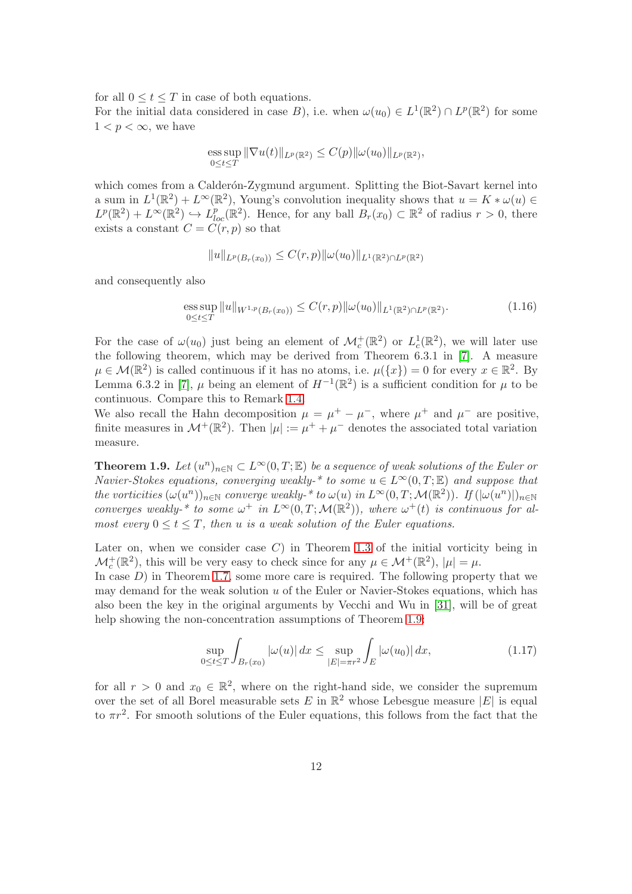for all  $0 \le t \le T$  in case of both equations.

For the initial data considered in case B), i.e. when  $\omega(u_0) \in L^1(\mathbb{R}^2) \cap L^p(\mathbb{R}^2)$  for some  $1 < p < \infty$ , we have

ess sup 
$$
\|\nabla u(t)\|_{L^p(\mathbb{R}^2)} \leq C(p) \|\omega(u_0)\|_{L^p(\mathbb{R}^2)}
$$
,  
0 $\leq t \leq T$ 

which comes from a Calderón-Zygmund argument. Splitting the Biot-Savart kernel into a sum in  $L^1(\mathbb{R}^2) + L^\infty(\mathbb{R}^2)$ , Young's convolution inequality shows that  $u = K * \omega(u) \in$  $L^p(\mathbb{R}^2) + L^{\infty}(\mathbb{R}^2) \hookrightarrow L^p_{loc}(\mathbb{R}^2)$ . Hence, for any ball  $B_r(x_0) \subset \mathbb{R}^2$  of radius  $r > 0$ , there exists a constant  $C = C(r, p)$  so that

<span id="page-11-2"></span>
$$
||u||_{L^p(B_r(x_0))} \leq C(r,p)||\omega(u_0)||_{L^1(\mathbb{R}^2)\cap L^p(\mathbb{R}^2)}
$$

and consequently also

ess sup 
$$
||u||_{W^{1,p}(B_r(x_0))} \leq C(r,p)||\omega(u_0)||_{L^1(\mathbb{R}^2)\cap L^p(\mathbb{R}^2)}
$$
. (1.16)

For the case of  $\omega(u_0)$  just being an element of  $\mathcal{M}_c^+(\mathbb{R}^2)$  or  $L_c^1(\mathbb{R}^2)$ , we will later use the following theorem, which may be derived from Theorem 6.3.1 in [\[7\]](#page-43-7). A measure  $\mu \in \mathcal{M}(\mathbb{R}^2)$  is called continuous if it has no atoms, i.e.  $\mu({x}) = 0$  for every  $x \in \mathbb{R}^2$ . By Lemma 6.3.2 in [\[7\]](#page-43-7),  $\mu$  being an element of  $H^{-1}(\mathbb{R}^2)$  is a sufficient condition for  $\mu$  to be continuous. Compare this to Remark [1.4.](#page-7-1)

We also recall the Hahn decomposition  $\mu = \mu^+ - \mu^-$ , where  $\mu^+$  and  $\mu^-$  are positive, finite measures in  $\mathcal{M}^+(\mathbb{R}^2)$ . Then  $|\mu| := \mu^+ + \mu^-$  denotes the associated total variation measure.

<span id="page-11-0"></span>**Theorem 1.9.** Let  $(u^n)_{n\in\mathbb{N}} \subset L^{\infty}(0,T;\mathbb{E})$  be a sequence of weak solutions of the Euler or Navier-Stokes equations, converging weakly-\* to some  $u \in L^{\infty}(0,T;\mathbb{E})$  and suppose that the vorticities  $(\omega(u^n))_{n\in\mathbb{N}}$  converge weakly-\* to  $\omega(u)$  in  $L^{\infty}(0,T;\mathcal{M}(\mathbb{R}^2))$ . If  $(|\omega(u^n)|)_{n\in\mathbb{N}}$ converges weakly-\* to some  $\omega^+$  in  $L^{\infty}(0,T; \mathcal{M}(\mathbb{R}^2))$ , where  $\omega^+(t)$  is continuous for almost every  $0 \le t \le T$ , then u is a weak solution of the Euler equations.

Later on, when we consider case  $C$ ) in Theorem [1.3](#page-6-0) of the initial vorticity being in  $\mathcal{M}_c^+(\mathbb{R}^2)$ , this will be very easy to check since for any  $\mu \in \mathcal{M}^+(\mathbb{R}^2)$ ,  $|\mu| = \mu$ .

In case  $D$ ) in Theorem [1.7,](#page-7-2) some more care is required. The following property that we may demand for the weak solution  $u$  of the Euler or Navier-Stokes equations, which has also been the key in the original arguments by Vecchi and Wu in [\[31\]](#page-44-0), will be of great help showing the non-concentration assumptions of Theorem [1.9:](#page-11-0)

<span id="page-11-1"></span>
$$
\sup_{0 \le t \le T} \int_{B_r(x_0)} |\omega(u)| \, dx \le \sup_{|E| = \pi r^2} \int_E |\omega(u_0)| \, dx,\tag{1.17}
$$

for all  $r > 0$  and  $x_0 \in \mathbb{R}^2$ , where on the right-hand side, we consider the supremum over the set of all Borel measurable sets  $E$  in  $\mathbb{R}^2$  whose Lebesgue measure  $|E|$  is equal to  $\pi r^2$ . For smooth solutions of the Euler equations, this follows from the fact that the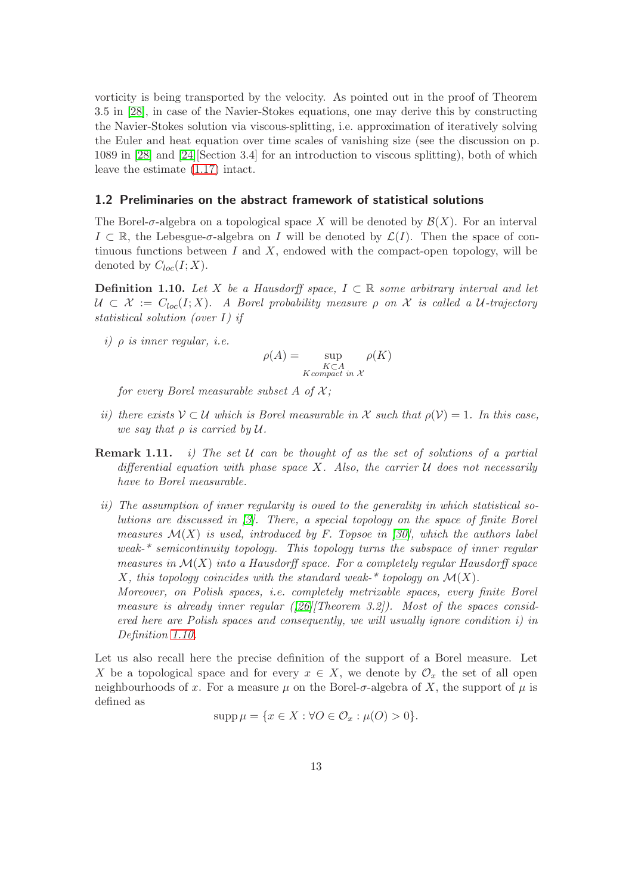vorticity is being transported by the velocity. As pointed out in the proof of Theorem 3.5 in [\[28\]](#page-44-10), in case of the Navier-Stokes equations, one may derive this by constructing the Navier-Stokes solution via viscous-splitting, i.e. approximation of iteratively solving the Euler and heat equation over time scales of vanishing size (see the discussion on p. 1089 in [\[28\]](#page-44-10) and [\[24\]](#page-44-11)[Section 3.4] for an introduction to viscous splitting), both of which leave the estimate [\(1.17\)](#page-11-1) intact.

#### <span id="page-12-1"></span>1.2 Preliminaries on the abstract framework of statistical solutions

The Borel- $\sigma$ -algebra on a topological space X will be denoted by  $\mathcal{B}(X)$ . For an interval  $I \subset \mathbb{R}$ , the Lebesgue- $\sigma$ -algebra on I will be denoted by  $\mathcal{L}(I)$ . Then the space of continuous functions between  $I$  and  $X$ , endowed with the compact-open topology, will be denoted by  $C_{loc}(I;X)$ .

<span id="page-12-0"></span>**Definition 1.10.** Let X be a Hausdorff space,  $I \subset \mathbb{R}$  some arbitrary interval and let  $U \subset \mathcal{X} := C_{loc}(I;X)$ . A Borel probability measure  $\rho$  on X is called a U-trajectory statistical solution (over I) if

i)  $\rho$  is inner regular, i.e.

Definition [1.10.](#page-12-0)

$$
\rho(A) = \sup_{\substack{K \subset A \\ K \text{ compact in } X}} \rho(K)
$$

for every Borel measurable subset A of  $\mathcal{X}$ ;

- ii) there exists  $V \subset U$  which is Borel measurable in X such that  $\rho(V) = 1$ . In this case, we say that  $\rho$  is carried by  $\mathcal U$ .
- **Remark 1.11.** i) The set U can be thought of as the set of solutions of a partial differential equation with phase space X. Also, the carrier  $U$  does not necessarily have to Borel measurable.
- ii) The assumption of inner regularity is owed to the generality in which statistical solutions are discussed in [\[3\]](#page-42-0). There, a special topology on the space of finite Borel measures  $\mathcal{M}(X)$  is used, introduced by F. Topsoe in [\[30\]](#page-44-12), which the authors label weak-\* semicontinuity topology. This topology turns the subspace of inner regular measures in  $\mathcal{M}(X)$  into a Hausdorff space. For a completely regular Hausdorff space X, this topology coincides with the standard weak-\* topology on  $\mathcal{M}(X)$ . Moreover, on Polish spaces, i.e. completely metrizable spaces, every finite Borel measure is already inner regular  $(26/Theorem 3.2)$ . Most of the spaces considered here are Polish spaces and consequently, we will usually ignore condition i) in

Let us also recall here the precise definition of the support of a Borel measure. Let X be a topological space and for every  $x \in X$ , we denote by  $\mathcal{O}_x$  the set of all open neighbourhoods of x. For a measure  $\mu$  on the Borel- $\sigma$ -algebra of X, the support of  $\mu$  is defined as

$$
supp \,\mu = \{x \in X : \forall O \in \mathcal{O}_x : \mu(O) > 0\}.
$$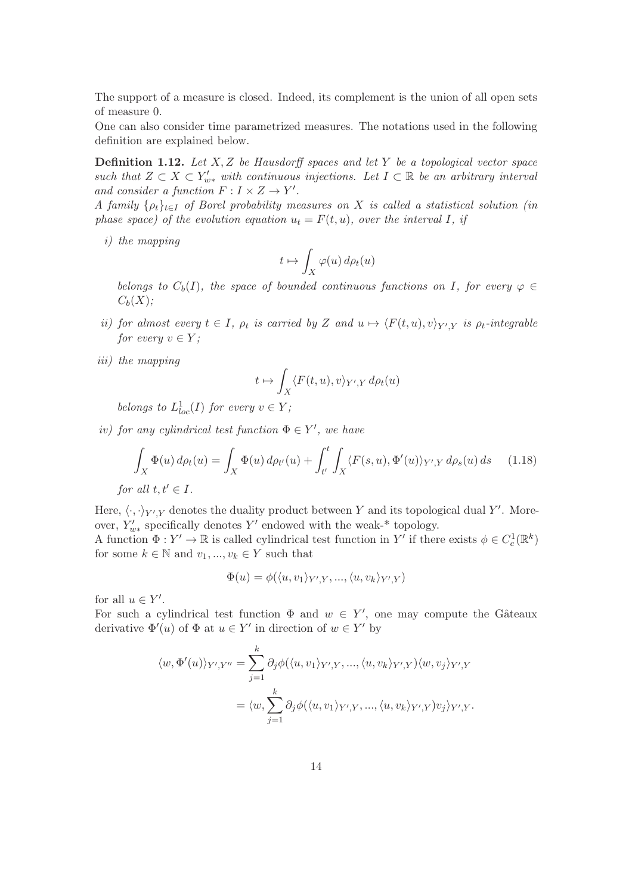The support of a measure is closed. Indeed, its complement is the union of all open sets of measure 0.

<span id="page-13-0"></span>One can also consider time parametrized measures. The notations used in the following definition are explained below.

**Definition 1.12.** Let  $X, Z$  be Hausdorff spaces and let Y be a topological vector space such that  $Z \subset X \subset Y'_{w*}$  with continuous injections. Let  $I \subset \mathbb{R}$  be an arbitrary interval and consider a function  $F: I \times Z \to Y'$ .

A family  $\{\rho_t\}_{t\in I}$  of Borel probability measures on X is called a statistical solution (in phase space) of the evolution equation  $u_t = F(t, u)$ , over the interval I, if

i) the mapping

$$
t \mapsto \int_X \varphi(u) \, d\rho_t(u)
$$

belongs to  $C_b(I)$ , the space of bounded continuous functions on I, for every  $\varphi \in$  $C_b(X)$ :

- *ii*) for almost every  $t \in I$ ,  $\rho_t$  is carried by Z and  $u \mapsto \langle F(t, u), v \rangle_{Y', Y}$  is  $\rho_t$ -integrable for every  $v \in Y$ ;
- iii) the mapping

<span id="page-13-1"></span>
$$
t \mapsto \int_X \langle F(t, u), v \rangle_{Y', Y} d\rho_t(u)
$$

belongs to  $L_{loc}^1(I)$  for every  $v \in Y$ ;

iv) for any cylindrical test function  $\Phi \in Y'$ , we have

$$
\int_X \Phi(u) d\rho_t(u) = \int_X \Phi(u) d\rho_{t'}(u) + \int_{t'}^t \int_X \langle F(s, u), \Phi'(u) \rangle_{Y',Y} d\rho_s(u) ds \quad (1.18)
$$

for all  $t, t' \in I$ .

Here,  $\langle \cdot, \cdot \rangle_{Y',Y}$  denotes the duality product between Y and its topological dual Y'. Moreover,  $Y'_{w*}$  specifically denotes Y' endowed with the weak-\* topology.

A function  $\Phi: Y' \to \mathbb{R}$  is called cylindrical test function in Y' if there exists  $\phi \in C_c^1(\mathbb{R}^k)$ for some  $k \in \mathbb{N}$  and  $v_1, ..., v_k \in Y$  such that

$$
\Phi(u) = \phi(\langle u, v_1 \rangle_{Y',Y}, ..., \langle u, v_k \rangle_{Y',Y})
$$

for all  $u \in Y'$ .

For such a cylindrical test function  $\Phi$  and  $w \in Y'$ , one may compute the Gâteaux derivative  $\Phi'(u)$  of  $\Phi$  at  $u \in Y'$  in direction of  $w \in Y'$  by

$$
\langle w, \Phi'(u) \rangle_{Y',Y''} = \sum_{j=1}^k \partial_j \phi(\langle u, v_1 \rangle_{Y',Y}, \dots, \langle u, v_k \rangle_{Y',Y}) \langle w, v_j \rangle_{Y',Y}
$$

$$
= \langle w, \sum_{j=1}^k \partial_j \phi(\langle u, v_1 \rangle_{Y',Y}, \dots, \langle u, v_k \rangle_{Y',Y}) v_j \rangle_{Y',Y}.
$$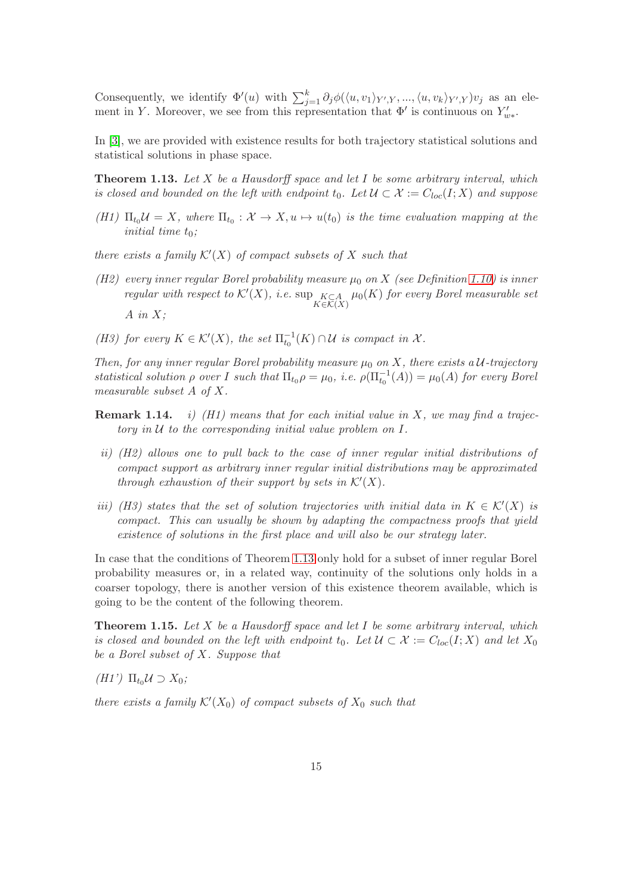Consequently, we identify  $\Phi'(u)$  with  $\sum_{j=1}^k \partial_j \phi(\langle u, v_1 \rangle_{Y',Y}, ..., \langle u, v_k \rangle_{Y',Y})v_j$  as an element in Y. Moreover, we see from this representation that  $\Phi'$  is continuous on  $Y'_{w*}$ .

<span id="page-14-0"></span>In [\[3\]](#page-42-0), we are provided with existence results for both trajectory statistical solutions and statistical solutions in phase space.

**Theorem 1.13.** Let  $X$  be a Hausdorff space and let  $I$  be some arbitrary interval, which is closed and bounded on the left with endpoint  $t_0$ . Let  $\mathcal{U} \subset \mathcal{X} := C_{loc}(I;X)$  and suppose

(H1)  $\Pi_{t_0} \mathcal{U} = X$ , where  $\Pi_{t_0} : \mathcal{X} \to X$ ,  $u \mapsto u(t_0)$  is the time evaluation mapping at the initial time  $t_0$ ;

there exists a family  $\mathcal{K}'(X)$  of compact subsets of X such that

- (H2) every inner regular Borel probability measure  $\mu_0$  on X (see Definition [1.10\)](#page-12-0) is inner regular with respect to  $\mathcal{K}'(X)$ , i.e.  $\sup_{K \in \mathcal{K}(X)} \mu_0(K)$  for every Borel measurable set  $A$  in  $X$ ;
- (H3) for every  $K \in \mathcal{K}'(X)$ , the set  $\Pi_{t_0}^{-1}(K) \cap \mathcal{U}$  is compact in  $\mathcal{X}$ .

Then, for any inner regular Borel probability measure  $\mu_0$  on X, there exists a U-trajectory statistical solution  $\rho$  over I such that  $\Pi_{t0} \rho = \mu_0$ , i.e.  $\rho(\Pi_{t0}^{-1}(A)) = \mu_0(A)$  for every Borel measurable subset A of X.

- **Remark 1.14.** *i)* (H1) means that for each initial value in X, we may find a trajectory in  $U$  to the corresponding initial value problem on  $I$ .
- ii) (H2) allows one to pull back to the case of inner regular initial distributions of compact support as arbitrary inner regular initial distributions may be approximated through exhaustion of their support by sets in  $\mathcal{K}'(X)$ .
- iii) (H3) states that the set of solution trajectories with initial data in  $K \in \mathcal{K}'(X)$  is compact. This can usually be shown by adapting the compactness proofs that yield existence of solutions in the first place and will also be our strategy later.

In case that the conditions of Theorem [1.13](#page-14-0) only hold for a subset of inner regular Borel probability measures or, in a related way, continuity of the solutions only holds in a coarser topology, there is another version of this existence theorem available, which is going to be the content of the following theorem.

<span id="page-14-1"></span>**Theorem 1.15.** Let  $X$  be a Hausdorff space and let  $I$  be some arbitrary interval, which is closed and bounded on the left with endpoint  $t_0$ . Let  $\mathcal{U} \subset \mathcal{X} := C_{loc}(I;X)$  and let  $X_0$ be a Borel subset of X. Suppose that

(H1')  $\Pi_{t_0} \mathcal{U} \supset X_0$ ;

there exists a family  $\mathcal{K}'(X_0)$  of compact subsets of  $X_0$  such that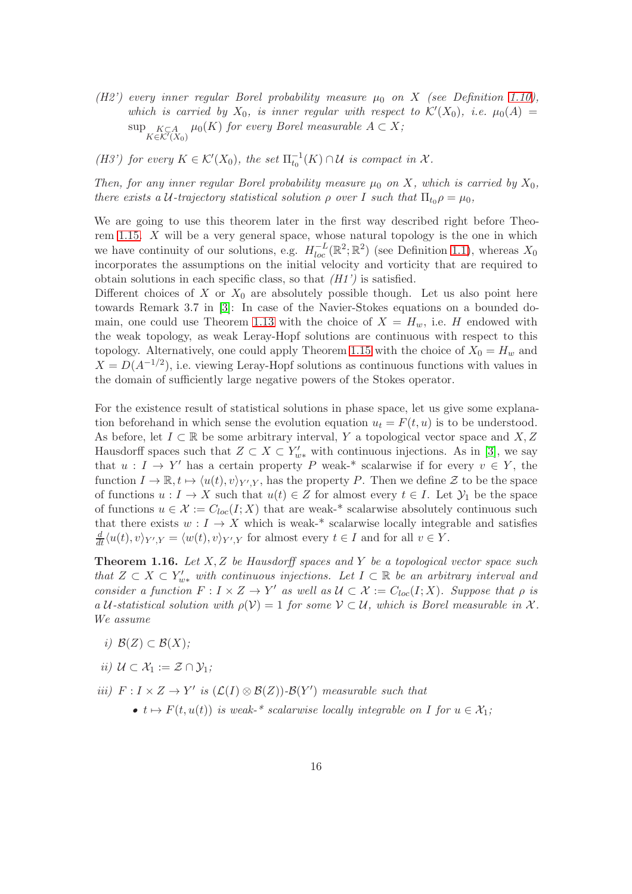(H2') every inner regular Borel probability measure  $\mu_0$  on X (see Definition [1.10\)](#page-12-0), which is carried by  $X_0$ , is inner regular with respect to  $\mathcal{K}'(X_0)$ , i.e.  $\mu_0(A) =$  $\sup_{K \in \mathcal{K}'(X_0)} \mu_0(K)$  for every Borel measurable  $A \subset X$ ;

(H3') for every  $K \in \mathcal{K}'(X_0)$ , the set  $\Pi_{t_0}^{-1}(K) \cap \mathcal{U}$  is compact in  $\mathcal{X}$ .

Then, for any inner regular Borel probability measure  $\mu_0$  on X, which is carried by  $X_0$ , there exists a U-trajectory statistical solution  $\rho$  over I such that  $\Pi_{t_0} \rho = \mu_0$ ,

We are going to use this theorem later in the first way described right before Theorem [1.15.](#page-14-1) X will be a very general space, whose natural topology is the one in which we have continuity of our solutions, e.g.  $H_{loc}^{-L}(\mathbb{R}^2;\mathbb{R}^2)$  (see Definition [1.1\)](#page-4-0), whereas  $X_0$ incorporates the assumptions on the initial velocity and vorticity that are required to obtain solutions in each specific class, so that  $(H1')$  is satisfied.

Different choices of X or  $X_0$  are absolutely possible though. Let us also point here towards Remark 3.7 in [\[3\]](#page-42-0): In case of the Navier-Stokes equations on a bounded do-main, one could use Theorem [1.13](#page-14-0) with the choice of  $X = H_w$ , i.e. H endowed with the weak topology, as weak Leray-Hopf solutions are continuous with respect to this topology. Alternatively, one could apply Theorem [1.15](#page-14-1) with the choice of  $X_0 = H_w$  and  $X = D(A^{-1/2})$ , i.e. viewing Leray-Hopf solutions as continuous functions with values in the domain of sufficiently large negative powers of the Stokes operator.

For the existence result of statistical solutions in phase space, let us give some explanation beforehand in which sense the evolution equation  $u_t = F(t, u)$  is to be understood. As before, let  $I \subset \mathbb{R}$  be some arbitrary interval, Y a topological vector space and X, Z Hausdorff spaces such that  $Z \subset X \subset Y'_{w*}$  with continuous injections. As in [\[3\]](#page-42-0), we say that  $u: I \to Y'$  has a certain property P weak-\* scalarwise if for every  $v \in Y$ , the function  $I \to \mathbb{R}, t \mapsto \langle u(t), v \rangle_{Y',Y}$ , has the property P. Then we define  $\mathcal{Z}$  to be the space of functions  $u: I \to X$  such that  $u(t) \in Z$  for almost every  $t \in I$ . Let  $\mathcal{Y}_1$  be the space of functions  $u \in \mathcal{X} := C_{loc}(I;X)$  that are weak-\* scalarwise absolutely continuous such that there exists  $w: I \to X$  which is weak-\* scalarwise locally integrable and satisfies  $\frac{d}{dt}\langle u(t), v \rangle_{Y',Y} = \langle w(t), v \rangle_{Y',Y}$  for almost every  $t \in I$  and for all  $v \in Y$ .

<span id="page-15-0"></span>**Theorem 1.16.** Let  $X, Z$  be Hausdorff spaces and Y be a topological vector space such that  $Z \subset X \subset Y'_{w*}$  with continuous injections. Let  $I \subset \mathbb{R}$  be an arbitrary interval and consider a function  $F: I \times Z \to Y'$  as well as  $\mathcal{U} \subset \mathcal{X} := C_{loc}(I;X)$ . Suppose that  $\rho$  is a U-statistical solution with  $\rho(\mathcal{V}) = 1$  for some  $\mathcal{V} \subset \mathcal{U}$ , which is Borel measurable in X. We assume

- i)  $\mathcal{B}(Z) \subset \mathcal{B}(X);$
- ii)  $U \subset \mathcal{X}_1 := \mathcal{Z} \cap \mathcal{Y}_1$ ;
- *iii*)  $F: I \times Z \to Y'$  *is*  $(\mathcal{L}(I) \otimes \mathcal{B}(Z))\text{-}\mathcal{B}(Y')$  measurable such that •  $t \mapsto F(t, u(t))$  is weak-\* scalarwise locally integrable on I for  $u \in \mathcal{X}_1$ ;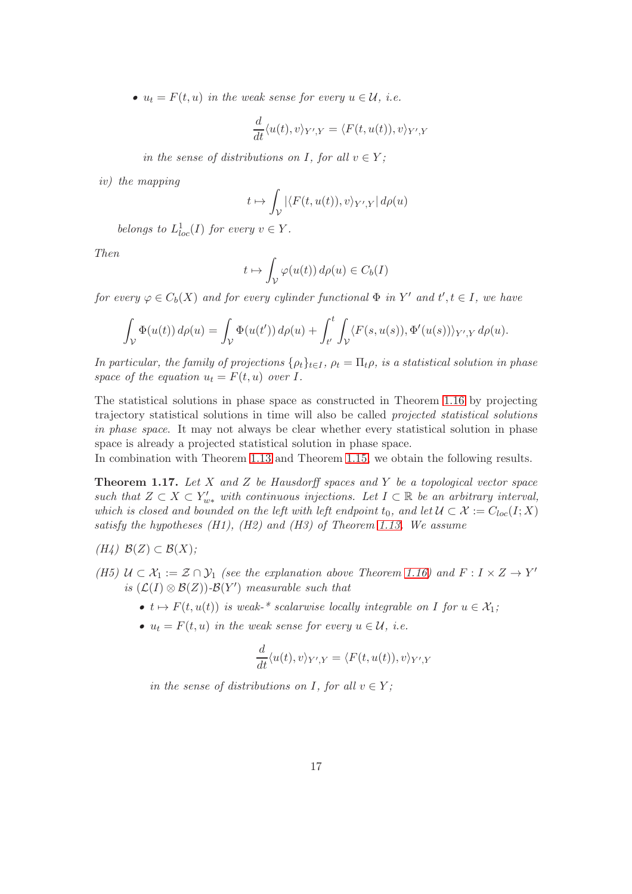•  $u_t = F(t, u)$  in the weak sense for every  $u \in \mathcal{U}$ , i.e.

$$
\frac{d}{dt}\langle u(t),v\rangle_{Y',Y} = \langle F(t,u(t)),v\rangle_{Y',Y}
$$

in the sense of distributions on I, for all  $v \in Y$ ;

iv) the mapping

$$
t \mapsto \int_{\mathcal{V}} |\langle F(t, u(t)), v \rangle_{Y',Y}| \, d\rho(u)
$$

belongs to  $L_{loc}^1(I)$  for every  $v \in Y$ .

Then

$$
t \mapsto \int_{\mathcal{V}} \varphi(u(t)) \, d\rho(u) \in C_b(I)
$$

for every  $\varphi \in C_b(X)$  and for every cylinder functional  $\Phi$  in Y' and  $t', t \in I$ , we have

$$
\int_{\mathcal{V}} \Phi(u(t)) d\rho(u) = \int_{\mathcal{V}} \Phi(u(t')) d\rho(u) + \int_{t'}^{t} \int_{\mathcal{V}} \langle F(s, u(s)), \Phi'(u(s)) \rangle_{Y',Y} d\rho(u).
$$

In particular, the family of projections  $\{\rho_t\}_{t\in I}$ ,  $\rho_t = \Pi_t \rho$ , is a statistical solution in phase space of the equation  $u_t = F(t, u)$  over I.

The statistical solutions in phase space as constructed in Theorem [1.16](#page-15-0) by projecting trajectory statistical solutions in time will also be called projected statistical solutions in phase space. It may not always be clear whether every statistical solution in phase space is already a projected statistical solution in phase space.

<span id="page-16-0"></span>In combination with Theorem [1.13](#page-14-0) and Theorem [1.15,](#page-14-1) we obtain the following results.

**Theorem 1.17.** Let  $X$  and  $Z$  be Hausdorff spaces and  $Y$  be a topological vector space such that  $Z \subset X \subset Y'_{w*}$  with continuous injections. Let  $I \subset \mathbb{R}$  be an arbitrary interval, which is closed and bounded on the left with left endpoint  $t_0$ , and let  $\mathcal{U} \subset \mathcal{X} := C_{loc}(I;X)$ satisfy the hypotheses  $(H1)$ ,  $(H2)$  and  $(H3)$  of Theorem [1.13.](#page-14-0) We assume

$$
(H4) \ \mathcal{B}(Z) \subset \mathcal{B}(X);
$$

- (H5)  $U \subset \mathcal{X}_1 := \mathcal{Z} \cap \mathcal{Y}_1$  (see the explanation above Theorem [1.16\)](#page-15-0) and  $F : I \times Z \to Y'$ is  $(\mathcal{L}(I) \otimes \mathcal{B}(Z))$ - $\mathcal{B}(Y')$  measurable such that
	- $t \mapsto F(t, u(t))$  is weak-\* scalarwise locally integrable on I for  $u \in \mathcal{X}_1$ ;
	- $u_t = F(t, u)$  in the weak sense for every  $u \in \mathcal{U}$ , i.e.

$$
\frac{d}{dt}\langle u(t), v \rangle_{Y',Y} = \langle F(t, u(t)), v \rangle_{Y',Y}
$$

in the sense of distributions on I, for all  $v \in Y$ ;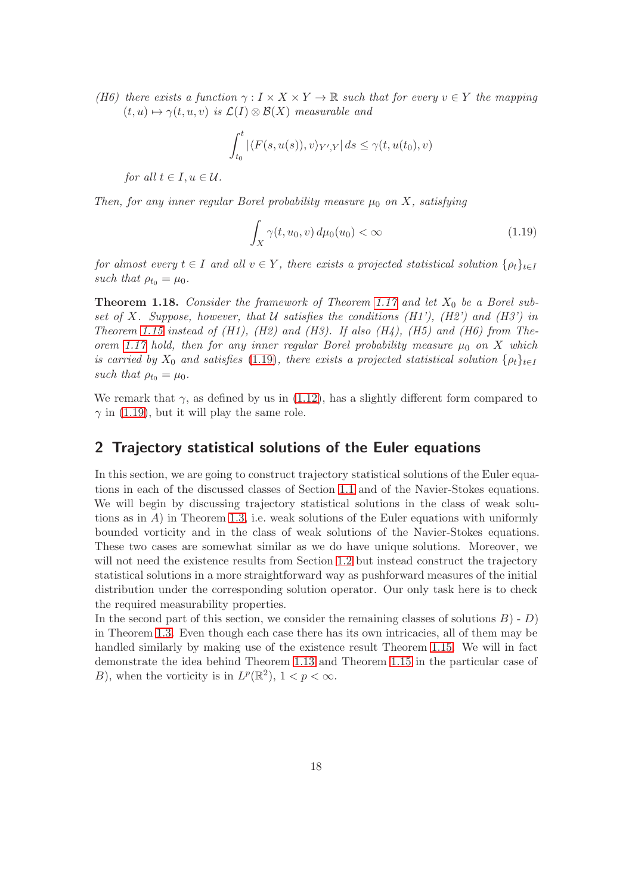(H6) there exists a function  $\gamma: I \times X \times Y \to \mathbb{R}$  such that for every  $v \in Y$  the mapping  $(t, u) \mapsto \gamma(t, u, v)$  is  $\mathcal{L}(I) \otimes \mathcal{B}(X)$  measurable and

$$
\int_{t_0}^t |\langle F(s, u(s)), v \rangle_{Y',Y}| ds \le \gamma(t, u(t_0), v)
$$

for all  $t \in I, u \in \mathcal{U}$ .

Then, for any inner regular Borel probability measure  $\mu_0$  on X, satisfying

<span id="page-17-0"></span>
$$
\int_X \gamma(t, u_0, v) d\mu_0(u_0) < \infty \tag{1.19}
$$

for almost every  $t \in I$  and all  $v \in Y$ , there exists a projected statistical solution  $\{\rho_t\}_{t \in I}$ such that  $\rho_{t_0} = \mu_0$ .

<span id="page-17-1"></span>**Theorem 1.18.** Consider the framework of Theorem [1.17](#page-16-0) and let  $X_0$  be a Borel subset of X. Suppose, however, that U satisfies the conditions  $(H1')$ ,  $(H2')$  and  $(H3')$  in Theorem [1.15](#page-14-1) instead of  $(H1)$ ,  $(H2)$  and  $(H3)$ . If also  $(H4)$ ,  $(H5)$  and  $(H6)$  from The-orem [1.17](#page-16-0) hold, then for any inner regular Borel probability measure  $\mu_0$  on X which is carried by  $X_0$  and satisfies [\(1.19\)](#page-17-0), there exists a projected statistical solution  $\{\rho_t\}_{t\in I}$ such that  $\rho_{t_0} = \mu_0$ .

We remark that  $\gamma$ , as defined by us in [\(1.12\)](#page-9-1), has a slightly different form compared to  $\gamma$  in [\(1.19\)](#page-17-0), but it will play the same role.

### 2 Trajectory statistical solutions of the Euler equations

In this section, we are going to construct trajectory statistical solutions of the Euler equations in each of the discussed classes of Section [1.1](#page-4-1) and of the Navier-Stokes equations. We will begin by discussing trajectory statistical solutions in the class of weak solutions as in  $A$ ) in Theorem [1.3,](#page-6-0) i.e. weak solutions of the Euler equations with uniformly bounded vorticity and in the class of weak solutions of the Navier-Stokes equations. These two cases are somewhat similar as we do have unique solutions. Moreover, we will not need the existence results from Section [1.2](#page-12-1) but instead construct the trajectory statistical solutions in a more straightforward way as pushforward measures of the initial distribution under the corresponding solution operator. Our only task here is to check the required measurability properties.

In the second part of this section, we consider the remaining classes of solutions  $B$ ) - D) in Theorem [1.3.](#page-6-0) Even though each case there has its own intricacies, all of them may be handled similarly by making use of the existence result Theorem [1.15.](#page-14-1) We will in fact demonstrate the idea behind Theorem [1.13](#page-14-0) and Theorem [1.15](#page-14-1) in the particular case of B), when the vorticity is in  $L^p(\mathbb{R}^2)$ ,  $1 < p < \infty$ .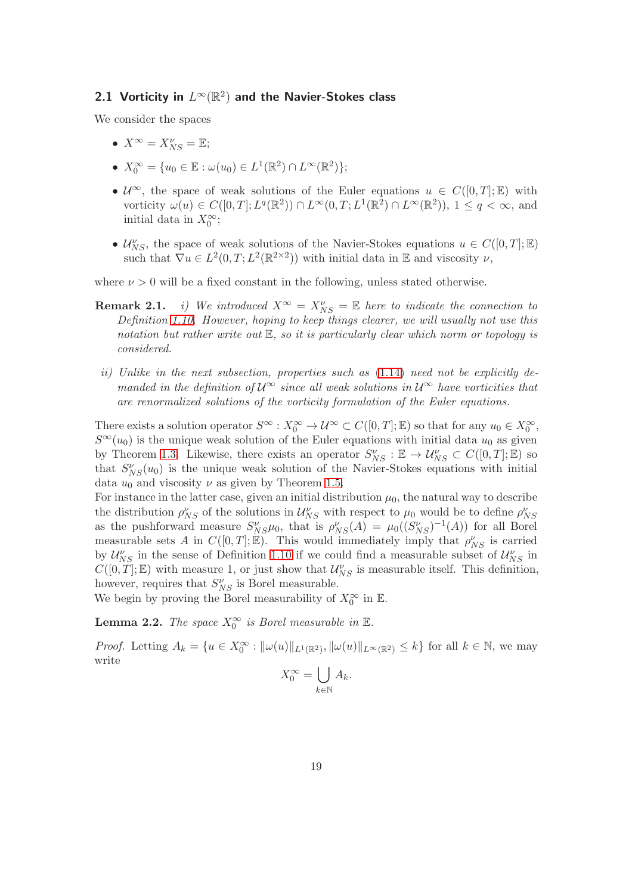## <span id="page-18-1"></span>2.1 Vorticity in  $L^\infty(\mathbb{R}^2)$  and the Navier-Stokes class

We consider the spaces

- $X^{\infty} = X_{NS}^{\nu} = \mathbb{E};$
- $X_0^{\infty} = \{u_0 \in \mathbb{E} : \omega(u_0) \in L^1(\mathbb{R}^2) \cap L^{\infty}(\mathbb{R}^2) \};$
- $\mathcal{U}^{\infty}$ , the space of weak solutions of the Euler equations  $u \in C([0,T];\mathbb{E})$  with vorticity  $\omega(u) \in C([0,T]; L^q(\mathbb{R}^2)) \cap L^{\infty}(0,T; L^1(\mathbb{R}^2) \cap L^{\infty}(\mathbb{R}^2))$ ,  $1 \le q < \infty$ , and initial data in  $X_0^{\infty}$ ;
- $\mathcal{U}_{NS}^{\nu}$ , the space of weak solutions of the Navier-Stokes equations  $u \in C([0,T];\mathbb{E})$ such that  $\nabla u \in L^2(0,T; L^2(\mathbb{R}^{2\times2}))$  with initial data in  $\mathbb E$  and viscosity  $\nu$ ,

where  $\nu > 0$  will be a fixed constant in the following, unless stated otherwise.

- **Remark 2.1.** *i)* We introduced  $X^{\infty} = X_{NS}^{\nu} = \mathbb{E}$  here to indicate the connection to Definition [1.10.](#page-12-0) However, hoping to keep things clearer, we will usually not use this notation but rather write out  $\mathbb{E}$ , so it is particularly clear which norm or topology is considered.
- ii) Unlike in the next subsection, properties such as  $(1.14)$  need not be explicitly demanded in the definition of  $\mathcal{U}^{\infty}$  since all weak solutions in  $\mathcal{U}^{\infty}$  have vorticities that are renormalized solutions of the vorticity formulation of the Euler equations.

There exists a solution operator  $S^{\infty}: X_0^{\infty} \to \mathcal{U}^{\infty} \subset C([0,T]; \mathbb{E})$  so that for any  $u_0 \in X_0^{\infty}$ ,  $S^{\infty}(u_0)$  is the unique weak solution of the Euler equations with initial data  $u_0$  as given by Theorem [1.3.](#page-6-0) Likewise, there exists an operator  $S_{NS}^{\nu} : \mathbb{E} \to \mathcal{U}_{NS}^{\nu} \subset C([0,T]; \mathbb{E})$  so that  $S_{NS}(u_0)$  is the unique weak solution of the Navier-Stokes equations with initial data  $u_0$  and viscosity  $\nu$  as given by Theorem [1.5.](#page-7-3)

For instance in the latter case, given an initial distribution  $\mu_0$ , the natural way to describe the distribution  $\rho_{NS}^{\nu}$  of the solutions in  $\mathcal{U}_{NS}^{\nu}$  with respect to  $\mu_0$  would be to define  $\rho_{NS}^{\nu}$ as the pushforward measure  $S_{NS}^{\nu} \mu_0$ , that is  $\rho_{NS}^{\nu}(A) = \mu_0((S_{NS}^{\nu})^{-1}(A))$  for all Borel measurable sets A in  $C([0,T];\mathbb{E})$ . This would immediately imply that  $\rho_{NS}^{\nu}$  is carried by  $\mathcal{U}_{NS}^{\nu}$  in the sense of Definition [1.10](#page-12-0) if we could find a measurable subset of  $\mathcal{U}_{NS}^{\nu}$  in  $C([0,T];\mathbb{E})$  with measure 1, or just show that  $\mathcal{U}_{NS}^{\nu}$  is measurable itself. This definition, however, requires that  $S_{NS}^{\nu}$  is Borel measurable.

<span id="page-18-0"></span>We begin by proving the Borel measurability of  $X_0^{\infty}$  in  $\mathbb{E}$ .

**Lemma 2.2.** The space  $X_0^{\infty}$  is Borel measurable in  $\mathbb{E}$ .

*Proof.* Letting  $A_k = \{u \in X_0^{\infty} : ||\omega(u)||_{L^1(\mathbb{R}^2)}, ||\omega(u)||_{L^{\infty}(\mathbb{R}^2)} \leq k\}$  for all  $k \in \mathbb{N}$ , we may write

$$
X_0^{\infty} = \bigcup_{k \in \mathbb{N}} A_k.
$$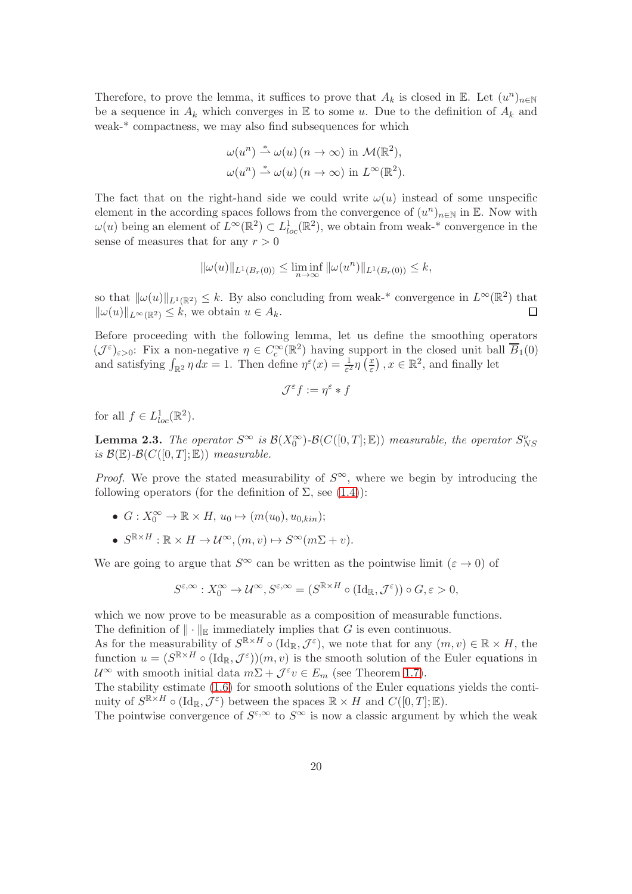Therefore, to prove the lemma, it suffices to prove that  $A_k$  is closed in  $\mathbb{E}$ . Let  $(u^n)_{n\in\mathbb{N}}$ be a sequence in  $A_k$  which converges in E to some u. Due to the definition of  $A_k$  and weak-\* compactness, we may also find subsequences for which

$$
\omega(u^n) \stackrel{*}{\rightharpoonup} \omega(u) \ (n \to \infty) \ \text{in} \ \mathcal{M}(\mathbb{R}^2),
$$
  

$$
\omega(u^n) \stackrel{*}{\rightharpoonup} \omega(u) \ (n \to \infty) \ \text{in} \ L^{\infty}(\mathbb{R}^2).
$$

The fact that on the right-hand side we could write  $\omega(u)$  instead of some unspecific element in the according spaces follows from the convergence of  $(u^n)_{n\in\mathbb{N}}$  in E. Now with  $\omega(u)$  being an element of  $L^{\infty}(\mathbb{R}^2) \subset L^1_{loc}(\mathbb{R}^2)$ , we obtain from weak-\* convergence in the sense of measures that for any  $r > 0$ 

$$
\|\omega(u)\|_{L^1(B_r(0))} \le \liminf_{n \to \infty} \|\omega(u^n)\|_{L^1(B_r(0))} \le k,
$$

so that  $\|\omega(u)\|_{L^1(\mathbb{R}^2)} \leq k$ . By also concluding from weak-\* convergence in  $L^\infty(\mathbb{R}^2)$  that  $\|\omega(u)\|_{L^{\infty}(\mathbb{R}^2)} \leq k$ , we obtain  $u \in A_k$ . П

Before proceeding with the following lemma, let us define the smoothing operators  $(\mathcal{J}^{\varepsilon})_{\varepsilon>0}$ : Fix a non-negative  $\eta \in C_c^{\infty}(\mathbb{R}^2)$  having support in the closed unit ball  $\overline{B}_1(0)$ and satisfying  $\int_{\mathbb{R}^2} \eta \, dx = 1$ . Then define  $\eta^{\varepsilon}(x) = \frac{1}{\varepsilon^2} \eta \left( \frac{x}{\varepsilon} \right)$  $(\frac{x}{\varepsilon})$ ,  $x \in \mathbb{R}^2$ , and finally let

$$
\mathcal{J}^\varepsilon f:=\eta^\varepsilon*f
$$

<span id="page-19-0"></span>for all  $f \in L^1_{loc}(\mathbb{R}^2)$ .

**Lemma 2.3.** The operator  $S^{\infty}$  is  $\mathcal{B}(X_0^{\infty})$ - $\mathcal{B}(C([0,T];\mathbb{E}))$  measurable, the operator  $S_{NS}^{\nu}$ is  $\mathcal{B}(\mathbb{E})$ - $\mathcal{B}(C([0,T];\mathbb{E}))$  measurable.

*Proof.* We prove the stated measurability of  $S^{\infty}$ , where we begin by introducing the following operators (for the definition of  $\Sigma$ , see [\(1.4\)](#page-6-1)):

- $G: X_0^{\infty} \to \mathbb{R} \times H$ ,  $u_0 \mapsto (m(u_0), u_{0,kin});$
- $S^{\mathbb{R} \times H} : \mathbb{R} \times H \to \mathcal{U}^{\infty}, (m, v) \mapsto S^{\infty}(m\Sigma + v).$

We are going to argue that  $S^{\infty}$  can be written as the pointwise limit  $(\varepsilon \to 0)$  of

$$
S^{\varepsilon,\infty}:X_0^\infty\to \mathcal{U}^\infty, S^{\varepsilon,\infty}=(S^{\mathbb{R}\times H}\circ (\mathrm{Id}_\mathbb{R},\mathcal{J}^\varepsilon))\circ G, \varepsilon>0,
$$

which we now prove to be measurable as a composition of measurable functions. The definition of  $\|\cdot\|_{\mathbb{E}}$  immediately implies that G is even continuous.

As for the measurability of  $S^{\mathbb{R} \times H} \circ (\mathrm{Id}_{\mathbb{R}}, \mathcal{J}^{\varepsilon})$ , we note that for any  $(m, v) \in \mathbb{R} \times H$ , the function  $u = (S^{\mathbb{R} \times H} \circ (\mathrm{Id}_{\mathbb{R}}, \mathcal{J}^{\varepsilon})) (m, v)$  is the smooth solution of the Euler equations in  $\mathcal{U}^{\infty}$  with smooth initial data  $m\Sigma + \mathcal{J}^{\varepsilon}v \in E_m$  (see Theorem [1.7\)](#page-7-2).

The stability estimate [\(1.6\)](#page-8-0) for smooth solutions of the Euler equations yields the continuity of  $S^{\mathbb{R} \times H} \circ (\mathrm{Id}_{\mathbb{R}}, \mathcal{J}^{\varepsilon})$  between the spaces  $\mathbb{R} \times H$  and  $C([0, T]; \mathbb{E})$ .

The pointwise convergence of  $S^{\varepsilon,\infty}$  to  $S^{\infty}$  is now a classic argument by which the weak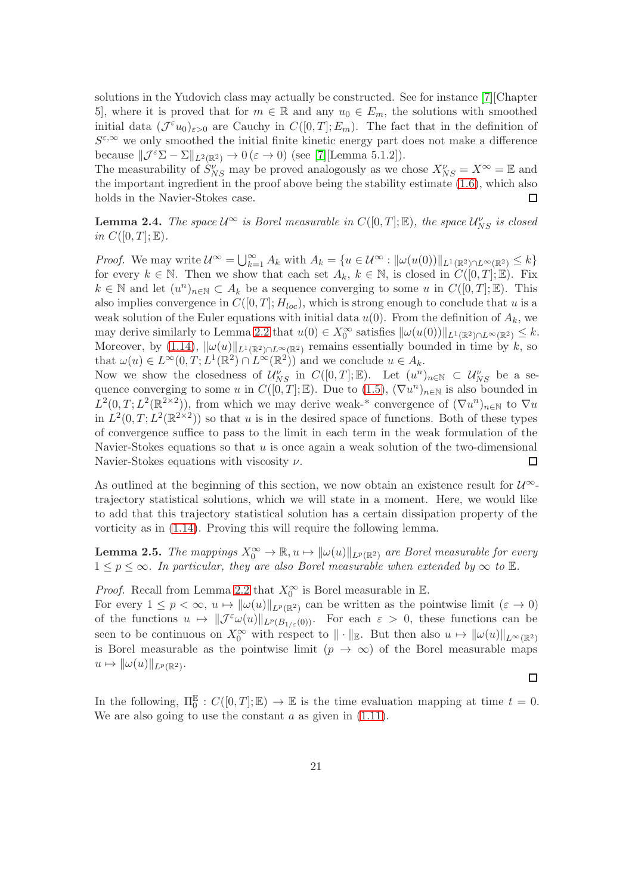solutions in the Yudovich class may actually be constructed. See for instance [\[7\]](#page-43-7)[Chapter 5], where it is proved that for  $m \in \mathbb{R}$  and any  $u_0 \in E_m$ , the solutions with smoothed initial data  $(\mathcal{J}^{\varepsilon}u_0)_{\varepsilon>0}$  are Cauchy in  $C([0,T];E_m)$ . The fact that in the definition of  $S^{\varepsilon,\infty}$  we only smoothed the initial finite kinetic energy part does not make a difference because  $\|\mathcal{J}^{\varepsilon}\Sigma - \Sigma\|_{L^2(\mathbb{R}^2)} \to 0$  ( $\varepsilon \to 0$ ) (see [\[7\]](#page-43-7)[Lemma 5.1.2]).

The measurability of  $S_{NS}^{\nu'}$  may be proved analogously as we chose  $X_{NS}^{\nu} = X^{\infty} = \mathbb{E}$  and the important ingredient in the proof above being the stability estimate [\(1.6\)](#page-8-0), which also holds in the Navier-Stokes case. П

<span id="page-20-0"></span>**Lemma 2.4.** The space  $\mathcal{U}^{\infty}$  is Borel measurable in  $C([0,T];\mathbb{E})$ , the space  $\mathcal{U}_{NS}^{\nu}$  is closed in  $C([0,T];\mathbb{E}).$ 

*Proof.* We may write  $\mathcal{U}^{\infty} = \bigcup_{k=1}^{\infty} A_k$  with  $A_k = \{u \in \mathcal{U}^{\infty} : ||\omega(u(0))||_{L^1(\mathbb{R}^2) \cap L^{\infty}(\mathbb{R}^2)} \leq k\}$ for every  $k \in \mathbb{N}$ . Then we show that each set  $A_k$ ,  $k \in \mathbb{N}$ , is closed in  $C([0,T];\mathbb{E})$ . Fix  $k \in \mathbb{N}$  and let  $(u^n)_{n \in \mathbb{N}} \subset A_k$  be a sequence converging to some u in  $C([0,T]; \mathbb{E})$ . This also implies convergence in  $C([0,T]; H_{loc})$ , which is strong enough to conclude that u is a weak solution of the Euler equations with initial data  $u(0)$ . From the definition of  $A_k$ , we may derive similarly to Lemma [2.2](#page-18-0) that  $u(0) \in X_0^{\infty}$  satisfies  $\|\omega(u(0))\|_{L^1(\mathbb{R}^2) \cap L^{\infty}(\mathbb{R}^2)} \leq k$ . Moreover, by [\(1.14\)](#page-10-0),  $\|\omega(u)\|_{L^1(\mathbb{R}^2)\cap L^\infty(\mathbb{R}^2)}$  remains essentially bounded in time by k, so that  $\omega(u) \in L^{\infty}(0,T; L^{1}(\mathbb{R}^{2}) \cap L^{\infty}(\mathbb{R}^{2}))$  and we conclude  $u \in A_{k}$ .

Now we show the closedness of  $\mathcal{U}_{NS}^{\nu}$  in  $C([0,T];\mathbb{E})$ . Let  $(u^n)_{n\in\mathbb{N}}\subset \mathcal{U}_{NS}^{\nu}$  be a sequence converging to some u in  $C([0,T];\mathbb{E})$ . Due to  $(1.5)$ ,  $(\nabla u^n)_{n\in\mathbb{N}}$  is also bounded in  $L^2(0,T;L^2(\mathbb{R}^{2\times2}))$ , from which we may derive weak-\* convergence of  $(\nabla u^n)_{n\in\mathbb{N}}$  to  $\nabla u$ in  $L^2(0,T;L^2(\mathbb{R}^{2\times2}))$  so that u is in the desired space of functions. Both of these types of convergence suffice to pass to the limit in each term in the weak formulation of the Navier-Stokes equations so that  $u$  is once again a weak solution of the two-dimensional Navier-Stokes equations with viscosity  $\nu$ .  $\Box$ 

As outlined at the beginning of this section, we now obtain an existence result for  $\mathcal{U}^{\infty}$ trajectory statistical solutions, which we will state in a moment. Here, we would like to add that this trajectory statistical solution has a certain dissipation property of the vorticity as in [\(1.14\)](#page-10-0). Proving this will require the following lemma.

<span id="page-20-1"></span>**Lemma 2.5.** The mappings  $X_0^{\infty} \to \mathbb{R}, u \mapsto ||\omega(u)||_{L^p(\mathbb{R}^2)}$  are Borel measurable for every  $1 \leq p \leq \infty$ . In particular, they are also Borel measurable when extended by  $\infty$  to  $\mathbb{E}$ .

*Proof.* Recall from Lemma [2.2](#page-18-0) that  $X_0^{\infty}$  is Borel measurable in  $\mathbb{E}$ .

For every  $1 \leq p < \infty$ ,  $u \mapsto ||\omega(u)||_{L^p(\mathbb{R}^2)}$  can be written as the pointwise limit  $(\varepsilon \to 0)$ of the functions  $u \mapsto ||\mathcal{J}^{\varepsilon}\omega(u)||_{L^p(B_{1/\varepsilon}(0))}$ . For each  $\varepsilon > 0$ , these functions can be seen to be continuous on  $X_0^{\infty}$  with respect to  $\|\cdot\|_{\mathbb{E}}$ . But then also  $u \mapsto \|\omega(u)\|_{L^{\infty}(\mathbb{R}^2)}$ is Borel measurable as the pointwise limit  $(p \to \infty)$  of the Borel measurable maps  $u \mapsto \|\omega(u)\|_{L^p(\mathbb{R}^2)}.$ 

<span id="page-20-2"></span>In the following,  $\Pi_0^{\mathbb{E}}: C([0,T]; \mathbb{E}) \to \mathbb{E}$  is the time evaluation mapping at time  $t = 0$ . We are also going to use the constant  $a$  as given in  $(1.11)$ .

 $\Box$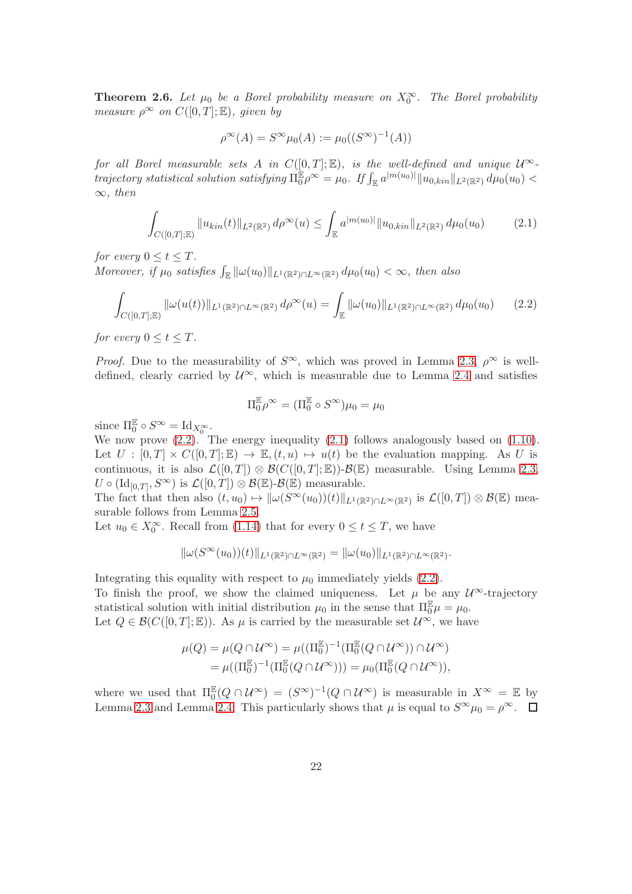**Theorem 2.6.** Let  $\mu_0$  be a Borel probability measure on  $X_0^{\infty}$ . The Borel probability measure  $\rho^{\infty}$  on  $C([0,T];\mathbb{E})$ , given by

$$
\rho^{\infty}(A) = S^{\infty}\mu_0(A) := \mu_0((S^{\infty})^{-1}(A))
$$

for all Borel measurable sets A in  $C([0,T];\mathbb{E})$ , is the well-defined and unique  $\mathcal{U}^{\infty}$ - $\begin{equation*} \textit{trajectory statistical solution satisfying} \ \Pi_0^{\mathbb{E}} \rho^\infty = \mu_0. \ \textit{If} \int_{\mathbb{E}} a^{|m(u_0)|} \| u_{0,kin} \|_{L^2(\mathbb{R}^2)} \ d\mu_0(u_0) < \infty \end{equation*}$  $\infty$ , then

<span id="page-21-1"></span>
$$
\int_{C([0,T];\mathbb{E})} \|u_{kin}(t)\|_{L^2(\mathbb{R}^2)} d\rho^{\infty}(u) \le \int_{\mathbb{E}} a^{|m(u_0)|} \|u_{0,kin}\|_{L^2(\mathbb{R}^2)} d\mu_0(u_0) \tag{2.1}
$$

for every  $0 \le t \le T$ .

Moreover, if  $\mu_0$  satisfies  $\int_{\mathbb{E}} ||\omega(u_0)||_{L^1(\mathbb{R}^2) \cap L^\infty(\mathbb{R}^2)} d\mu_0(u_0) < \infty$ , then also

$$
\int_{C([0,T];\mathbb{E})} \|\omega(u(t))\|_{L^1(\mathbb{R}^2)\cap L^\infty(\mathbb{R}^2)} d\rho^\infty(u) = \int_{\mathbb{E}} \|\omega(u_0)\|_{L^1(\mathbb{R}^2)\cap L^\infty(\mathbb{R}^2)} d\mu_0(u_0) \qquad (2.2)
$$

for every  $0 \le t \le T$ .

*Proof.* Due to the measurability of  $S^{\infty}$ , which was proved in Lemma [2.3,](#page-19-0)  $\rho^{\infty}$  is welldefined, clearly carried by  $\mathcal{U}^{\infty}$ , which is measurable due to Lemma [2.4](#page-20-0) and satisfies

<span id="page-21-0"></span>
$$
\Pi_0^{\mathbb{E}} \rho^{\infty} = (\Pi_0^{\mathbb{E}} \circ S^{\infty}) \mu_0 = \mu_0
$$

since  $\Pi_0^{\mathbb{E}} \circ S^{\infty} = \mathrm{Id}_{X_0^{\infty}}$ .

We now prove  $(2.2)$ . The energy inequality  $(2.1)$  follows analogously based on  $(1.10)$ . Let  $U : [0, T] \times C([0, T]; \mathbb{E}) \to \mathbb{E}, (t, u) \mapsto u(t)$  be the evaluation mapping. As U is continuous, it is also  $\mathcal{L}([0,T]) \otimes \mathcal{B}(C([0,T];\mathbb{E})) - \mathcal{B}(\mathbb{E})$  measurable. Using Lemma [2.3,](#page-19-0)  $U \circ (\mathrm{Id}_{[0,T]},S^\infty)$  is  $\mathcal{L}([0,T]) \otimes \mathcal{B}(\mathbb{E})\text{-}\mathcal{B}(\mathbb{E})$  measurable.

The fact that then also  $(t, u_0) \mapsto ||\omega(S^{\infty}(u_0))(t)||_{L^1(\mathbb{R}^2) \cap L^{\infty}(\mathbb{R}^2)}$  is  $\mathcal{L}([0, T]) \otimes \mathcal{B}(\mathbb{E})$  measurable follows from Lemma [2.5.](#page-20-1)

Let  $u_0 \in X_0^{\infty}$ . Recall from [\(1.14\)](#page-10-0) that for every  $0 \le t \le T$ , we have

$$
\|\omega(S^\infty(u_0))(t)\|_{L^1(\mathbb R^2)\cap L^\infty(\mathbb R^2)}=\|\omega(u_0)\|_{L^1(\mathbb R^2)\cap L^\infty(\mathbb R^2)}.
$$

Integrating this equality with respect to  $\mu_0$  immediately yields [\(2.2\)](#page-21-0).

To finish the proof, we show the claimed uniqueness. Let  $\mu$  be any  $\mathcal{U}^{\infty}$ -trajectory statistical solution with initial distribution  $\mu_0$  in the sense that  $\Pi_0^{\mathbb{E}}\mu = \mu_0$ . Let  $Q \in \mathcal{B}(C([0,T]; \mathbb{E}))$ . As  $\mu$  is carried by the measurable set  $\mathcal{U}^{\infty}$ , we have

$$
\mu(Q) = \mu(Q \cap \mathcal{U}^{\infty}) = \mu((\Pi_0^{\mathbb{E}})^{-1}(\Pi_0^{\mathbb{E}}(Q \cap \mathcal{U}^{\infty})) \cap \mathcal{U}^{\infty})
$$
  
= 
$$
\mu((\Pi_0^{\mathbb{E}})^{-1}(\Pi_0^{\mathbb{E}}(Q \cap \mathcal{U}^{\infty}))) = \mu_0(\Pi_0^{\mathbb{E}}(Q \cap \mathcal{U}^{\infty})),
$$

where we used that  $\Pi_0^{\mathbb{E}}(Q \cap \mathcal{U}^{\infty}) = (S^{\infty})^{-1}(Q \cap \mathcal{U}^{\infty})$  is measurable in  $X^{\infty} = \mathbb{E}$  by Lemma [2.3](#page-19-0) and Lemma [2.4.](#page-20-0) This particularly shows that  $\mu$  is equal to  $S^{\infty}\mu_0 = \rho^{\infty}$ .  $\Box$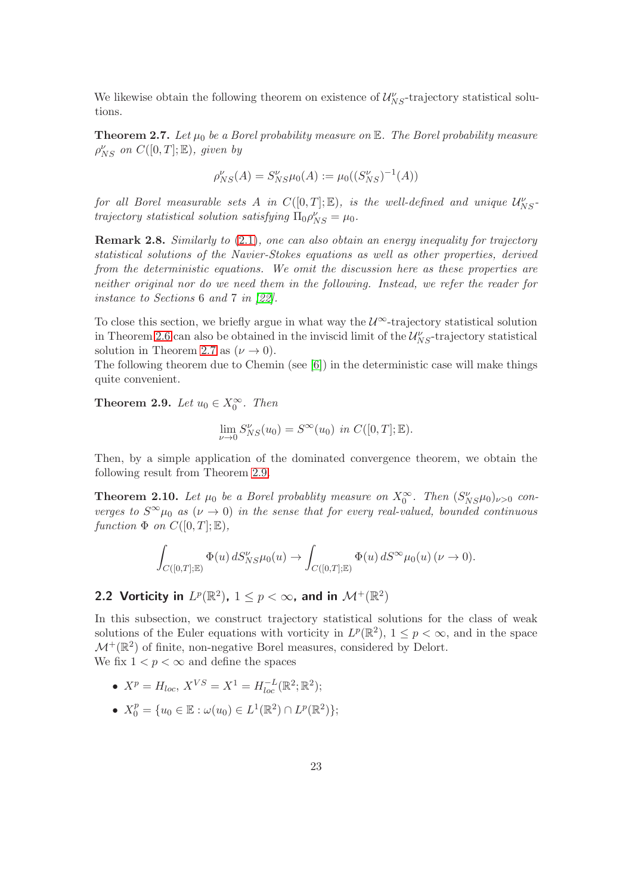<span id="page-22-0"></span>We likewise obtain the following theorem on existence of  $\mathcal{U}_{NS}^{\nu}$ -trajectory statistical solutions.

**Theorem 2.7.** Let  $\mu_0$  be a Borel probability measure on E. The Borel probability measure  $\rho_{NS}^{\nu}$  on  $C([0,T];\mathbb{E})$ , given by

$$
\rho_{NS}^{\nu}(A) = S_{NS}^{\nu}\mu_0(A) := \mu_0((S_{NS}^{\nu})^{-1}(A))
$$

for all Borel measurable sets A in  $C([0,T]; \mathbb{E})$ , is the well-defined and unique  $\mathcal{U}_{NS}^{\nu}$ trajectory statistical solution satisfying  $\Pi_0 \rho_{NS}^{\nu} = \mu_0$ .

**Remark 2.8.** Similarly to [\(2.1\)](#page-21-1), one can also obtain an energy inequality for trajectory statistical solutions of the Navier-Stokes equations as well as other properties, derived from the deterministic equations. We omit the discussion here as these properties are neither original nor do we need them in the following. Instead, we refer the reader for instance to Sections 6 and 7 in [\[22\]](#page-44-5).

To close this section, we briefly argue in what way the  $\mathcal{U}^{\infty}$ -trajectory statistical solution in Theorem [2.6](#page-20-2) can also be obtained in the inviscid limit of the  $\mathcal{U}_{NS}^{\nu}$ -trajectory statistical solution in Theorem [2.7](#page-22-0) as  $(\nu \rightarrow 0)$ .

<span id="page-22-1"></span>The following theorem due to Chemin (see [\[6\]](#page-43-13)) in the deterministic case will make things quite convenient.

**Theorem 2.9.** Let  $u_0 \in X_0^{\infty}$ . Then

$$
\lim_{\nu \to 0} S_{NS}^{\nu}(u_0) = S^{\infty}(u_0) \text{ in } C([0, T]; \mathbb{E}).
$$

<span id="page-22-2"></span>Then, by a simple application of the dominated convergence theorem, we obtain the following result from Theorem [2.9.](#page-22-1)

**Theorem 2.10.** Let  $\mu_0$  be a Borel probablity measure on  $X_0^{\infty}$ . Then  $(S_{NS}^{\nu}\mu_0)_{\nu>0}$  converges to  $S^{\infty}\mu_0$  as  $(\nu \to 0)$  in the sense that for every real-valued, bounded continuous function  $\Phi$  on  $C([0,T];\mathbb{E}),$ 

$$
\int_{C([0,T];\mathbb{E})} \Phi(u) dS_{NS}^{\nu} \mu_0(u) \to \int_{C([0,T];\mathbb{E})} \Phi(u) dS^{\infty} \mu_0(u) (\nu \to 0).
$$

# 2.2 Vorticity in  $L^p(\mathbb{R}^2)$ ,  $1 \leq p < \infty$ , and in  $\mathcal{M}^+(\mathbb{R}^2)$

In this subsection, we construct trajectory statistical solutions for the class of weak solutions of the Euler equations with vorticity in  $L^p(\mathbb{R}^2)$ ,  $1 \leq p < \infty$ , and in the space  $\mathcal{M}^+({\mathbb R}^2)$  of finite, non-negative Borel measures, considered by Delort. We fix  $1 < p < \infty$  and define the spaces

• 
$$
X^p = H_{loc}, X^{VS} = X^1 = H_{loc}^{-L}(\mathbb{R}^2; \mathbb{R}^2);
$$

•  $X_0^p = \{u_0 \in \mathbb{E} : \omega(u_0) \in L^1(\mathbb{R}^2) \cap L^p(\mathbb{R}^2) \};$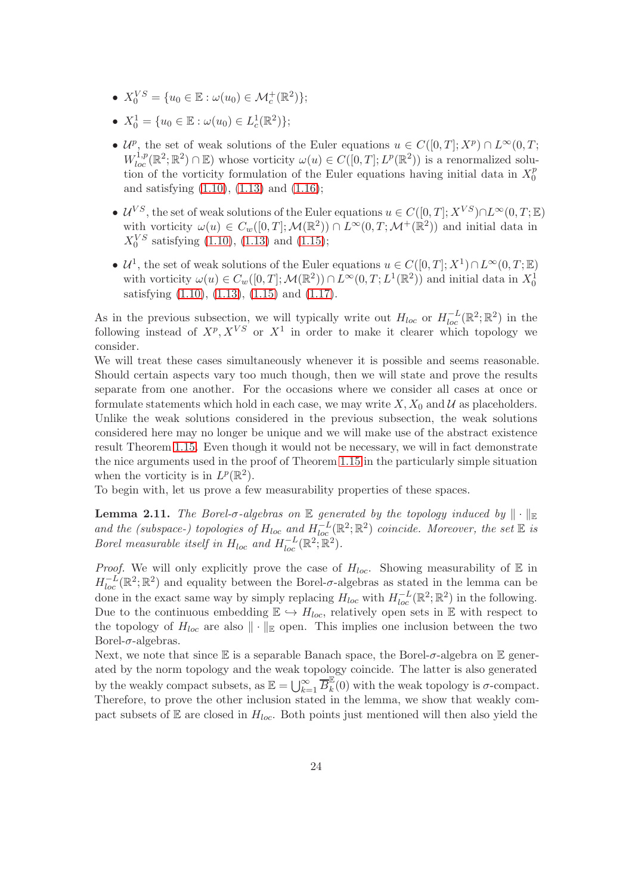- $X_0^{VS} = \{u_0 \in \mathbb{E} : \omega(u_0) \in \mathcal{M}_c^+(\mathbb{R}^2) \};$
- $X_0^1 = \{u_0 \in \mathbb{E} : \omega(u_0) \in L_c^1(\mathbb{R}^2) \};$
- $\mathcal{U}^p$ , the set of weak solutions of the Euler equations  $u \in C([0,T]; X^p) \cap L^{\infty}(0,T;$  $W^{1,p}_{loc}(\mathbb{R}^2;\mathbb{R}^2) \cap \mathbb{E}$  whose vorticity  $\omega(u) \in C([0,T];L^p(\mathbb{R}^2))$  is a renormalized solution of the vorticity formulation of the Euler equations having initial data in  $X_0^p$  $\mathbf{0}$ and satisfying [\(1.10\)](#page-9-3), [\(1.13\)](#page-9-4) and [\(1.16\)](#page-11-2);
- $\mathcal{U}^{VS}$ , the set of weak solutions of the Euler equations  $u \in C([0,T]; X^{VS}) \cap L^{\infty}(0,T; \mathbb{E})$ with vorticity  $\omega(u) \in C_w([0,T]; \mathcal{M}(\mathbb{R}^2)) \cap L^\infty(0,T; \mathcal{M}^+(\mathbb{R}^2))$  and initial data in  $X_0^{VS}$  satisfying [\(1.10\)](#page-9-3), [\(1.13\)](#page-9-4) and [\(1.15\)](#page-10-1);
- $\mathcal{U}^1$ , the set of weak solutions of the Euler equations  $u \in C([0,T]; X^1) \cap L^{\infty}(0,T; \mathbb{E})$ with vorticity  $\omega(u) \in C_w([0,T]; \mathcal{M}(\mathbb{R}^2)) \cap L^\infty(0,T; L^1(\mathbb{R}^2))$  and initial data in  $X_0^1$ satisfying [\(1.10\)](#page-9-3), [\(1.13\)](#page-9-4), [\(1.15\)](#page-10-1) and [\(1.17\)](#page-11-1).

As in the previous subsection, we will typically write out  $H_{loc}$  or  $H_{loc}^{-L}(\mathbb{R}^2;\mathbb{R}^2)$  in the following instead of  $X^p, X^{VS}$  or  $X^1$  in order to make it clearer which topology we consider.

We will treat these cases simultaneously whenever it is possible and seems reasonable. Should certain aspects vary too much though, then we will state and prove the results separate from one another. For the occasions where we consider all cases at once or formulate statements which hold in each case, we may write  $X, X_0$  and  $\mathcal U$  as placeholders. Unlike the weak solutions considered in the previous subsection, the weak solutions considered here may no longer be unique and we will make use of the abstract existence result Theorem [1.15.](#page-14-1) Even though it would not be necessary, we will in fact demonstrate the nice arguments used in the proof of Theorem [1.15](#page-14-1) in the particularly simple situation when the vorticity is in  $L^p(\mathbb{R}^2)$ .

<span id="page-23-0"></span>To begin with, let us prove a few measurability properties of these spaces.

**Lemma 2.11.** The Borel- $\sigma$ -algebras on E generated by the topology induced by  $\|\cdot\|_{\mathbb{E}}$ and the (subspace-) topologies of  $H_{loc}$  and  $H_{loc}^{-L}(\mathbb{R}^2;\mathbb{R}^2)$  coincide. Moreover, the set  $\mathbb E$  is Borel measurable itself in  $H_{loc}$  and  $H_{loc}^{-L}(\mathbb{R}^2;\mathbb{R}^2)$ .

*Proof.* We will only explicitly prove the case of  $H_{loc}$ . Showing measurability of  $E$  in  $H_{loc}^{-L}(\mathbb{R}^2;\mathbb{R}^2)$  and equality between the Borel- $\sigma$ -algebras as stated in the lemma can be done in the exact same way by simply replacing  $H_{loc}$  with  $H_{loc}^{-L}(\mathbb{R}^2;\mathbb{R}^2)$  in the following. Due to the continuous embedding  $\mathbb{E} \hookrightarrow H_{loc}$ , relatively open sets in  $\mathbb E$  with respect to the topology of  $H_{loc}$  are also  $\|\cdot\|_{\mathbb{E}}$  open. This implies one inclusion between the two Borel- $\sigma$ -algebras.

Next, we note that since  $\mathbb E$  is a separable Banach space, the Borel- $\sigma$ -algebra on  $\mathbb E$  generated by the norm topology and the weak topology coincide. The latter is also generated by the weakly compact subsets, as  $\mathbb{E} = \bigcup_{k=1}^{\infty} \overline{B_k^{\mathbb{E}}}$  $\frac{dx}{k}(0)$  with the weak topology is  $\sigma$ -compact. Therefore, to prove the other inclusion stated in the lemma, we show that weakly compact subsets of  $E$  are closed in  $H_{loc}$ . Both points just mentioned will then also yield the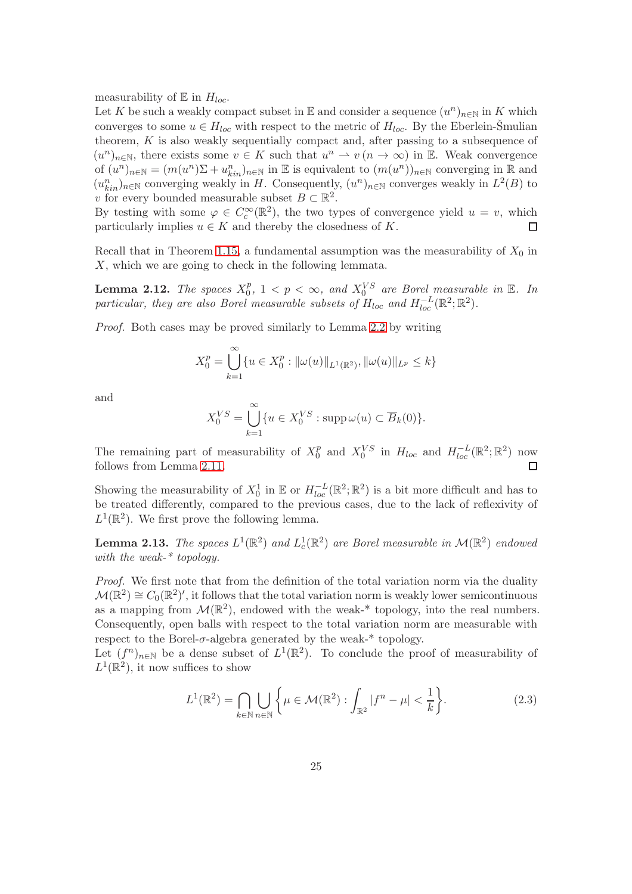measurability of  $E$  in  $H_{loc}$ .

Let K be such a weakly compact subset in  $\mathbb E$  and consider a sequence  $(u^n)_{n\in\mathbb N}$  in K which converges to some  $u \in H_{loc}$  with respect to the metric of  $H_{loc}$ . By the Eberlein-Smulian theorem, K is also weakly sequentially compact and, after passing to a subsequence of  $(u^n)_{n\in\mathbb{N}}$ , there exists some  $v \in K$  such that  $u^n \to v (n \to \infty)$  in E. Weak convergence of  $(u^n)_{n\in\mathbb{N}} = (m(u^n)\Sigma + u_{kin}^n)_{n\in\mathbb{N}}$  in E is equivalent to  $(m(u^n))_{n\in\mathbb{N}}$  converging in R and  $(u_{kin}^n)_{n\in\mathbb{N}}$  converging weakly in H. Consequently,  $(u^n)_{n\in\mathbb{N}}$  converges weakly in  $L^2(B)$  to v for every bounded measurable subset  $B \subset \mathbb{R}^2$ .

By testing with some  $\varphi \in C_c^{\infty}(\mathbb{R}^2)$ , the two types of convergence yield  $u = v$ , which particularly implies  $u \in K$  and thereby the closedness of K.  $\Box$ 

<span id="page-24-2"></span>Recall that in Theorem [1.15,](#page-14-1) a fundamental assumption was the measurability of  $X_0$  in X, which we are going to check in the following lemmata.

**Lemma 2.12.** The spaces  $X_0^p$  $\sum_{i=0}^{p}$ ,  $1 < p < \infty$ , and  $X_0^{VS}$  are Borel measurable in E. In particular, they are also Borel measurable subsets of  $H_{loc}$  and  $H_{loc}^{-L}(\mathbb{R}^2;\mathbb{R}^2)$ .

Proof. Both cases may be proved similarly to Lemma [2.2](#page-18-0) by writing

$$
X_0^p = \bigcup_{k=1}^{\infty} \{ u \in X_0^p : ||\omega(u)||_{L^1(\mathbb{R}^2)}, ||\omega(u)||_{L^p} \le k \}
$$

and

$$
X_0^{VS} = \bigcup_{k=1}^{\infty} \{ u \in X_0^{VS} : \operatorname{supp} \omega(u) \subset \overline{B}_k(0) \}.
$$

The remaining part of measurability of  $X_0^p$  $\frac{p}{0}$  and  $X_0^{VS}$  in  $H_{loc}$  and  $H_{loc}^{-L}(\mathbb{R}^2;\mathbb{R}^2)$  now follows from Lemma [2.11.](#page-23-0) П

Showing the measurability of  $X_0^1$  in  $\mathbb E$  or  $H_{loc}^{-L}(\mathbb R^2;\mathbb R^2)$  is a bit more difficult and has to be treated differently, compared to the previous cases, due to the lack of reflexivity of  $L^1(\mathbb{R}^2)$ . We first prove the following lemma.

<span id="page-24-1"></span>**Lemma 2.13.** The spaces  $L^1(\mathbb{R}^2)$  and  $L^1_c(\mathbb{R}^2)$  are Borel measurable in  $\mathcal{M}(\mathbb{R}^2)$  endowed with the weak-\* topology.

Proof. We first note that from the definition of the total variation norm via the duality  $\mathcal{M}(\mathbb{R}^2) \cong C_0(\mathbb{R}^2)'$ , it follows that the total variation norm is weakly lower semicontinuous as a mapping from  $\mathcal{M}(\mathbb{R}^2)$ , endowed with the weak-\* topology, into the real numbers. Consequently, open balls with respect to the total variation norm are measurable with respect to the Borel- $\sigma$ -algebra generated by the weak- $*$  topology.

Let  $(f^n)_{n\in\mathbb{N}}$  be a dense subset of  $L^1(\mathbb{R}^2)$ . To conclude the proof of measurability of  $L^1(\mathbb{R}^2)$ , it now suffices to show

<span id="page-24-0"></span>
$$
L^{1}(\mathbb{R}^{2}) = \bigcap_{k \in \mathbb{N}} \bigcup_{n \in \mathbb{N}} \left\{ \mu \in \mathcal{M}(\mathbb{R}^{2}) : \int_{\mathbb{R}^{2}} |f^{n} - \mu| < \frac{1}{k} \right\}.
$$
\n
$$
(2.3)
$$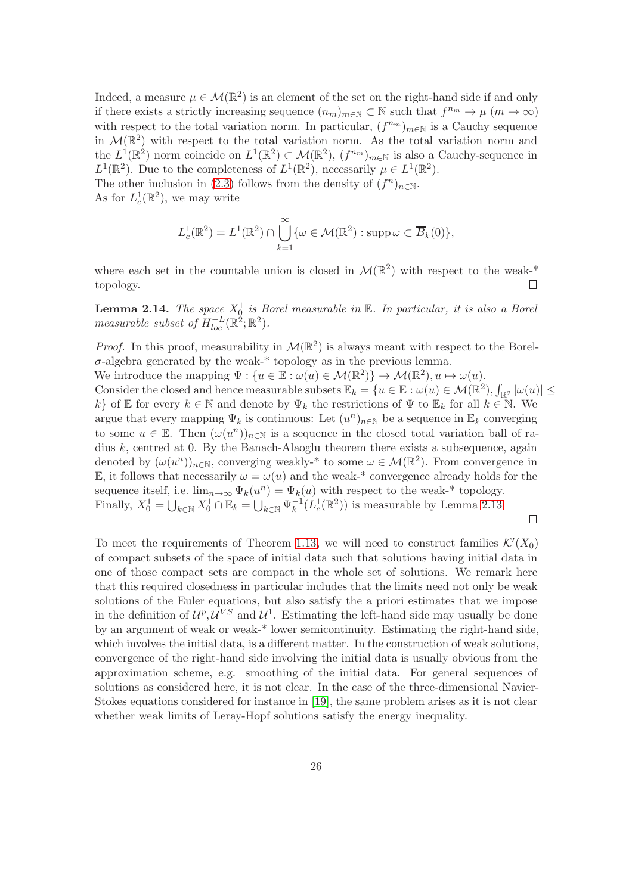Indeed, a measure  $\mu \in \mathcal{M}(\mathbb{R}^2)$  is an element of the set on the right-hand side if and only if there exists a strictly increasing sequence  $(n_m)_{m\in\mathbb{N}}\subset\mathbb{N}$  such that  $f^{n_m}\to\mu$   $(m\to\infty)$ with respect to the total variation norm. In particular,  $(f^{n_m})_{m\in\mathbb{N}}$  is a Cauchy sequence in  $\mathcal{M}(\mathbb{R}^2)$  with respect to the total variation norm. As the total variation norm and the  $L^1(\mathbb{R}^2)$  norm coincide on  $L^1(\mathbb{R}^2) \subset \mathcal{M}(\mathbb{R}^2)$ ,  $(f^{n_m})_{m \in \mathbb{N}}$  is also a Cauchy-sequence in  $L^1(\mathbb{R}^2)$ . Due to the completeness of  $L^1(\mathbb{R}^2)$ , necessarily  $\mu \in L^1(\mathbb{R}^2)$ . The other inclusion in [\(2.3\)](#page-24-0) follows from the density of  $(f^n)_{n\in\mathbb{N}}$ .

As for  $L_c^1(\mathbb{R}^2)$ , we may write

$$
L_c^1(\mathbb{R}^2) = L^1(\mathbb{R}^2) \cap \bigcup_{k=1}^{\infty} \{ \omega \in \mathcal{M}(\mathbb{R}^2) : \operatorname{supp} \omega \subset \overline{B}_k(0) \},\
$$

where each set in the countable union is closed in  $\mathcal{M}(\mathbb{R}^2)$  with respect to the weak-\* topology.  $\Box$ 

<span id="page-25-0"></span>**Lemma 2.14.** The space  $X_0^1$  is Borel measurable in  $\mathbb{E}$ . In particular, it is also a Borel measurable subset of  $H^{-L}_{loc}(\mathbb{R}^2;\mathbb{R}^2)$ .

*Proof.* In this proof, measurability in  $\mathcal{M}(\mathbb{R}^2)$  is always meant with respect to the Borel- $\sigma$ -algebra generated by the weak-\* topology as in the previous lemma.

We introduce the mapping  $\Psi : \{u \in \mathbb{E} : \omega(u) \in \mathcal{M}(\mathbb{R}^2) \} \to \mathcal{M}(\mathbb{R}^2), u \mapsto \omega(u)$ .

Consider the closed and hence measurable subsets  $\mathbb{E}_k = \{u \in \mathbb{E} : \omega(u) \in \mathcal{M}(\mathbb{R}^2), \int_{\mathbb{R}^2} |\omega(u)| \le$ k} of E for every  $k \in \mathbb{N}$  and denote by  $\Psi_k$  the restrictions of  $\Psi$  to  $\mathbb{E}_k$  for all  $k \in \mathbb{N}$ . We argue that every mapping  $\Psi_k$  is continuous: Let  $(u^n)_{n\in\mathbb{N}}$  be a sequence in  $\mathbb{E}_k$  converging to some  $u \in \mathbb{E}$ . Then  $(\omega(u^n))_{n \in \mathbb{N}}$  is a sequence in the closed total variation ball of radius  $k$ , centred at 0. By the Banach-Alaoglu theorem there exists a subsequence, again denoted by  $(\omega(u^n))_{n\in\mathbb{N}}$ , converging weakly-\* to some  $\omega \in \mathcal{M}(\mathbb{R}^2)$ . From convergence in E, it follows that necessarily  $\omega = \omega(u)$  and the weak-\* convergence already holds for the sequence itself, i.e.  $\lim_{n\to\infty} \Psi_k(u^n) = \Psi_k(u)$  with respect to the weak-\* topology. Finally,  $X_0^1 = \bigcup_{k \in \mathbb{N}} X_0^1 \cap \mathbb{E}_k = \bigcup_{k \in \mathbb{N}} \Psi_k^{-1}$  $\binom{-1}{k}(L_c^1(\mathbb{R}^2))$  is measurable by Lemma [2.13.](#page-24-1)  $\Box$ 

To meet the requirements of Theorem [1.13,](#page-14-0) we will need to construct families  $\mathcal{K}'(X_0)$ of compact subsets of the space of initial data such that solutions having initial data in one of those compact sets are compact in the whole set of solutions. We remark here that this required closedness in particular includes that the limits need not only be weak solutions of the Euler equations, but also satisfy the a priori estimates that we impose in the definition of  $\mathcal{U}^p$ ,  $\mathcal{U}^{VS}$  and  $\mathcal{U}^1$ . Estimating the left-hand side may usually be done by an argument of weak or weak-\* lower semicontinuity. Estimating the right-hand side, which involves the initial data, is a different matter. In the construction of weak solutions, convergence of the right-hand side involving the initial data is usually obvious from the approximation scheme, e.g. smoothing of the initial data. For general sequences of solutions as considered here, it is not clear. In the case of the three-dimensional Navier-Stokes equations considered for instance in [\[19\]](#page-43-4), the same problem arises as it is not clear whether weak limits of Leray-Hopf solutions satisfy the energy inequality.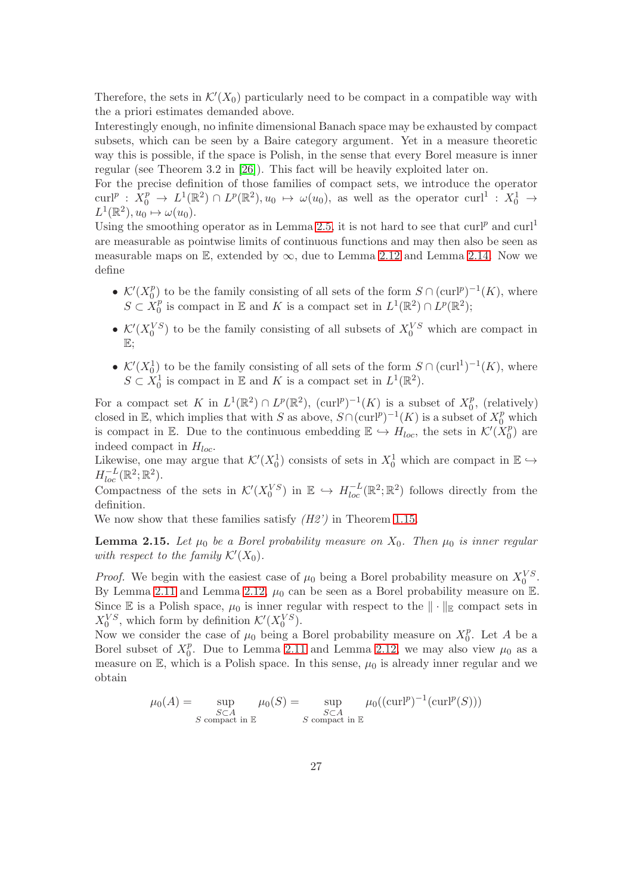Therefore, the sets in  $\mathcal{K}'(X_0)$  particularly need to be compact in a compatible way with the a priori estimates demanded above.

Interestingly enough, no infinite dimensional Banach space may be exhausted by compact subsets, which can be seen by a Baire category argument. Yet in a measure theoretic way this is possible, if the space is Polish, in the sense that every Borel measure is inner regular (see Theorem 3.2 in [\[26\]](#page-44-13)). This fact will be heavily exploited later on.

For the precise definition of those families of compact sets, we introduce the operator  $\text{curl}^p: X_0^p \to L^1(\mathbb{R}^2) \cap L^p(\mathbb{R}^2), u_0 \mapsto \omega(u_0)$ , as well as the operator  $\text{curl}^1: X_0^1 \to$  $L^1(\mathbb{R}^2), u_0 \mapsto \omega(u_0).$ 

Using the smoothing operator as in Lemma [2.5,](#page-20-1) it is not hard to see that  $\text{curl}^p$  and  $\text{curl}^1$ are measurable as pointwise limits of continuous functions and may then also be seen as measurable maps on  $\mathbb{E}$ , extended by  $\infty$ , due to Lemma [2.12](#page-24-2) and Lemma [2.14.](#page-25-0) Now we define

- $\mathcal{K}'(X_0^p)$  $\binom{p}{0}$  to be the family consisting of all sets of the form  $S \cap (\text{curl}^p)^{-1}(K)$ , where  $S \subset X_0^p$  $_{0}^{p}$  is compact in E and K is a compact set in  $L^{1}(\mathbb{R}^{2}) \cap L^{p}(\mathbb{R}^{2})$ ;
- $\mathcal{K}'(X_0^{VS})$  to be the family consisting of all subsets of  $X_0^{VS}$  which are compact in E;
- $\mathcal{K}'(X_0^1)$  to be the family consisting of all sets of the form  $S \cap (\text{curl}^1)^{-1}(K)$ , where  $S \subset X_0^1$  is compact in  $\mathbb E$  and  $K$  is a compact set in  $L^1(\mathbb{R}^2)$ .

For a compact set K in  $L^1(\mathbb{R}^2) \cap L^p(\mathbb{R}^2)$ ,  $(\text{curl}^p)^{-1}(K)$  is a subset of  $X_0^p$  $_0^p$ , (relatively) closed in E, which implies that with S as above,  $S \cap (\text{curl}^p)^{-1}(K)$  is a subset of  $X_0^p$  which is compact in E. Due to the continuous embedding  $\mathbb{E} \hookrightarrow H_{loc}$ , the sets in  $\mathcal{K}'(\check{X}_0^p)$  $\binom{p}{0}$  are indeed compact in  $H_{loc}$ .

Likewise, one may argue that  $\mathcal{K}'(X_0^1)$  consists of sets in  $X_0^1$  which are compact in  $\mathbb{E} \hookrightarrow$  $H^{-L}_{loc}(\mathbb{R}^2;\mathbb{R}^2).$ 

Compactness of the sets in  $\mathcal{K}'(X_0^{VS})$  in  $\mathbb{E} \hookrightarrow H_{loc}^{-L}(\mathbb{R}^2;\mathbb{R}^2)$  follows directly from the definition.

<span id="page-26-0"></span>We now show that these families satisfy  $(H2')$  in Theorem [1.15.](#page-14-1)

**Lemma 2.15.** Let  $\mu_0$  be a Borel probability measure on  $X_0$ . Then  $\mu_0$  is inner regular with respect to the family  $\mathcal{K}'(X_0)$ .

*Proof.* We begin with the easiest case of  $\mu_0$  being a Borel probability measure on  $X_0^{VS}$ . By Lemma [2.11](#page-23-0) and Lemma [2.12,](#page-24-2)  $\mu_0$  can be seen as a Borel probability measure on E. Since E is a Polish space,  $\mu_0$  is inner regular with respect to the  $\|\cdot\|_{\mathbb{E}}$  compact sets in  $X_0^{VS}$ , which form by definition  $\mathcal{K}'(X_0^{VS})$ .

Now we consider the case of  $\mu_0$  being a Borel probability measure on  $X_0^p$  $_0^p$ . Let A be a Borel subset of  $X_0^p$  $_0^p$ . Due to Lemma [2.11](#page-23-0) and Lemma [2.12,](#page-24-2) we may also view  $\mu_0$  as a measure on  $\mathbb{E}$ , which is a Polish space. In this sense,  $\mu_0$  is already inner regular and we obtain

$$
\mu_0(A) = \sup_{\substack{S \subset A \\ S \text{ compact in } \mathbb{E}}} \mu_0(S) = \sup_{\substack{S \subset A \\ S \text{ compact in } \mathbb{E}}} \mu_0((\text{curl}^p)^{-1}(\text{curl}^p(S)))
$$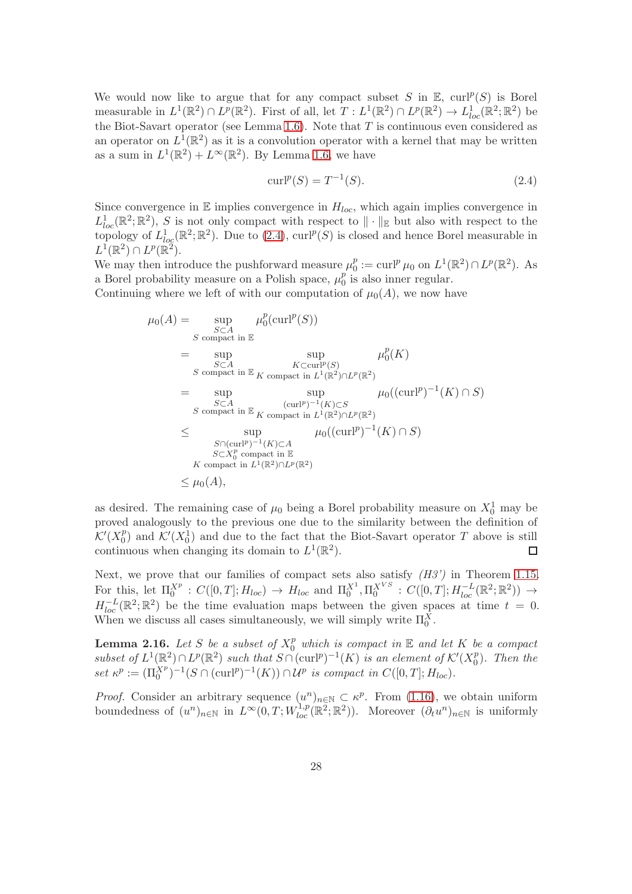We would now like to argue that for any compact subset S in  $\mathbb{E}$ ,  $\mathrm{curl}^p(S)$  is Borel measurable in  $L^1(\mathbb{R}^2) \cap L^p(\mathbb{R}^2)$ . First of all, let  $T: L^1(\mathbb{R}^2) \cap L^p(\mathbb{R}^2) \to L^1_{loc}(\mathbb{R}^2; \mathbb{R}^2)$  be the Biot-Savart operator (see Lemma [1.6\)](#page-7-4). Note that  $T$  is continuous even considered as an operator on  $L^1(\mathbb{R}^2)$  as it is a convolution operator with a kernel that may be written as a sum in  $L^1(\mathbb{R}^2) + L^{\infty}(\mathbb{R}^2)$ . By Lemma [1.6,](#page-7-4) we have

<span id="page-27-0"></span>
$$
curl^{p}(S) = T^{-1}(S).
$$
\n(2.4)

Since convergence in  $E$  implies convergence in  $H_{loc}$ , which again implies convergence in  $L^1_{loc}(\mathbb{R}^2;\mathbb{R}^2)$ , S is not only compact with respect to  $\|\cdot\|_{\mathbb{E}}$  but also with respect to the topology of  $L^1_{log}(\mathbb{R}^2;\mathbb{R}^2)$ . Due to  $(2.4)$ ,  $curl^p(S)$  is closed and hence Borel measurable in  $L^1(\mathbb{R}^2) \cap L^p(\mathbb{R}^2).$ 

We may then introduce the pushforward measure  $\mu_0^p$  $D_0^p := \operatorname{curl}^p \mu_0$  on  $L^1(\mathbb{R}^2) \cap L^p(\mathbb{R}^2)$ . As a Borel probability measure on a Polish space,  $\mu_0^p$  $_0^p$  is also inner regular.

Continuing where we left of with our computation of  $\mu_0(A)$ , we now have

$$
\mu_0(A) = \sup_{S \subset A} \mu_0^p(\text{curl}^p(S))
$$
\n
$$
= \sup_{S \subset A} \sup_{S \subset \text{compact in } \mathbb{E}} \mu_0^p(K)
$$
\n
$$
= \sup_{S \subset A} \sup_{K \subset \text{curl}^p(S)} \mu_0^p(K)
$$
\n
$$
= \sup_{S \subset A} \sup_{S \subset \text{compact in } L^1(\mathbb{R}^2) \cap L^p(\mathbb{R}^2)} \mu_0((\text{curl}^p)^{-1}(K) \cap S)
$$
\n
$$
= \sup_{S \subset A} \sup_{\text{compact in } \mathbb{E}_K} \mu_0((\text{curl}^p)^{-1}(K) \cap S)
$$
\n
$$
\leq \sup_{S \cap (\text{curl}^p)^{-1}(K) \subset A} \mu_0((\text{curl}^p)^{-1}(K) \cap S)
$$
\n
$$
= K \text{ compact in } \mathbb{E}
$$
\n
$$
K \text{ compact in } L^1(\mathbb{R}^2) \cap L^p(\mathbb{R}^2)
$$
\n
$$
\leq \mu_0(A),
$$

as desired. The remaining case of  $\mu_0$  being a Borel probability measure on  $X_0^1$  may be proved analogously to the previous one due to the similarity between the definition of  $\mathcal{K}'(X^p_0)$  $\binom{p}{0}$  and  $\mathcal{K}'(X_0^1)$  and due to the fact that the Biot-Savart operator T above is still continuous when changing its domain to  $L^1(\mathbb{R}^2)$ .  $\Box$ 

Next, we prove that our families of compact sets also satisfy  $(H3')$  in Theorem [1.15.](#page-14-1) For this, let  $\Pi_0^{X^p}: C([0,T]; H_{loc}) \to H_{loc}$  and  $\Pi_0^{X^1}, \Pi_0^{X^{VS}}: C([0,T]; H_{loc}^{-L}(\mathbb{R}^2; \mathbb{R}^2)) \to$  $H_{loc}^{-L}(\mathbb{R}^2;\mathbb{R}^2)$  be the time evaluation maps between the given spaces at time  $t = 0$ . When we discuss all cases simultaneously, we will simply write  $\Pi_0^X$ .

<span id="page-27-1"></span>**Lemma 2.16.** Let S be a subset of  $X_0^p$  which is compact in  $\mathbb E$  and let K be a compact subset of  $L^1(\mathbb{R}^2) \cap L^p(\mathbb{R}^2)$  such that  $S \cap (\text{curl}^p)^{-1}(K)$  is an element of  $\mathcal{K}'(X_0^p)$  $\binom{p}{0}$ . Then the set  $\kappa^p := (\Pi_0^{X^p})^{-1}(S \cap (\text{curl}^p)^{-1}(K)) \cap \mathcal{U}^p$  is compact in  $C([0,T]; H_{loc})$ .

*Proof.* Consider an arbitrary sequence  $(u^n)_{n \in \mathbb{N}} \subset \kappa^p$ . From [\(1.16\)](#page-11-2), we obtain uniform boundedness of  $(u^n)_{n\in\mathbb{N}}$  in  $L^{\infty}(0,T;W_{loc}^{1,p}(\mathbb{R}^2;\mathbb{R}^2))$ . Moreover  $(\partial_t u^n)_{n\in\mathbb{N}}$  is uniformly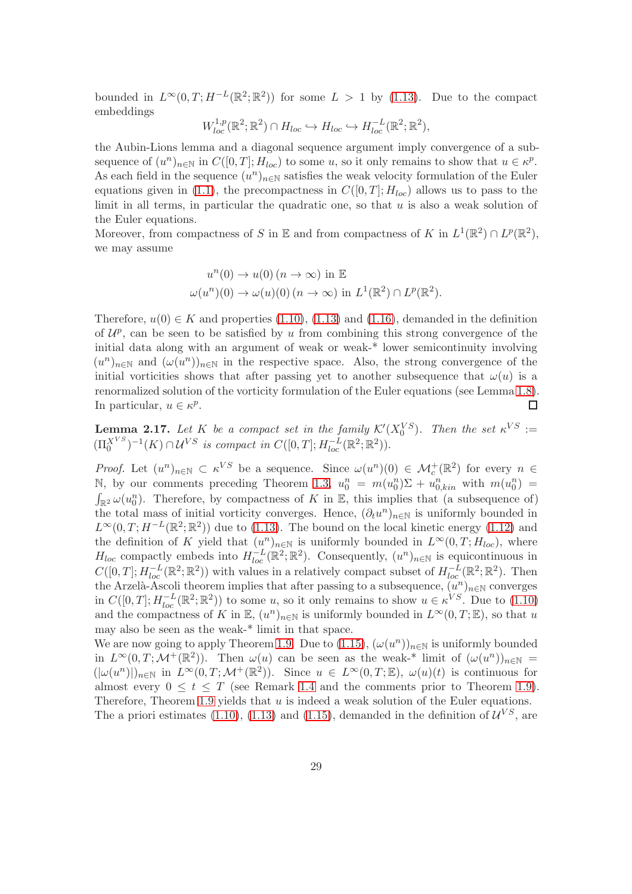bounded in  $L^{\infty}(0,T;H^{-L}(\mathbb{R}^2;\mathbb{R}^2))$  for some  $L > 1$  by [\(1.13\)](#page-9-4). Due to the compact embeddings

$$
W_{loc}^{1,p}(\mathbb{R}^2;\mathbb{R}^2)\cap H_{loc}\hookrightarrow H_{loc}\hookrightarrow H_{loc}^{-L}(\mathbb{R}^2;\mathbb{R}^2),
$$

the Aubin-Lions lemma and a diagonal sequence argument imply convergence of a subsequence of  $(u^n)_{n\in\mathbb{N}}$  in  $C([0,T]; H_{loc})$  to some u, so it only remains to show that  $u \in \kappa^p$ . As each field in the sequence  $(u^n)_{n\in\mathbb{N}}$  satisfies the weak velocity formulation of the Euler equations given in [\(1.1\)](#page-4-0), the precompactness in  $C([0,T]; H_{loc})$  allows us to pass to the limit in all terms, in particular the quadratic one, so that  $u$  is also a weak solution of the Euler equations.

Moreover, from compactness of S in E and from compactness of K in  $L^1(\mathbb{R}^2) \cap L^p(\mathbb{R}^2)$ , we may assume

$$
u^{n}(0) \to u(0) \ (n \to \infty) \text{ in } \mathbb{E}
$$
  

$$
\omega(u^{n})(0) \to \omega(u)(0) \ (n \to \infty) \text{ in } L^{1}(\mathbb{R}^{2}) \cap L^{p}(\mathbb{R}^{2}).
$$

Therefore,  $u(0) \in K$  and properties [\(1.10\)](#page-9-3), [\(1.13\)](#page-9-4) and [\(1.16\)](#page-11-2), demanded in the definition of  $\mathcal{U}^p$ , can be seen to be satisfied by u from combining this strong convergence of the initial data along with an argument of weak or weak-\* lower semicontinuity involving  $(u^n)_{n\in\mathbb{N}}$  and  $(\omega(u^n))_{n\in\mathbb{N}}$  in the respective space. Also, the strong convergence of the initial vorticities shows that after passing yet to another subsequence that  $\omega(u)$  is a renormalized solution of the vorticity formulation of the Euler equations (see Lemma [1.8\)](#page-10-2). In particular,  $u \in \kappa^p$ .  $\Box$ 

<span id="page-28-0"></span>**Lemma 2.17.** Let K be a compact set in the family  $\mathcal{K}'(X_0^{VS})$ . Then the set  $\kappa^{VS}$  :=  $(\Pi_0^{X^{VS}})^{-1}(K) \cap \mathcal{U}^{VS}$  is compact in  $C([0,T]; H^{-L}_{loc}(\mathbb{R}^2; \mathbb{R}^2)).$ 

*Proof.* Let  $(u^n)_{n\in\mathbb{N}}\subset \kappa^{VS}$  be a sequence. Since  $\omega(u^n)(0)\in \mathcal{M}_c^+(\mathbb{R}^2)$  for every  $n\in\mathbb{N}$ N, by our comments preceding Theorem [1.3,](#page-6-0)  $u_0^n = m(u_0^n)\Sigma + u_{0,kin}^n$  with  $m(u_0^n) =$  $\int_{\mathbb{R}^2} \omega(u_0^n)$ . Therefore, by compactness of K in E, this implies that (a subsequence of) the total mass of initial vorticity converges. Hence,  $(\partial_t u^n)_{n\in\mathbb{N}}$  is uniformly bounded in  $L^{\infty}(0,T;H^{-L}(\mathbb{R}^2;\mathbb{R}^2))$  due to [\(1.13\)](#page-9-4). The bound on the local kinetic energy [\(1.12\)](#page-9-1) and the definition of K yield that  $(u^n)_{n\in\mathbb{N}}$  is uniformly bounded in  $L^{\infty}(0,T;H_{loc})$ , where  $H_{loc}$  compactly embeds into  $H_{loc}^{-L}(\mathbb{R}^2;\mathbb{R}^2)$ . Consequently,  $(u^n)_{n\in\mathbb{N}}$  is equicontinuous in  $C([0,T];H_{loc}^{-L}(\mathbb{R}^2;\mathbb{R}^2))$  with values in a relatively compact subset of  $H_{loc}^{-L}(\mathbb{R}^2;\mathbb{R}^2)$ . Then the Arzelà-Ascoli theorem implies that after passing to a subsequence,  $(u^n)_{n\in\mathbb{N}}$  converges in  $C([0,T]; H_{loc}^{-L}(\mathbb{R}^2; \mathbb{R}^2))$  to some u, so it only remains to show  $u \in \kappa^{VS}$ . Due to  $(1.10)$ and the compactness of K in  $\mathbb{E}$ ,  $(u^n)_{n\in\mathbb{N}}$  is uniformly bounded in  $L^{\infty}(0,T;\mathbb{E})$ , so that u may also be seen as the weak-\* limit in that space.

We are now going to apply Theorem [1.9.](#page-11-0) Due to  $(1.15)$ ,  $(\omega(u^n))_{n\in\mathbb{N}}$  is uniformly bounded in  $L^{\infty}(0,T; \mathcal{M}^+(\mathbb{R}^2))$ . Then  $\omega(u)$  can be seen as the weak-\* limit of  $(\omega(u^n))_{n\in\mathbb{N}}=$  $(|\omega(u^n)|)_{n\in\mathbb{N}}$  in  $L^{\infty}(0,T;\mathcal{M}^+(\mathbb{R}^2))$ . Since  $u \in L^{\infty}(0,T;\mathbb{E})$ ,  $\omega(u)(t)$  is continuous for almost every  $0 \leq t \leq T$  (see Remark [1.4](#page-7-1) and the comments prior to Theorem [1.9\)](#page-11-0). Therefore, Theorem [1.9](#page-11-0) yields that  $u$  is indeed a weak solution of the Euler equations. The a priori estimates [\(1.10\)](#page-9-3), [\(1.13\)](#page-9-4) and [\(1.15\)](#page-10-1), demanded in the definition of  $\mathcal{U}^{VS}$ , are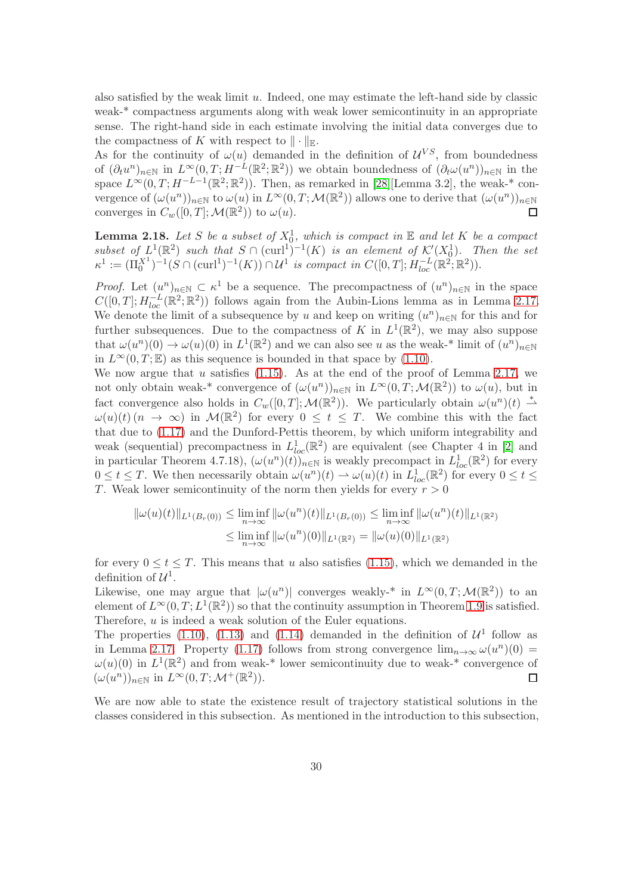also satisfied by the weak limit  $u$ . Indeed, one may estimate the left-hand side by classic weak-\* compactness arguments along with weak lower semicontinuity in an appropriate sense. The right-hand side in each estimate involving the initial data converges due to the compactness of K with respect to  $\|\cdot\|_{\mathbb{E}}$ .

As for the continuity of  $\omega(u)$  demanded in the definition of  $\mathcal{U}^{VS}$ , from boundedness of  $(\partial_t u^n)_{n\in\mathbb{N}}$  in  $L^{\infty}(0,T;H^{-L}(\mathbb{R}^2;\mathbb{R}^2))$  we obtain boundedness of  $(\partial_t \omega(u^n))_{n\in\mathbb{N}}$  in the space  $L^{\infty}(0,T;H^{-L-1}(\mathbb{R}^2;\mathbb{R}^2))$ . Then, as remarked in [\[28\]](#page-44-10)[Lemma 3.2], the weak-\* convergence of  $(\omega(u^n))_{n\in\mathbb{N}}$  to  $\omega(u)$  in  $L^{\infty}(0,T;\mathcal{M}(\mathbb{R}^2))$  allows one to derive that  $(\omega(u^n))_{n\in\mathbb{N}}$ converges in  $C_w([0,T];\mathcal{M}(\mathbb{R}^2))$  to  $\omega(u)$ .  $\Box$ 

<span id="page-29-0"></span>**Lemma 2.18.** Let S be a subset of  $X_0^1$ , which is compact in  $\mathbb E$  and let K be a compact subset of  $L^1(\mathbb{R}^2)$  such that  $S \cap (\text{curl}^1)^{-1}(K)$  is an element of  $\mathcal{K}'(X_0^1)$ . Then the set  $\kappa^1 := (\Pi_0^{X^1})^{-1} (S \cap (\text{curl}^1)^{-1}(K)) \cap \mathcal{U}^1$  is compact in  $C([0,T]; H^{-L}_{loc}(\mathbb{R}^2; \mathbb{R}^2)).$ 

*Proof.* Let  $(u^n)_{n\in\mathbb{N}}\subset \kappa^1$  be a sequence. The precompactness of  $(u^n)_{n\in\mathbb{N}}$  in the space  $C([0,T]; H_{loc}^{-L}(\mathbb{R}^2; \mathbb{R}^2))$  follows again from the Aubin-Lions lemma as in Lemma [2.17.](#page-28-0) We denote the limit of a subsequence by u and keep on writing  $(u^n)_{n\in\mathbb{N}}$  for this and for further subsequences. Due to the compactness of K in  $L^1(\mathbb{R}^2)$ , we may also suppose that  $\omega(u^n)(0) \to \omega(u)(0)$  in  $L^1(\mathbb{R}^2)$  and we can also see u as the weak-\* limit of  $(u^n)_{n \in \mathbb{N}}$ in  $L^{\infty}(0,T;\mathbb{E})$  as this sequence is bounded in that space by [\(1.10\)](#page-9-3).

We now argue that  $u$  satisfies [\(1.15\)](#page-10-1). As at the end of the proof of Lemma [2.17,](#page-28-0) we not only obtain weak-\* convergence of  $(\omega(u^n))_{n\in\mathbb{N}}$  in  $L^{\infty}(0,T;\mathcal{M}(\mathbb{R}^2))$  to  $\omega(u)$ , but in fact convergence also holds in  $C_w([0,T];\mathcal{M}(\mathbb{R}^2))$ . We particularly obtain  $\omega(u^n)(t) \stackrel{*}{\rightharpoonup}$  $\omega(u)(t)$   $(n \to \infty)$  in  $\mathcal{M}(\mathbb{R}^2)$  for every  $0 \le t \le T$ . We combine this with the fact that due to [\(1.17\)](#page-11-1) and the Dunford-Pettis theorem, by which uniform integrability and weak (sequential) precompactness in  $L_{loc}^1(\mathbb{R}^2)$  are equivalent (see Chapter 4 in [\[2\]](#page-42-4) and in particular Theorem 4.7.18),  $(\omega(u^n)(t))_{n\in\mathbb{N}}$  is weakly precompact in  $L^1_{loc}(\mathbb{R}^2)$  for every  $0 \le t \le T$ . We then necessarily obtain  $\omega(u^n)(t) \to \omega(u)(t)$  in  $L^1_{loc}(\mathbb{R}^2)$  for every  $0 \le t \le T$ . T. Weak lower semicontinuity of the norm then yields for every  $r > 0$ 

$$
\|\omega(u)(t)\|_{L^1(B_r(0))} \leq \liminf_{n \to \infty} \|\omega(u^n)(t)\|_{L^1(B_r(0))} \leq \liminf_{n \to \infty} \|\omega(u^n)(t)\|_{L^1(\mathbb{R}^2)}
$$
  

$$
\leq \liminf_{n \to \infty} \|\omega(u^n)(0)\|_{L^1(\mathbb{R}^2)} = \|\omega(u)(0)\|_{L^1(\mathbb{R}^2)}
$$

for every  $0 \le t \le T$ . This means that u also satisfies [\(1.15\)](#page-10-1), which we demanded in the definition of  $\mathcal{U}^1$ .

Likewise, one may argue that  $|\omega(u^n)|$  converges weakly-<sup>\*</sup> in  $L^{\infty}(0,T; \mathcal{M}(\mathbb{R}^2))$  to an element of  $L^{\infty}(0,T; L^{1}(\mathbb{R}^{2}))$  so that the continuity assumption in Theorem [1.9](#page-11-0) is satisfied. Therefore, u is indeed a weak solution of the Euler equations.

The properties [\(1.10\)](#page-9-3), [\(1.13\)](#page-9-4) and [\(1.14\)](#page-10-0) demanded in the definition of  $\mathcal{U}^1$  follow as in Lemma [2.17.](#page-28-0) Property [\(1.17\)](#page-11-1) follows from strong convergence  $\lim_{n\to\infty} \omega(u^n)(0) =$  $\omega(u)(0)$  in  $L^1(\mathbb{R}^2)$  and from weak-\* lower semicontinuity due to weak-\* convergence of  $(\omega(u^n))_{n \in \mathbb{N}}$  in  $L^{\infty}(0,T; \mathcal{M}^+(\mathbb{R}^2)).$  $\Box$ 

We are now able to state the existence result of trajectory statistical solutions in the classes considered in this subsection. As mentioned in the introduction to this subsection,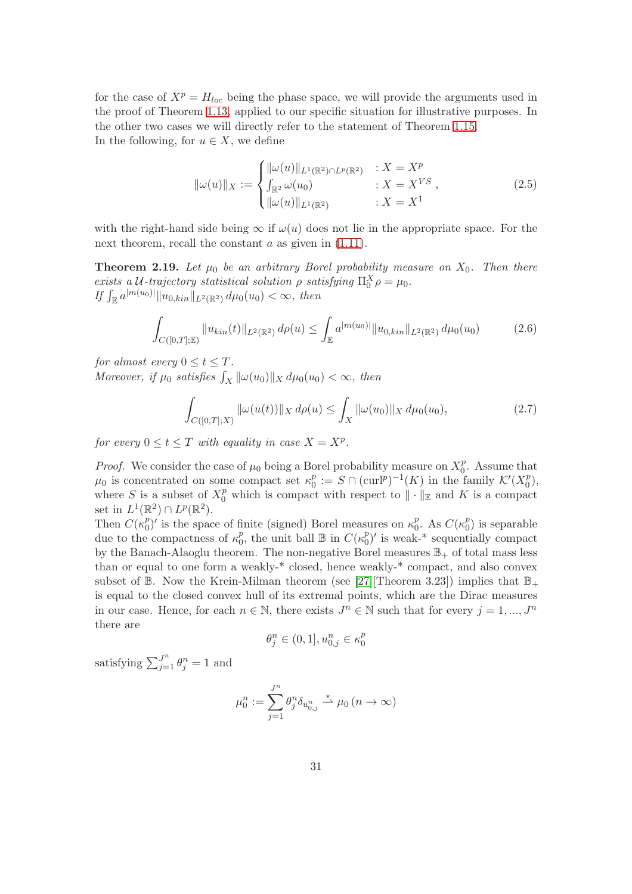for the case of  $X^p = H_{loc}$  being the phase space, we will provide the arguments used in the proof of Theorem [1.13,](#page-14-0) applied to our specific situation for illustrative purposes. In the other two cases we will directly refer to the statement of Theorem [1.15.](#page-14-1) In the following, for  $u \in X$ , we define

<span id="page-30-3"></span>
$$
\|\omega(u)\|_{X} := \begin{cases} \|\omega(u)\|_{L^{1}(\mathbb{R}^{2}) \cap L^{p}(\mathbb{R}^{2})} & : X = X^{p} \\ \int_{\mathbb{R}^{2}} \omega(u_{0}) & : X = X^{VS} \\ \|\omega(u)\|_{L^{1}(\mathbb{R}^{2})} & : X = X^{1} \end{cases}
$$
(2.5)

<span id="page-30-2"></span>with the right-hand side being  $\infty$  if  $\omega(u)$  does not lie in the appropriate space. For the next theorem, recall the constant  $a$  as given in  $(1.11)$ .

**Theorem 2.19.** Let  $\mu_0$  be an arbitrary Borel probability measure on  $X_0$ . Then there exists a U-trajectory statistical solution  $\rho$  satisfying  $\Pi_0^X \rho = \mu_0$ . If  $\int_{\mathbb{E}} a^{|m(u_0)|} ||u_{0,kin}||_{L^2(\mathbb{R}^2)} d\mu_0(u_0) < \infty$ , then

<span id="page-30-0"></span>
$$
\int_{C([0,T];\mathbb{E})} \|u_{kin}(t)\|_{L^2(\mathbb{R}^2)} d\rho(u) \le \int_{\mathbb{E}} a^{|m(u_0)|} \|u_{0,kin}\|_{L^2(\mathbb{R}^2)} d\mu_0(u_0) \tag{2.6}
$$

for almost every  $0 \le t \le T$ .

Moreover, if  $\mu_0$  satisfies  $\int_X ||\omega(u_0)||_X d\mu_0(u_0) < \infty$ , then

<span id="page-30-1"></span>
$$
\int_{C([0,T];X)} \|\omega(u(t))\|_X \, d\rho(u) \le \int_X \|\omega(u_0)\|_X \, d\mu_0(u_0),\tag{2.7}
$$

for every  $0 \le t \le T$  with equality in case  $X = X^p$ .

*Proof.* We consider the case of  $\mu_0$  being a Borel probability measure on  $X_0^p$  $_{0}^{p}$ . Assume that  $\mu_0$  is concentrated on some compact set  $\kappa_0^p$  $\mathcal{C}^p_0 := S \cap (\text{curl}^p)^{-1}(K)$  in the family  $\mathcal{K}'(X_0^p)$  $_{0}^{p}),$ where S is a subset of  $X_0^p$  which is compact with respect to  $\|\cdot\|_{\mathbb{E}}$  and K is a compact set in  $L^1(\mathbb{R}^2) \cap L^p(\mathbb{R}^2)$ .

Then  $C(\kappa_0^p)$  $\binom{p}{0}$  is the space of finite (signed) Borel measures on  $\kappa_0^p$  $_0^p$ . As  $C(\kappa_0^p)$  $\binom{p}{0}$  is separable due to the compactness of  $\kappa_0^p$  $_0^p$ , the unit ball  $\mathbb B$  in  $C(\kappa_0^p)$  $_{0}^{p}$ )' is weak-\* sequentially compact by the Banach-Alaoglu theorem. The non-negative Borel measures  $\mathbb{B}_+$  of total mass less than or equal to one form a weakly-\* closed, hence weakly-\* compact, and also convex subset of  $\mathbb B$ . Now the Krein-Milman theorem (see [\[27\]](#page-44-14)[Theorem 3.23]) implies that  $\mathbb B_+$ is equal to the closed convex hull of its extremal points, which are the Dirac measures in our case. Hence, for each  $n \in \mathbb{N}$ , there exists  $J^n \in \mathbb{N}$  such that for every  $j = 1, ..., J^n$ there are

$$
\theta_j^n \in (0,1], u_{0,j}^n \in \kappa_0^p
$$

satisfying  $\sum_{j=1}^{J^n} \theta_j^n = 1$  and

$$
\mu_0^n := \sum_{j=1}^{J^n} \theta_j^n \delta_{u_{0,j}^n} \stackrel{*}{\rightharpoonup} \mu_0 \ (n \to \infty)
$$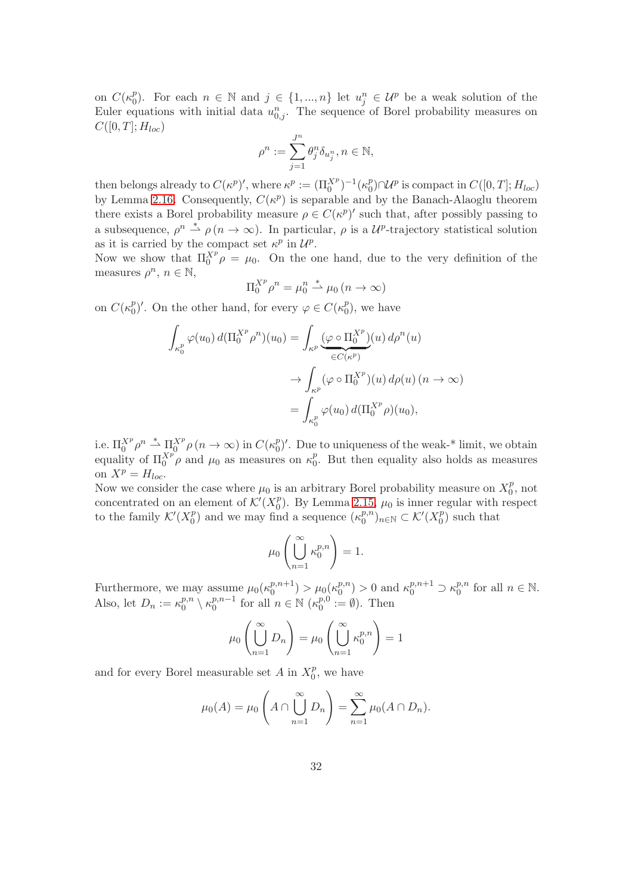on  $C(\kappa_0^p)$ <sup>p</sup><sub>0</sub>). For each  $n \in \mathbb{N}$  and  $j \in \{1, ..., n\}$  let  $u_j^n \in \mathcal{U}^p$  be a weak solution of the Euler equations with initial data  $u_{0,j}^n$ . The sequence of Borel probability measures on  $C([0, T]; H_{loc})$ 

$$
\rho^n := \sum_{j=1}^{J^n} \theta_j^n \delta_{u_j^n}, n \in \mathbb{N},
$$

then belongs already to  $C(\kappa^p)'$ , where  $\kappa^p := (\Pi_0^{X^p})^{-1} (\kappa_0^p)$ <sup>p</sup><sub>0</sub>)∩ $U^p$  is compact in  $C([0,T]; H_{loc})$ by Lemma [2.16.](#page-27-1) Consequently,  $C(\kappa^p)$  is separable and by the Banach-Alaoglu theorem there exists a Borel probability measure  $\rho \in C(\kappa^p)'$  such that, after possibly passing to a subsequence,  $\rho^n \stackrel{*}{\rightharpoonup} \rho (n \to \infty)$ . In particular,  $\rho$  is a  $\mathcal{U}^p$ -trajectory statistical solution as it is carried by the compact set  $\kappa^p$  in  $\mathcal{U}^p$ .

Now we show that  $\Pi_0^{X^p} \rho = \mu_0$ . On the one hand, due to the very definition of the measures  $\rho^n$ ,  $n \in \mathbb{N}$ ,

$$
\Pi_0^{X^p} \rho^n = \mu_0^n \stackrel{*}{\rightharpoonup} \mu_0 \ (n \to \infty)
$$

on  $C(\kappa_0^p)$  $\binom{p}{0}'$ . On the other hand, for every  $\varphi \in C(\kappa_0^p)$  $_0^p$ , we have

$$
\int_{\kappa_0^p} \varphi(u_0) d(\Pi_0^{X^p} \rho^n)(u_0) = \int_{\kappa^p} \underbrace{(\varphi \circ \Pi_0^{X^p})}_{\in C(\kappa^p)}(u) d\rho^n(u)
$$
\n
$$
\to \int_{\kappa^p} (\varphi \circ \Pi_0^{X^p})(u) d\rho(u) \quad (n \to \infty)
$$
\n
$$
= \int_{\kappa_0^p} \varphi(u_0) d(\Pi_0^{X^p} \rho)(u_0),
$$

i.e.  $\Pi_0^{X^p}\rho^n \stackrel{*}{\rightharpoonup} \Pi_0^{X^p}\rho(n \to \infty)$  in  $C(\kappa_0^p)$  $_{0}^{p}$ )'. Due to uniqueness of the weak-\* limit, we obtain equality of  $\Pi_0^{X^p} \rho$  and  $\mu_0$  as measures on  $\kappa_0^p$  $_{0}^{p}$ . But then equality also holds as measures on  $X^p = H_{loc}$ .

Now we consider the case where  $\mu_0$  is an arbitrary Borel probability measure on  $X_0^p$  $_0^p$ , not concentrated on an element of  $\mathcal{K}'(X_0^p)$  $_{0}^{p}$ ). By Lemma [2.15,](#page-26-0)  $\mu_{0}$  is inner regular with respect to the family  $\mathcal{K}'(X^p_0)$  $\binom{p}{0}$  and we may find a sequence  $\left(\kappa_0^{p,n}\right)$  $\binom{p,n}{0}$ <sub>n∈N</sub>  $\subset$  K'(X<sub>0</sub><sup>p</sup>)  $\binom{p}{0}$  such that

$$
\mu_0\left(\bigcup_{n=1}^{\infty} \kappa_0^{p,n}\right) = 1.
$$

Furthermore, we may assume  $\mu_0(\kappa_0^{p,n+1})$  $\binom{p,n+1}{0} > \mu_0(\kappa_0^{p,n})$  $\binom{p,n}{0} > 0$  and  $\kappa_0^{p,n+1} \supset \kappa_0^{p,n}$  $_0^{p,n}$  for all  $n \in \mathbb{N}$ . Also, let  $D_n := \kappa_0^{p,n}$  $\binom{p,n}{0}$   $\setminus \kappa_0^{p,n-1}$  $n^{p,n-1}$  for all  $n \in \mathbb{N}$  ( $\kappa_0^{p,0}$ )  $v_0^{p,0} := \emptyset$ . Then

$$
\mu_0\left(\bigcup_{n=1}^{\infty} D_n\right) = \mu_0\left(\bigcup_{n=1}^{\infty} \kappa_0^{p,n}\right) = 1
$$

and for every Borel measurable set A in  $X_0^p$  $_0^p$ , we have

$$
\mu_0(A) = \mu_0 \left( A \cap \bigcup_{n=1}^{\infty} D_n \right) = \sum_{n=1}^{\infty} \mu_0(A \cap D_n).
$$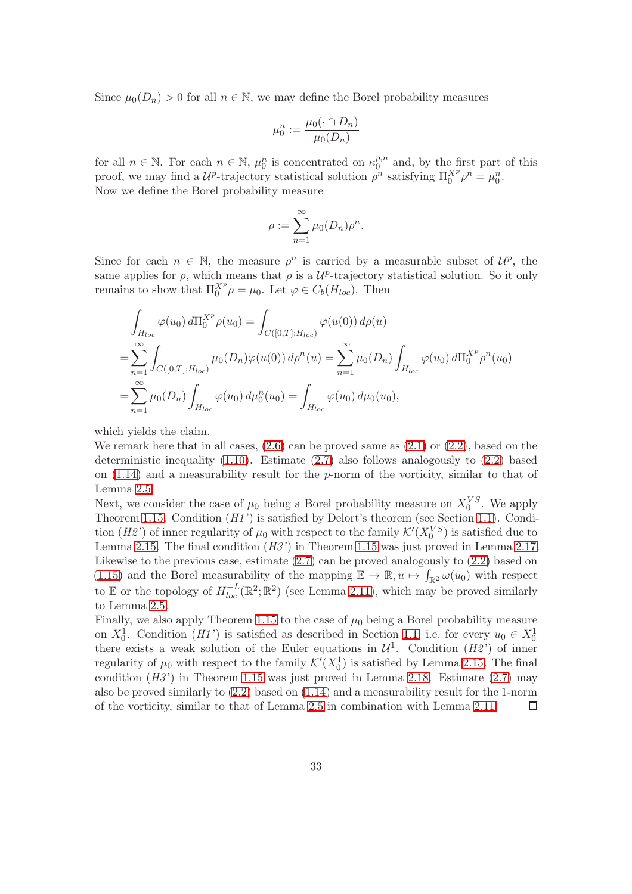Since  $\mu_0(D_n) > 0$  for all  $n \in \mathbb{N}$ , we may define the Borel probability measures

$$
\mu_0^n := \frac{\mu_0(\cdot \cap D_n)}{\mu_0(D_n)}
$$

for all  $n \in \mathbb{N}$ . For each  $n \in \mathbb{N}$ ,  $\mu_0^n$  is concentrated on  $\kappa_0^{p,n}$  $\int_0^{p,n}$  and, by the first part of this proof, we may find a  $\mathcal{U}^p$ -trajectory statistical solution  $\rho^n$  satisfying  $\Pi_0^{X^p}\rho^n = \mu_0^n$ . Now we define the Borel probability measure

$$
\rho := \sum_{n=1}^{\infty} \mu_0(D_n) \rho^n.
$$

Since for each  $n \in \mathbb{N}$ , the measure  $\rho^n$  is carried by a measurable subset of  $\mathcal{U}^p$ , the same applies for  $\rho$ , which means that  $\rho$  is a  $\mathcal{U}^p$ -trajectory statistical solution. So it only remains to show that  $\Pi_0^{X^p} \rho = \mu_0$ . Let  $\varphi \in C_b(H_{loc})$ . Then

$$
\int_{H_{loc}} \varphi(u_0) d\Pi_0^{X^p} \rho(u_0) = \int_{C([0,T];H_{loc})} \varphi(u(0)) d\rho(u)
$$
\n
$$
= \sum_{n=1}^{\infty} \int_{C([0,T];H_{loc})} \mu_0(D_n) \varphi(u(0)) d\rho^n(u) = \sum_{n=1}^{\infty} \mu_0(D_n) \int_{H_{loc}} \varphi(u_0) d\Pi_0^{X^p} \rho^n(u_0)
$$
\n
$$
= \sum_{n=1}^{\infty} \mu_0(D_n) \int_{H_{loc}} \varphi(u_0) d\mu_0^n(u_0) = \int_{H_{loc}} \varphi(u_0) d\mu_0(u_0),
$$

which yields the claim.

We remark here that in all cases,  $(2.6)$  can be proved same as  $(2.1)$  or  $(2.2)$ , based on the deterministic inequality  $(1.10)$ . Estimate  $(2.7)$  also follows analogously to  $(2.2)$  based on [\(1.14\)](#page-10-0) and a measurability result for the p-norm of the vorticity, similar to that of Lemma [2.5.](#page-20-1)

Next, we consider the case of  $\mu_0$  being a Borel probability measure on  $X_0^{VS}$ . We apply Theorem [1.15.](#page-14-1) Condition (H1') is satisfied by Delort's theorem (see Section [1.1\)](#page-4-1). Condition (H2') of inner regularity of  $\mu_0$  with respect to the family  $\mathcal{K}'(X_0^{VS})$  is satisfied due to Lemma [2.15.](#page-26-0) The final condition  $(H3')$  in Theorem [1.15](#page-14-1) was just proved in Lemma [2.17.](#page-28-0) Likewise to the previous case, estimate  $(2.7)$  can be proved analogously to  $(2.2)$  based on [\(1.15\)](#page-10-1) and the Borel measurability of the mapping  $\mathbb{E} \to \mathbb{R}, u \mapsto \int_{\mathbb{R}^2} \omega(u_0)$  with respect to E or the topology of  $H_{loc}^{-L}(\mathbb{R}^2;\mathbb{R}^2)$  (see Lemma [2.11\)](#page-23-0), which may be proved similarly to Lemma [2.5.](#page-20-1)

Finally, we also apply Theorem [1.15](#page-14-1) to the case of  $\mu_0$  being a Borel probability measure on  $X_0^1$ . Condition (H1') is satisfied as described in Section [1.1,](#page-4-1) i.e. for every  $u_0 \in X_0^1$ there exists a weak solution of the Euler equations in  $\mathcal{U}^1$ . Condition  $(H2')$  of inner regularity of  $\mu_0$  with respect to the family  $\mathcal{K}'(X_0^1)$  is satisfied by Lemma [2.15.](#page-26-0) The final condition  $(H3')$  in Theorem [1.15](#page-14-1) was just proved in Lemma [2.18.](#page-29-0) Estimate  $(2.7)$  may also be proved similarly to [\(2.2\)](#page-21-0) based on [\(1.14\)](#page-10-0) and a measurability result for the 1-norm of the vorticity, similar to that of Lemma [2.5](#page-20-1) in combination with Lemma [2.11.](#page-23-0)  $\Box$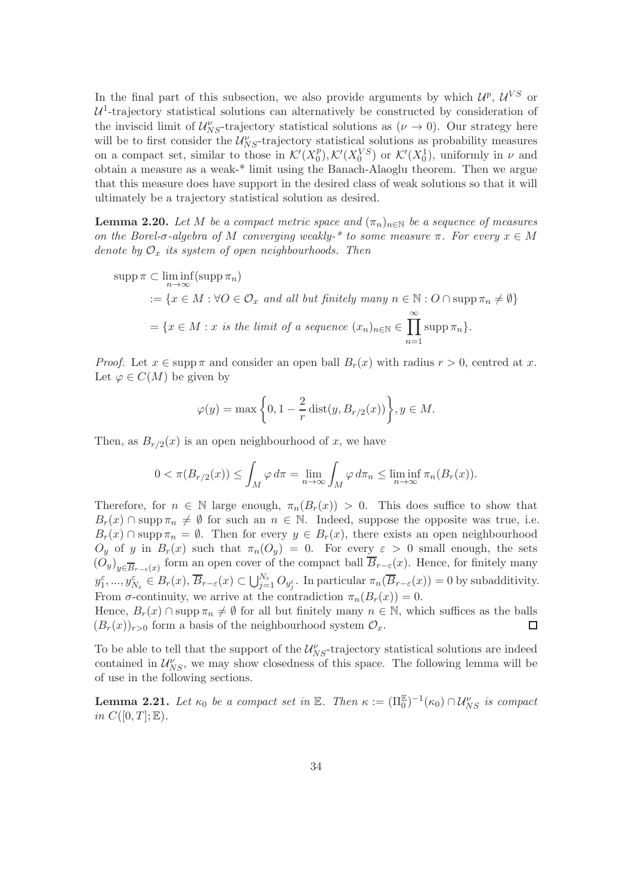In the final part of this subsection, we also provide arguments by which  $\mathcal{U}^p$ ,  $\mathcal{U}^{VS}$  or  $U^1$ -trajectory statistical solutions can alternatively be constructed by consideration of the inviscid limit of  $\mathcal{U}_{NS}^{\nu}$ -trajectory statistical solutions as  $(\nu \to 0)$ . Our strategy here will be to first consider the  $\mathcal{U}_{NS}^{\nu}$ -trajectory statistical solutions as probability measures on a compact set, similar to those in  $\mathcal{K}'(X_0^p)$  $\mathcal{L}^p_0$ ,  $\mathcal{K}'(X_0^{VS})$  or  $\mathcal{K}'(X_0^1)$ , uniformly in  $\nu$  and obtain a measure as a weak-\* limit using the Banach-Alaoglu theorem. Then we argue that this measure does have support in the desired class of weak solutions so that it will ultimately be a trajectory statistical solution as desired.

<span id="page-33-1"></span>**Lemma 2.20.** Let M be a compact metric space and  $(\pi_n)_{n\in\mathbb{N}}$  be a sequence of measures on the Borel-σ-algebra of M converging weakly-\* to some measure  $\pi$ . For every  $x \in M$ denote by  $\mathcal{O}_x$  its system of open neighbourhoods. Then

$$
\text{supp}\,\pi\subset\liminf_{n\to\infty}(\text{supp}\,\pi_n)
$$
\n
$$
:=\{x\in M:\forall O\in\mathcal{O}_x\,\text{ and all but finitely many }n\in\mathbb{N}:O\cap\text{supp}\,\pi_n\neq\emptyset\}
$$
\n
$$
=\{x\in M:x\,\text{ is the limit of a sequence } (x_n)_{n\in\mathbb{N}}\in\prod_{n=1}^{\infty}\text{supp}\,\pi_n\}.
$$

*Proof.* Let  $x \in \text{supp } \pi$  and consider an open ball  $B_r(x)$  with radius  $r > 0$ , centred at x. Let  $\varphi \in C(M)$  be given by

$$
\varphi(y) = \max\left\{0, 1 - \frac{2}{r} \operatorname{dist}(y, B_{r/2}(x))\right\}, y \in M.
$$

Then, as  $B_{r/2}(x)$  is an open neighbourhood of x, we have

$$
0 < \pi(B_{r/2}(x)) \le \int_M \varphi \, d\pi = \lim_{n \to \infty} \int_M \varphi \, d\pi_n \le \liminf_{n \to \infty} \pi_n(B_r(x)).
$$

Therefore, for  $n \in \mathbb{N}$  large enough,  $\pi_n(B_r(x)) > 0$ . This does suffice to show that  $B_r(x) \cap \text{supp } \pi_n \neq \emptyset$  for such an  $n \in \mathbb{N}$ . Indeed, suppose the opposite was true, i.e.  $B_r(x) \cap \text{supp } \pi_n = \emptyset$ . Then for every  $y \in B_r(x)$ , there exists an open neighbourhood  $O_y$  of y in  $B_r(x)$  such that  $\pi_n(O_y) = 0$ . For every  $\varepsilon > 0$  small enough, the sets  $(O_y)_{y \in \overline{B}_{r-\epsilon}(x)}$  form an open cover of the compact ball  $B_{r-\epsilon}(x)$ . Hence, for finitely many  $y_1^{\varepsilon},...,y_{N_{\varepsilon}}^{\varepsilon} \in B_r(x), \overline{B}_{r-\varepsilon}(x) \subset \bigcup_{j=1}^{N_{\varepsilon}} O_{y_j^{\varepsilon}}$ . In particular  $\pi_n(\overline{B}_{r-\varepsilon}(x)) = 0$  by subadditivity. From  $\sigma$ -continuity, we arrive at the contradiction  $\pi_n(B_r(x)) = 0$ .

Hence,  $B_r(x) \cap \text{supp } \pi_n \neq \emptyset$  for all but finitely many  $n \in \mathbb{N}$ , which suffices as the balls  $(B_r(x))_{r>0}$  form a basis of the neighbourhood system  $\mathcal{O}_r$ .  $(B_r(x))_{r>0}$  form a basis of the neighbourhood system  $\mathcal{O}_x$ .

To be able to tell that the support of the  $\mathcal{U}_{NS}^{\nu}$ -trajectory statistical solutions are indeed contained in  $\mathcal{U}_{NS}^{\nu}$ , we may show closedness of this space. The following lemma will be of use in the following sections.

<span id="page-33-0"></span>**Lemma 2.21.** Let  $\kappa_0$  be a compact set in  $\mathbb{E}$ . Then  $\kappa := (\Pi_0^{\mathbb{E}})^{-1}(\kappa_0) \cap \mathcal{U}_{NS}^{\nu}$  is compact in  $C([0,T];\mathbb{E}).$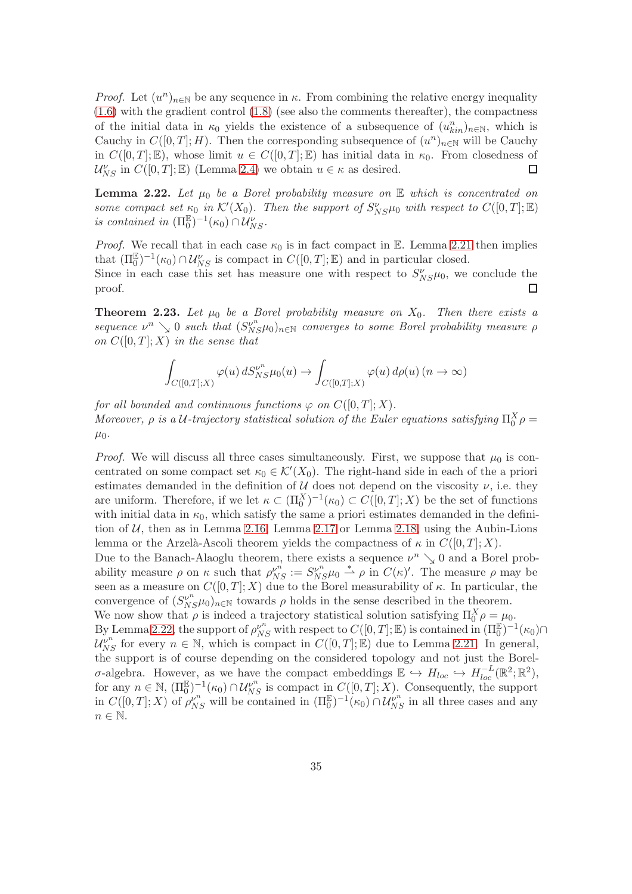*Proof.* Let  $(u^n)_{n\in\mathbb{N}}$  be any sequence in  $\kappa$ . From combining the relative energy inequality  $(1.6)$  with the gradient control  $(1.8)$  (see also the comments thereafter), the compactness of the initial data in  $\kappa_0$  yields the existence of a subsequence of  $(u_{kin}^n)_{n\in\mathbb{N}}$ , which is Cauchy in  $C([0,T];H)$ . Then the corresponding subsequence of  $(u^n)_{n\in\mathbb{N}}$  will be Cauchy in  $C([0,T];\mathbb{E})$ , whose limit  $u \in C([0,T];\mathbb{E})$  has initial data in  $\kappa_0$ . From closedness of  $\mathcal{U}_{NS}^{\nu}$  in  $C([0,T];\mathbb{E})$  (Lemma 2.4) we obtain  $u \in \kappa$  as desired.  $\mathcal{U}_{NS}^{\nu}$  in  $C([0,T];\mathbb{E})$  (Lemma [2.4\)](#page-20-0) we obtain  $u \in \kappa$  as desired.

<span id="page-34-0"></span>**Lemma 2.22.** Let  $\mu_0$  be a Borel probability measure on  $\mathbb E$  which is concentrated on some compact set  $\kappa_0$  in  $\mathcal{K}'(X_0)$ . Then the support of  $S_{NS}^{\nu}\mu_0$  with respect to  $C([0,T];\mathbb{E})$ is contained in  $(\Pi_0^{\mathbb{E}})^{-1}(\kappa_0) \cap \mathcal{U}_{NS}^{\nu}$ .

*Proof.* We recall that in each case  $\kappa_0$  is in fact compact in E. Lemma [2.21](#page-33-0) then implies that  $(\Pi_0^{\mathbb{E}})^{-1}(\kappa_0) \cap \mathcal{U}_{NS}^{\nu}$  is compact in  $C([0,T]; \mathbb{E})$  and in particular closed. Since in each case this set has measure one with respect to  $S_{NS}^{\nu} \mu_0$ , we conclude the proof.  $\Box$ 

<span id="page-34-1"></span>**Theorem 2.23.** Let  $\mu_0$  be a Borel probability measure on  $X_0$ . Then there exists a sequence  $\nu^n \searrow 0$  such that  $(S_{NS}^{\nu^n} \mu_0)_{n \in \mathbb{N}}$  converges to some Borel probability measure  $\rho$ on  $C([0,T];X)$  in the sense that

$$
\int_{C([0,T];X)} \varphi(u) \, dS_{NS}^{\nu^n} \mu_0(u) \to \int_{C([0,T];X)} \varphi(u) \, d\rho(u) \, (n \to \infty)
$$

for all bounded and continuous functions  $\varphi$  on  $C([0,T];X)$ . Moreover,  $\rho$  is a U-trajectory statistical solution of the Euler equations satisfying  $\Pi_0^X \rho =$  $\mu_0$ .

*Proof.* We will discuss all three cases simultaneously. First, we suppose that  $\mu_0$  is concentrated on some compact set  $\kappa_0 \in \mathcal{K}'(X_0)$ . The right-hand side in each of the a priori estimates demanded in the definition of  $U$  does not depend on the viscosity  $\nu$ , i.e. they are uniform. Therefore, if we let  $\kappa \subset (\Pi_0^X)^{-1}(\kappa_0) \subset C([0,T];X)$  be the set of functions with initial data in  $\kappa_0$ , which satisfy the same a priori estimates demanded in the definition of  $U$ , then as in Lemma [2.16,](#page-27-1) Lemma [2.17](#page-28-0) or Lemma [2.18,](#page-29-0) using the Aubin-Lions lemma or the Arzelà-Ascoli theorem yields the compactness of  $\kappa$  in  $C([0, T]; X)$ . Due to the Banach-Alaoglu theorem, there exists a sequence  $\nu^n \searrow 0$  and a Borel probability measure  $\rho$  on  $\kappa$  such that  $\rho_{NS}^{\nu^n} := S_{NS}^{\nu^n} \mu_0 \stackrel{*}{\rightharpoonup} \rho$  in  $C(\kappa)'$ . The measure  $\rho$  may be seen as a measure on  $C([0,T];X)$  due to the Borel measurability of  $\kappa$ . In particular, the convergence of  $(S_{NS}^{\nu^n}\mu_0)_{n\in\mathbb{N}}$  towards  $\rho$  holds in the sense described in the theorem. We now show that  $\rho$  is indeed a trajectory statistical solution satisfying  $\Pi_0^X \rho = \mu_0$ .

By Lemma [2.22,](#page-34-0) the support of  $\rho_{NS}^{\nu^n}$  with respect to  $C([0,T];\mathbb{E})$  is contained in  $(\Pi_0^{\mathbb{E}})^{-1}(\kappa_0) \cap$  $\mathcal{U}_{NS}^{\nu^n}$  for every  $n \in \mathbb{N}$ , which is compact in  $C([0,T];\mathbb{E})$  due to Lemma [2.21.](#page-33-0) In general, the support is of course depending on the considered topology and not just the Borelσ-algebra. However, as we have the compact embeddings  $\mathbb{E}$  →  $H_{loc}$  →  $H_{loc}^{-L}(\mathbb{R}^2;\mathbb{R}^2)$ , for any  $n \in \mathbb{N}$ ,  $(\Pi_0^{\mathbb{E}})^{-1}(\kappa_0) \cap \mathcal{U}_{NS}^{\nu^n}$  is compact in  $C([0,T]; X)$ . Consequently, the support in  $C([0,T];X)$  of  $\rho_{NS}^{\nu^n}$  will be contained in  $(\Pi_0^{\mathbb{E}})^{-1}(\kappa_0) \cap \mathcal{U}_{NS}^{\nu^n}$  in all three cases and any  $n \in \mathbb{N}$ .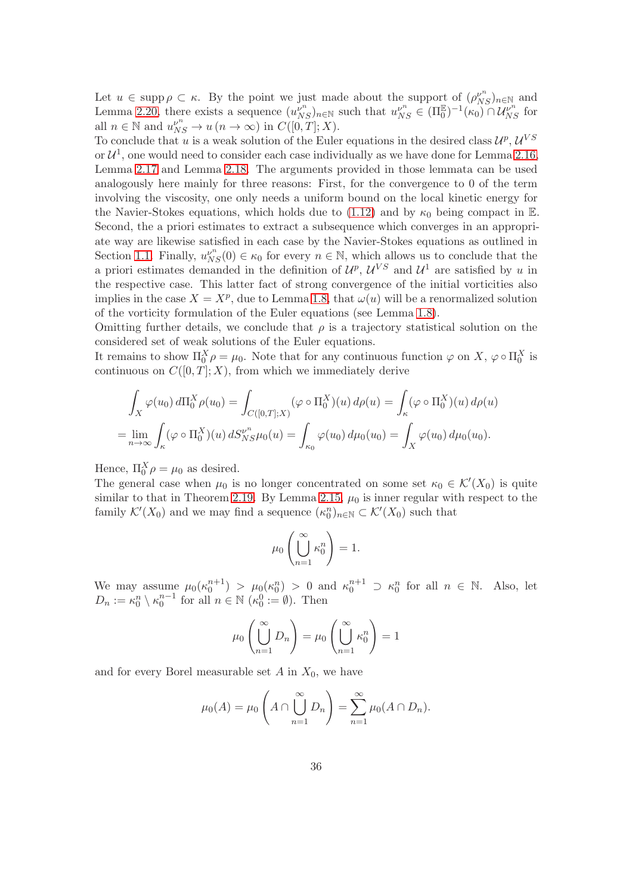Let  $u \in \text{supp}\,\rho \subset \kappa$ . By the point we just made about the support of  $(\rho_{NS}^{\nu^n})_{n \in \mathbb{N}}$  and Lemma [2.20,](#page-33-1) there exists a sequence  $(u_{NS}^{\nu^n})_{n\in\mathbb{N}}$  such that  $u_{NS}^{\nu^n} \in (\Pi_0^{\mathbb{E}})^{-1}(\kappa_0) \cap \mathcal{U}_{NS}^{\nu^n}$  for all  $n \in \mathbb{N}$  and  $u_{NS}^{\nu^n} \to u(n \to \infty)$  in  $C([0,T]; X)$ .

To conclude that u is a weak solution of the Euler equations in the desired class  $\mathcal{U}^p$ ,  $\mathcal{U}^{VS}$ or  $\mathcal{U}^1$ , one would need to consider each case individually as we have done for Lemma [2.16,](#page-27-1) Lemma [2.17](#page-28-0) and Lemma [2.18.](#page-29-0) The arguments provided in those lemmata can be used analogously here mainly for three reasons: First, for the convergence to 0 of the term involving the viscosity, one only needs a uniform bound on the local kinetic energy for the Navier-Stokes equations, which holds due to [\(1.12\)](#page-9-1) and by  $\kappa_0$  being compact in E. Second, the a priori estimates to extract a subsequence which converges in an appropriate way are likewise satisfied in each case by the Navier-Stokes equations as outlined in Section [1.1.](#page-4-1) Finally,  $u_{NS}^{\nu^n}(0) \in \kappa_0$  for every  $n \in \mathbb{N}$ , which allows us to conclude that the a priori estimates demanded in the definition of  $\mathcal{U}^p$ ,  $\mathcal{U}^{VS}$  and  $\mathcal{U}^1$  are satisfied by u in the respective case. This latter fact of strong convergence of the initial vorticities also implies in the case  $X = X^p$ , due to Lemma [1.8,](#page-10-2) that  $\omega(u)$  will be a renormalized solution of the vorticity formulation of the Euler equations (see Lemma [1.8\)](#page-10-2).

Omitting further details, we conclude that  $\rho$  is a trajectory statistical solution on the considered set of weak solutions of the Euler equations.

It remains to show  $\Pi_0^X \rho = \mu_0$ . Note that for any continuous function  $\varphi$  on  $X$ ,  $\varphi \circ \Pi_0^X$  is continuous on  $C([0, T]; X)$ , from which we immediately derive

$$
\int_X \varphi(u_0) \, d\Pi_0^X \rho(u_0) = \int_{C([0,T];X)} (\varphi \circ \Pi_0^X)(u) \, d\rho(u) = \int_{\kappa} (\varphi \circ \Pi_0^X)(u) \, d\rho(u)
$$
\n
$$
= \lim_{n \to \infty} \int_{\kappa} (\varphi \circ \Pi_0^X)(u) \, dS_{NS}^{\nu^n} \mu_0(u) = \int_{\kappa_0} \varphi(u_0) \, d\mu_0(u_0) = \int_X \varphi(u_0) \, d\mu_0(u_0).
$$

Hence,  $\Pi_0^X \rho = \mu_0$  as desired.

The general case when  $\mu_0$  is no longer concentrated on some set  $\kappa_0 \in \mathcal{K}'(X_0)$  is quite similar to that in Theorem [2.19.](#page-30-2) By Lemma [2.15,](#page-26-0)  $\mu_0$  is inner regular with respect to the family  $\mathcal{K}'(X_0)$  and we may find a sequence  $(\kappa_0^n)_{n \in \mathbb{N}} \subset \mathcal{K}'(X_0)$  such that

$$
\mu_0\left(\bigcup_{n=1}^{\infty} \kappa_0^n\right) = 1.
$$

We may assume  $\mu_0(\kappa_0^{n+1}) > \mu_0(\kappa_0^n) > 0$  and  $\kappa_0^{n+1} \supset \kappa_0^n$  for all  $n \in \mathbb{N}$ . Also, let  $D_n := \kappa_0^n \setminus \kappa_0^{n-1}$  for all  $n \in \mathbb{N}$  ( $\kappa_0^0 := \emptyset$ ). Then

$$
\mu_0\left(\bigcup_{n=1}^{\infty} D_n\right) = \mu_0\left(\bigcup_{n=1}^{\infty} \kappa_0^n\right) = 1
$$

and for every Borel measurable set  $A$  in  $X_0$ , we have

$$
\mu_0(A) = \mu_0 \left( A \cap \bigcup_{n=1}^{\infty} D_n \right) = \sum_{n=1}^{\infty} \mu_0(A \cap D_n).
$$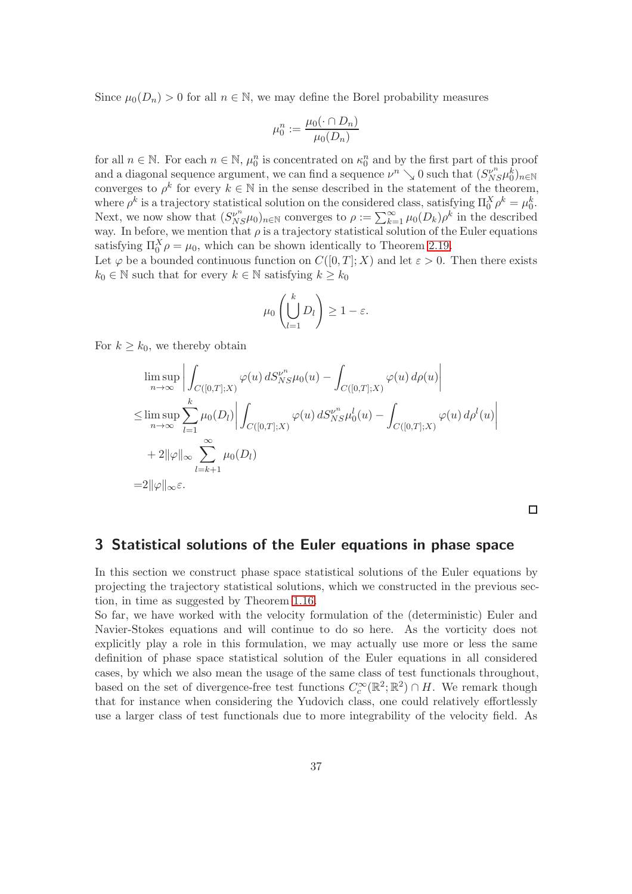Since  $\mu_0(D_n) > 0$  for all  $n \in \mathbb{N}$ , we may define the Borel probability measures

$$
\mu_0^n := \frac{\mu_0(\cdot \cap D_n)}{\mu_0(D_n)}
$$

for all  $n \in \mathbb{N}$ . For each  $n \in \mathbb{N}$ ,  $\mu_0^n$  is concentrated on  $\kappa_0^n$  and by the first part of this proof and a diagonal sequence argument, we can find a sequence  $\nu^n \searrow 0$  such that  $(S_{NS}^{\nu^n} \mu_0^{\vec{k}})_{n \in \mathbb{N}}$ converges to  $\rho^k$  for every  $k \in \mathbb{N}$  in the sense described in the statement of the theorem, where  $\rho^k$  is a trajectory statistical solution on the considered class, satisfying  $\Pi_0^X \rho^k = \mu_0^k$ . Next, we now show that  $(S_{NS}^{\nu^n} \mu_0)_{n \in \mathbb{N}}$  converges to  $\rho := \sum_{k=1}^{\infty} \mu_0(D_k) \rho^k$  in the described way. In before, we mention that  $\rho$  is a trajectory statistical solution of the Euler equations satisfying  $\Pi_0^X \rho = \mu_0$ , which can be shown identically to Theorem [2.19.](#page-30-2)

Let  $\varphi$  be a bounded continuous function on  $C([0, T]; X)$  and let  $\varepsilon > 0$ . Then there exists  $k_0 \in \mathbb{N}$  such that for every  $k \in \mathbb{N}$  satisfying  $k \geq k_0$ 

$$
\mu_0\left(\bigcup_{l=1}^k D_l\right) \ge 1-\varepsilon.
$$

For  $k \geq k_0$ , we thereby obtain

$$
\limsup_{n \to \infty} \left| \int_{C([0,T];X)} \varphi(u) dS_{NS}^{\nu^n} \mu_0(u) - \int_{C([0,T];X)} \varphi(u) d\rho(u) \right|
$$
  
\n
$$
\leq \limsup_{n \to \infty} \sum_{l=1}^k \mu_0(D_l) \left| \int_{C([0,T];X)} \varphi(u) dS_{NS}^{\nu^n} \mu_0^l(u) - \int_{C([0,T];X)} \varphi(u) d\rho^l(u) \right|
$$
  
\n
$$
+ 2 \|\varphi\|_{\infty} \sum_{l=k+1}^{\infty} \mu_0(D_l)
$$
  
\n
$$
= 2 \|\varphi\|_{\infty} \varepsilon.
$$

 $\Box$ 

#### 3 Statistical solutions of the Euler equations in phase space

In this section we construct phase space statistical solutions of the Euler equations by projecting the trajectory statistical solutions, which we constructed in the previous section, in time as suggested by Theorem [1.16.](#page-15-0)

So far, we have worked with the velocity formulation of the (deterministic) Euler and Navier-Stokes equations and will continue to do so here. As the vorticity does not explicitly play a role in this formulation, we may actually use more or less the same definition of phase space statistical solution of the Euler equations in all considered cases, by which we also mean the usage of the same class of test functionals throughout, based on the set of divergence-free test functions  $C_c^{\infty}(\mathbb{R}^2; \mathbb{R}^2) \cap H$ . We remark though that for instance when considering the Yudovich class, one could relatively effortlessly use a larger class of test functionals due to more integrability of the velocity field. As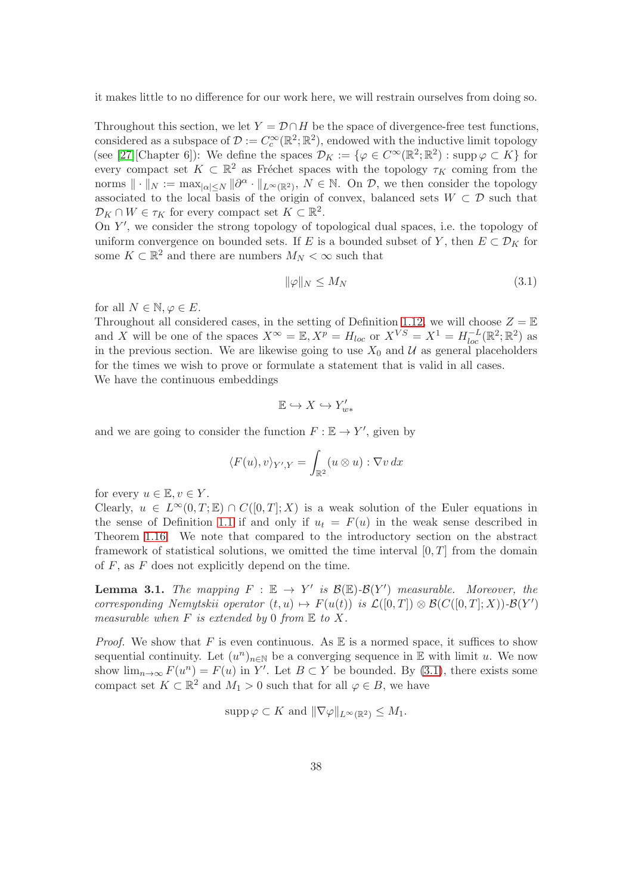it makes little to no difference for our work here, we will restrain ourselves from doing so.

Throughout this section, we let  $Y = \mathcal{D} \cap H$  be the space of divergence-free test functions, considered as a subspace of  $\mathcal{D} := C_c^{\infty}(\mathbb{R}^2; \mathbb{R}^2)$ , endowed with the inductive limit topology (see [\[27\]](#page-44-14)[Chapter 6]): We define the spaces  $\mathcal{D}_K := \{ \varphi \in C^\infty(\mathbb{R}^2; \mathbb{R}^2) : \operatorname{supp} \varphi \subset K \}$  for every compact set  $K \subset \mathbb{R}^2$  as Fréchet spaces with the topology  $\tau_K$  coming from the norms  $\|\cdot\|_N := \max_{|\alpha| \le N} \|\partial^\alpha \cdot \|_{L^\infty(\mathbb{R}^2)}, \ N \in \mathbb{N}$ . On  $\mathcal{D}$ , we then consider the topology associated to the local basis of the origin of convex, balanced sets  $W \subset \mathcal{D}$  such that  $\mathcal{D}_K \cap W \in \tau_K$  for every compact set  $K \subset \mathbb{R}^2$ .

On Y ′ , we consider the strong topology of topological dual spaces, i.e. the topology of uniform convergence on bounded sets. If E is a bounded subset of Y, then  $E \subset \mathcal{D}_K$  for some  $K \subset \mathbb{R}^2$  and there are numbers  $M_N < \infty$  such that

<span id="page-37-0"></span>
$$
\|\varphi\|_N \le M_N \tag{3.1}
$$

for all  $N \in \mathbb{N}, \varphi \in E$ .

Throughout all considered cases, in the setting of Definition [1.12,](#page-13-0) we will choose  $Z = \mathbb{E}$ and X will be one of the spaces  $X^{\infty} = \mathbb{E}, X^{p} = H_{loc}$  or  $X^{VS} = X^{1} = H_{loc}^{-L}(\mathbb{R}^{2}; \mathbb{R}^{2})$  as in the previous section. We are likewise going to use  $X_0$  and  $\mathcal U$  as general placeholders for the times we wish to prove or formulate a statement that is valid in all cases. We have the continuous embeddings

$$
\mathbb{E} \hookrightarrow X \hookrightarrow Y'_{w*}
$$

and we are going to consider the function  $F : \mathbb{E} \to Y'$ , given by

$$
\langle F(u), v \rangle_{Y',Y} = \int_{\mathbb{R}^2} (u \otimes u) : \nabla v \, dx
$$

for every  $u \in \mathbb{E}, v \in Y$ .

Clearly,  $u \in L^{\infty}(0,T;\mathbb{E}) \cap C([0,T];X)$  is a weak solution of the Euler equations in the sense of Definition [1.1](#page-4-0) if and only if  $u_t = F(u)$  in the weak sense described in Theorem [1.16.](#page-15-0) We note that compared to the introductory section on the abstract framework of statistical solutions, we omitted the time interval  $[0, T]$  from the domain of  $F$ , as  $F$  does not explicitly depend on the time.

<span id="page-37-1"></span>**Lemma 3.1.** The mapping  $F : \mathbb{E} \to Y'$  is  $\mathcal{B}(\mathbb{E})$ - $\mathcal{B}(Y')$  measurable. Moreover, the corresponding Nemytskii operator  $(t, u) \mapsto F(u(t))$  is  $\mathcal{L}([0, T]) \otimes \mathcal{B}(C([0, T]; X)) - \mathcal{B}(Y')$ measurable when  $F$  is extended by 0 from  $E$  to  $X$ .

*Proof.* We show that F is even continuous. As  $\mathbb E$  is a normed space, it suffices to show sequential continuity. Let  $(u^n)_{n\in\mathbb{N}}$  be a converging sequence in  $\mathbb E$  with limit u. We now show  $\lim_{n\to\infty} F(u^n) = F(u)$  in Y'. Let  $B \subset Y$  be bounded. By [\(3.1\)](#page-37-0), there exists some compact set  $K \subset \mathbb{R}^2$  and  $M_1 > 0$  such that for all  $\varphi \in B$ , we have

$$
\mathrm{supp}\,\varphi\subset K\text{ and }\|\nabla\varphi\|_{L^{\infty}(\mathbb{R}^2)}\leq M_1.
$$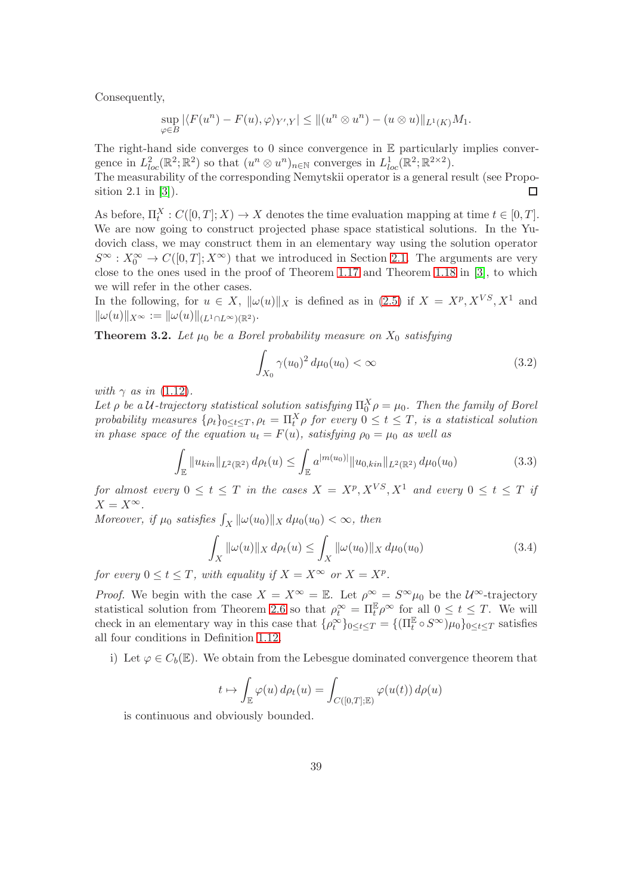Consequently,

$$
\sup_{\varphi \in B} |\langle F(u^n) - F(u), \varphi \rangle_{Y',Y}| \le ||(u^n \otimes u^n) - (u \otimes u)||_{L^1(K)}M_1.
$$

The right-hand side converges to 0 since convergence in  $E$  particularly implies convergence in  $L^2_{loc}(\mathbb{R}^2;\mathbb{R}^2)$  so that  $(u^n \otimes u^n)_{n \in \mathbb{N}}$  converges in  $L^1_{loc}(\mathbb{R}^2;\mathbb{R}^{2 \times 2})$ .

The measurability of the corresponding Nemytskii operator is a general result (see Proposition 2.1 in [\[3\]](#page-42-0)).  $\Box$ 

As before,  $\Pi_t^X : C([0,T]; X) \to X$  denotes the time evaluation mapping at time  $t \in [0,T]$ . We are now going to construct projected phase space statistical solutions. In the Yudovich class, we may construct them in an elementary way using the solution operator  $S^{\infty}: X_0^{\infty} \to C([0,T]; X^{\infty})$  that we introduced in Section [2.1.](#page-18-1) The arguments are very close to the ones used in the proof of Theorem [1.17](#page-16-0) and Theorem [1.18](#page-17-1) in [\[3\]](#page-42-0), to which we will refer in the other cases.

<span id="page-38-3"></span>In the following, for  $u \in X$ ,  $\|\omega(u)\|_X$  is defined as in [\(2.5\)](#page-30-3) if  $X = X^p, X^{VS}, X^1$  and  $\|\omega(u)\|_{X^{\infty}} := \|\omega(u)\|_{(L^1 \cap L^{\infty})(\mathbb{R}^2)}.$ 

**Theorem 3.2.** Let  $\mu_0$  be a Borel probability measure on  $X_0$  satisfying

<span id="page-38-1"></span><span id="page-38-0"></span>
$$
\int_{X_0} \gamma(u_0)^2 \, d\mu_0(u_0) < \infty \tag{3.2}
$$

with  $\gamma$  as in [\(1.12\)](#page-9-1).

Let  $\rho$  be a U-trajectory statistical solution satisfying  $\Pi_0^X \rho = \mu_0$ . Then the family of Borel probability measures  $\{\rho_t\}_{0\leq t\leq T}, \rho_t = \prod_t^X \rho$  for every  $0 \leq t \leq T$ , is a statistical solution in phase space of the equation  $u_t = F(u)$ , satisfying  $\rho_0 = \mu_0$  as well as

$$
\int_{\mathbb{E}} \|u_{kin}\|_{L^{2}(\mathbb{R}^{2})} d\rho_{t}(u) \leq \int_{\mathbb{E}} a^{|m(u_{0})|} \|u_{0,kin}\|_{L^{2}(\mathbb{R}^{2})} d\mu_{0}(u_{0})
$$
\n(3.3)

for almost every  $0 \le t \le T$  in the cases  $X = X^p, X^{VS}, X^1$  and every  $0 \le t \le T$  if  $X = X^{\infty}.$ 

Moreover, if  $\mu_0$  satisfies  $\int_X ||\omega(u_0)||_X d\mu_0(u_0) < \infty$ , then

<span id="page-38-2"></span>
$$
\int_X \|\omega(u)\|_X \, d\rho_t(u) \le \int_X \|\omega(u_0)\|_X \, d\mu_0(u_0) \tag{3.4}
$$

for every  $0 \le t \le T$ , with equality if  $X = X^{\infty}$  or  $X = X^p$ .

*Proof.* We begin with the case  $X = X^{\infty} = \mathbb{E}$ . Let  $\rho^{\infty} = S^{\infty} \mu_0$  be the  $\mathcal{U}^{\infty}$ -trajectory statistical solution from Theorem [2.6](#page-20-2) so that  $\rho_t^{\infty} = \Pi_t^{\mathbb{E}} \rho^{\infty}$  for all  $0 \le t \le T$ . We will check in an elementary way in this case that  $\{\rho_t^{\infty}\}_{0 \leq t \leq T} = \{(\Pi_t^{\mathbb{E}} \circ S^{\infty})\mu_0\}_{0 \leq t \leq T}$  satisfies all four conditions in Definition [1.12.](#page-13-0)

i) Let  $\varphi \in C_b(\mathbb{E})$ . We obtain from the Lebesgue dominated convergence theorem that

$$
t \mapsto \int_{\mathbb{E}} \varphi(u) d\rho_t(u) = \int_{C([0,T];\mathbb{E})} \varphi(u(t)) d\rho(u)
$$

is continuous and obviously bounded.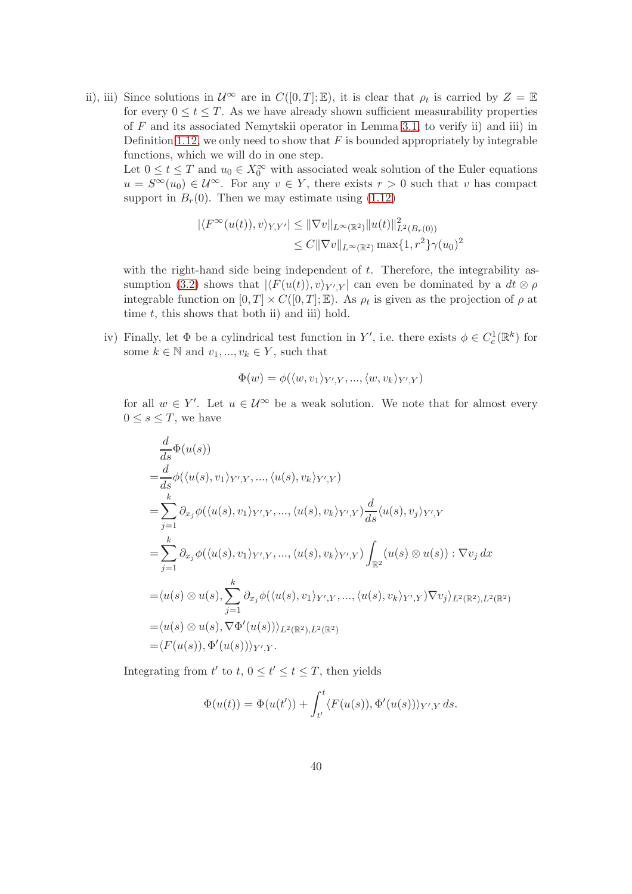ii), iii) Since solutions in  $\mathcal{U}^{\infty}$  are in  $C([0,T];\mathbb{E})$ , it is clear that  $\rho_t$  is carried by  $Z = \mathbb{E}$ for every  $0 \le t \le T$ . As we have already shown sufficient measurability properties of F and its associated Nemytskii operator in Lemma [3.1,](#page-37-1) to verify ii) and iii) in Definition [1.12,](#page-13-0) we only need to show that  $F$  is bounded appropriately by integrable functions, which we will do in one step.

Let  $0 \le t \le T$  and  $u_0 \in X_0^{\infty}$  with associated weak solution of the Euler equations  $u = S^{\infty}(u_0) \in \mathcal{U}^{\infty}$ . For any  $v \in Y$ , there exists  $r > 0$  such that v has compact support in  $B_r(0)$ . Then we may estimate using  $(1.12)$ 

$$
|\langle F^{\infty}(u(t)), v \rangle_{Y,Y'}| \leq \|\nabla v\|_{L^{\infty}(\mathbb{R}^2)} \|u(t)\|_{L^{2}(B_{r}(0))}^{2}
$$
  

$$
\leq C \|\nabla v\|_{L^{\infty}(\mathbb{R}^2)} \max\{1, r^{2}\}\gamma(u_{0})^{2}
$$

with the right-hand side being independent of  $t$ . Therefore, the integrability as-sumption [\(3.2\)](#page-38-0) shows that  $|\langle F(u(t)), v \rangle_{Y',Y}|$  can even be dominated by a  $dt \otimes \rho$ integrable function on  $[0, T] \times C([0, T]; \mathbb{E})$ . As  $\rho_t$  is given as the projection of  $\rho$  at time  $t$ , this shows that both ii) and iii) hold.

iv) Finally, let  $\Phi$  be a cylindrical test function in Y', i.e. there exists  $\phi \in C_c^1(\mathbb{R}^k)$  for some  $k \in \mathbb{N}$  and  $v_1, ..., v_k \in Y$ , such that

$$
\Phi(w) = \phi(\langle w, v_1 \rangle_{Y',Y}, ..., \langle w, v_k \rangle_{Y',Y})
$$

for all  $w \in Y'$ . Let  $u \in \mathcal{U}^{\infty}$  be a weak solution. We note that for almost every  $0 \leq s \leq T$ , we have

$$
\frac{d}{ds}\Phi(u(s))
$$
\n
$$
=\frac{d}{ds}\phi(\langle u(s), v_1 \rangle_{Y',Y}, \dots, \langle u(s), v_k \rangle_{Y',Y})
$$
\n
$$
=\sum_{j=1}^k \partial_{x_j}\phi(\langle u(s), v_1 \rangle_{Y',Y}, \dots, \langle u(s), v_k \rangle_{Y',Y})\frac{d}{ds}\langle u(s), v_j \rangle_{Y',Y}
$$
\n
$$
=\sum_{j=1}^k \partial_{x_j}\phi(\langle u(s), v_1 \rangle_{Y',Y}, \dots, \langle u(s), v_k \rangle_{Y',Y})\int_{\mathbb{R}^2} (u(s) \otimes u(s)) : \nabla v_j dx
$$
\n
$$
=\langle u(s) \otimes u(s), \sum_{j=1}^k \partial_{x_j}\phi(\langle u(s), v_1 \rangle_{Y',Y}, \dots, \langle u(s), v_k \rangle_{Y',Y})\nabla v_j \rangle_{L^2(\mathbb{R}^2), L^2(\mathbb{R}^2)}
$$
\n
$$
=\langle u(s) \otimes u(s), \nabla \Phi'(u(s)) \rangle_{L^2(\mathbb{R}^2), L^2(\mathbb{R}^2)}
$$
\n
$$
=\langle F(u(s)), \Phi'(u(s)) \rangle_{Y',Y}.
$$

Integrating from  $t'$  to  $t, 0 \le t' \le t \le T$ , then yields

$$
\Phi(u(t)) = \Phi(u(t')) + \int_{t'}^{t} \langle F(u(s)), \Phi'(u(s)) \rangle_{Y',Y} ds.
$$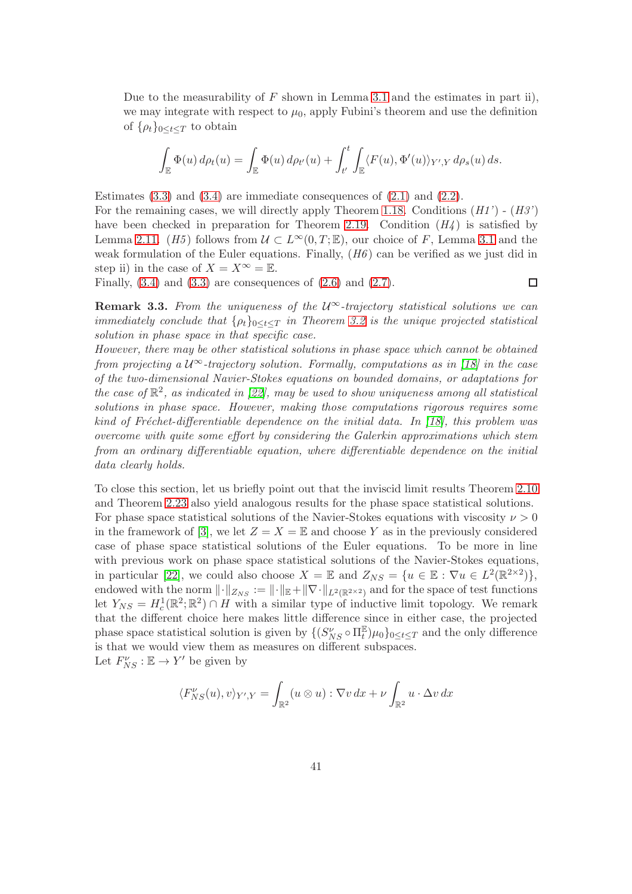Due to the measurability of  $F$  shown in Lemma [3.1](#page-37-1) and the estimates in part ii), we may integrate with respect to  $\mu_0$ , apply Fubini's theorem and use the definition of  $\{\rho_t\}_{0\leq t\leq T}$  to obtain

$$
\int_{\mathbb{E}} \Phi(u) d\rho_t(u) = \int_{\mathbb{E}} \Phi(u) d\rho_{t'}(u) + \int_{t'}^{t} \int_{\mathbb{E}} \langle F(u), \Phi'(u) \rangle_{Y',Y} d\rho_s(u) ds.
$$

Estimates  $(3.3)$  and  $(3.4)$  are immediate consequences of  $(2.1)$  and  $(2.2)$ .

For the remaining cases, we will directly apply Theorem [1.18.](#page-17-1) Conditions  $(H1') - (H3')$ have been checked in preparation for Theorem [2.19.](#page-30-2) Condition  $(H_4)$  is satisfied by Lemma [2.11.](#page-23-0) (H5) follows from  $\mathcal{U} \subset L^{\infty}(0,T;\mathbb{E})$ , our choice of F, Lemma [3.1](#page-37-1) and the weak formulation of the Euler equations. Finally,  $(H6)$  can be verified as we just did in step ii) in the case of  $X = X^{\infty} = \mathbb{E}$ .

Finally,  $(3.4)$  and  $(3.3)$  are consequences of  $(2.6)$  and  $(2.7)$ .

 $\Box$ 

**Remark 3.3.** From the uniqueness of the  $\mathcal{U}^{\infty}$ -trajectory statistical solutions we can immediately conclude that  $\{\rho_t\}_{0 \leq t \leq T}$  in Theorem [3.2](#page-38-3) is the unique projected statistical solution in phase space in that specific case.

However, there may be other statistical solutions in phase space which cannot be obtained from projecting a  $\mathcal{U}^{\infty}$ -trajectory solution. Formally, computations as in [\[18\]](#page-43-5) in the case of the two-dimensional Navier-Stokes equations on bounded domains, or adaptations for the case of  $\mathbb{R}^2$ , as indicated in [\[22\]](#page-44-5), may be used to show uniqueness among all statistical solutions in phase space. However, making those computations rigorous requires some kind of Fréchet-differentiable dependence on the initial data. In  $(18)$ , this problem was overcome with quite some effort by considering the Galerkin approximations which stem from an ordinary differentiable equation, where differentiable dependence on the initial data clearly holds.

To close this section, let us briefly point out that the inviscid limit results Theorem [2.10](#page-22-2) and Theorem [2.23](#page-34-1) also yield analogous results for the phase space statistical solutions. For phase space statistical solutions of the Navier-Stokes equations with viscosity  $\nu > 0$ in the framework of [\[3\]](#page-42-0), we let  $Z = X = \mathbb{E}$  and choose Y as in the previously considered case of phase space statistical solutions of the Euler equations. To be more in line with previous work on phase space statistical solutions of the Navier-Stokes equations, in particular [\[22\]](#page-44-5), we could also choose  $X = \mathbb{E}$  and  $Z_{NS} = \{u \in \mathbb{E} : \nabla u \in L^2(\mathbb{R}^{2 \times 2})\},\$ endowed with the norm  $\lVert \cdot \rVert_{Z_{NS}} := \lVert \cdot \rVert_{\mathbb{E}} + \lVert \nabla \cdot \rVert_{L^2(\mathbb{R}^{2\times 2})}$  and for the space of test functions let  $Y_{NS} = H_c^1(\mathbb{R}^2; \mathbb{R}^2) \cap H$  with a similar type of inductive limit topology. We remark that the different choice here makes little difference since in either case, the projected phase space statistical solution is given by  $\{(S_{NS}^{\nu} \circ \Pi_t^{\mathbb{E}}) \mu_0\}_{0 \leq t \leq T}$  and the only difference is that we would view them as measures on different subspaces. Let  $F_{NS}^{\nu} : \mathbb{E} \to Y'$  be given by

$$
\langle F_{NS}^{\nu}(u), v \rangle_{Y^{\prime}, Y} = \int_{\mathbb{R}^2} (u \otimes u) : \nabla v \, dx + \nu \int_{\mathbb{R}^2} u \cdot \Delta v \, dx
$$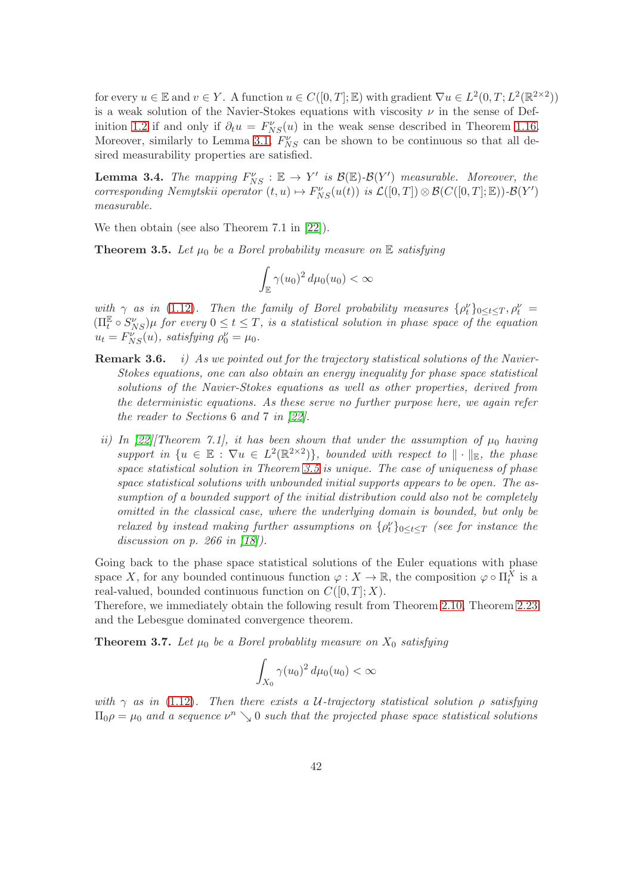for every  $u \in \mathbb{E}$  and  $v \in Y$ . A function  $u \in C([0,T];\mathbb{E})$  with gradient  $\nabla u \in L^2(0,T;L^2(\mathbb{R}^{2\times2}))$ is a weak solution of the Navier-Stokes equations with viscosity  $\nu$  in the sense of Def-inition [1.2](#page-5-0) if and only if  $\partial_t u = F_{NS}(u)$  in the weak sense described in Theorem [1.16.](#page-15-0) Moreover, similarly to Lemma [3.1,](#page-37-1)  $F_{NS}^{\nu}$  can be shown to be continuous so that all desired measurability properties are satisfied.

**Lemma 3.4.** The mapping  $F_{NS}^{\nu} : \mathbb{E} \to Y'$  is  $\mathcal{B}(\mathbb{E})$ - $\mathcal{B}(Y')$  measurable. Moreover, the corresponding Nemytskii operator  $(t, u) \mapsto F_{NS}^{\nu}(u(t))$  is  $\mathcal{L}([0, T]) \otimes \mathcal{B}(C([0, T]; \mathbb{E})) - \mathcal{B}(Y')$ measurable.

<span id="page-41-0"></span>We then obtain (see also Theorem 7.1 in [\[22\]](#page-44-5)).

**Theorem 3.5.** Let  $\mu_0$  be a Borel probability measure on  $\mathbb E$  satisfying

$$
\int_{\mathbb{E}} \gamma(u_0)^2 d\mu_0(u_0) < \infty
$$

with  $\gamma$  as in [\(1.12\)](#page-9-1). Then the family of Borel probability measures  $\{\rho_t^{\nu}\}_{0 \leq t \leq T}, \rho_t^{\nu} =$  $(\Pi_t^{\mathbb{E}} \circ S_{NS}^{\nu})\mu$  for every  $0 \leq t \leq T$ , is a statistical solution in phase space of the equation  $u_t = F_{NS}^{\nu}(u)$ , satisfying  $\rho_0^{\nu} = \mu_0$ .

- **Remark 3.6.** i) As we pointed out for the trajectory statistical solutions of the Navier-Stokes equations, one can also obtain an energy inequality for phase space statistical solutions of the Navier-Stokes equations as well as other properties, derived from the deterministic equations. As these serve no further purpose here, we again refer the reader to Sections 6 and 7 in [\[22\]](#page-44-5).
- ii) In [\[22\]](#page-44-5)[Theorem 7.1], it has been shown that under the assumption of  $\mu_0$  having support in  $\{u \in \mathbb{E} : \nabla u \in L^2(\mathbb{R}^{2\times 2})\}$ , bounded with respect to  $\|\cdot\|_{\mathbb{E}}$ , the phase space statistical solution in Theorem [3.5](#page-41-0) is unique. The case of uniqueness of phase space statistical solutions with unbounded initial supports appears to be open. The assumption of a bounded support of the initial distribution could also not be completely omitted in the classical case, where the underlying domain is bounded, but only be relaxed by instead making further assumptions on  $\{\rho_t^{\nu}\}_{0 \leq t \leq T}$  (see for instance the discussion on *p.* 266 in [\[18\]](#page-43-5).

Going back to the phase space statistical solutions of the Euler equations with phase space X, for any bounded continuous function  $\varphi: X \to \mathbb{R}$ , the composition  $\varphi \circ \Pi_t^X$  is a real-valued, bounded continuous function on  $C([0, T]; X)$ .

Therefore, we immediately obtain the following result from Theorem [2.10,](#page-22-2) Theorem [2.23](#page-34-1) and the Lebesgue dominated convergence theorem.

**Theorem 3.7.** Let  $\mu_0$  be a Borel probablity measure on  $X_0$  satisfying

$$
\int_{X_0} \gamma(u_0)^2 d\mu_0(u_0) < \infty
$$

with  $\gamma$  as in [\(1.12\)](#page-9-1). Then there exists a U-trajectory statistical solution  $\rho$  satisfying  $\Pi_0 \rho = \mu_0$  and a sequence  $\nu^n \searrow 0$  such that the projected phase space statistical solutions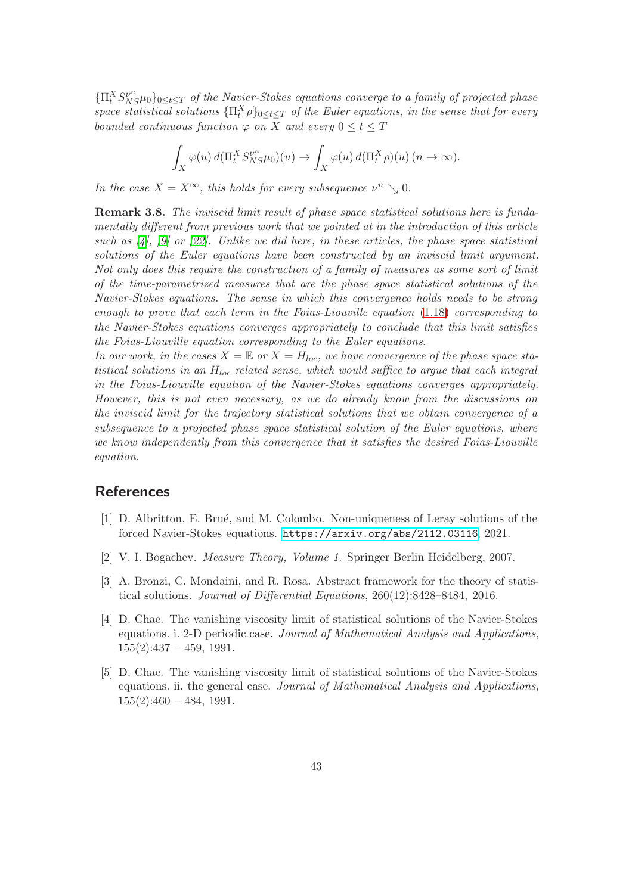${\prod_{t}^{X} S_{NS}^{\nu^n} \mu_0}_{0 \leq t \leq T}$  of the Navier-Stokes equations converge to a family of projected phase space statistical solutions  $\{\Pi_t^X \rho\}_{0 \leq t \leq T}$  of the Euler equations, in the sense that for every bounded continuous function  $\varphi$  on X and every  $0 \leq t \leq T$ 

$$
\int_X \varphi(u) d(\Pi_t^X S_{NS}^{\nu^n} \mu_0)(u) \to \int_X \varphi(u) d(\Pi_t^X \rho)(u) \quad (n \to \infty).
$$

In the case  $X = X^{\infty}$ , this holds for every subsequence  $\nu^{n} \searrow 0$ .

Remark 3.8. The inviscid limit result of phase space statistical solutions here is fundamentally different from previous work that we pointed at in the introduction of this article such as  $\mathcal{A}$ ,  $\mathcal{A}$ ,  $\mathcal{A}$  or  $\mathcal{A}2$ . Unlike we did here, in these articles, the phase space statistical solutions of the Euler equations have been constructed by an inviscid limit argument. Not only does this require the construction of a family of measures as some sort of limit of the time-parametrized measures that are the phase space statistical solutions of the Navier-Stokes equations. The sense in which this convergence holds needs to be strong enough to prove that each term in the Foias-Liouville equation [\(1.18\)](#page-13-1) corresponding to the Navier-Stokes equations converges appropriately to conclude that this limit satisfies the Foias-Liouville equation corresponding to the Euler equations.

In our work, in the cases  $X = \mathbb{E}$  or  $X = H_{loc}$ , we have convergence of the phase space statistical solutions in an  $H_{loc}$  related sense, which would suffice to argue that each integral in the Foias-Liouville equation of the Navier-Stokes equations converges appropriately. However, this is not even necessary, as we do already know from the discussions on the inviscid limit for the trajectory statistical solutions that we obtain convergence of a subsequence to a projected phase space statistical solution of the Euler equations, where we know independently from this convergence that it satisfies the desired Foias-Liouville equation.

#### <span id="page-42-1"></span>**References**

- [1] D. Albritton, E. Brué, and M. Colombo. Non-uniqueness of Leray solutions of the forced Navier-Stokes equations. <https://arxiv.org/abs/2112.03116>, 2021.
- <span id="page-42-4"></span><span id="page-42-0"></span>[2] V. I. Bogachev. Measure Theory, Volume 1. Springer Berlin Heidelberg, 2007.
- [3] A. Bronzi, C. Mondaini, and R. Rosa. Abstract framework for the theory of statistical solutions. Journal of Differential Equations, 260(12):8428–8484, 2016.
- <span id="page-42-2"></span>[4] D. Chae. The vanishing viscosity limit of statistical solutions of the Navier-Stokes equations. i. 2-D periodic case. Journal of Mathematical Analysis and Applications,  $155(2):437 - 459, 1991.$
- <span id="page-42-3"></span>[5] D. Chae. The vanishing viscosity limit of statistical solutions of the Navier-Stokes equations. ii. the general case. Journal of Mathematical Analysis and Applications,  $155(2):460 - 484, 1991.$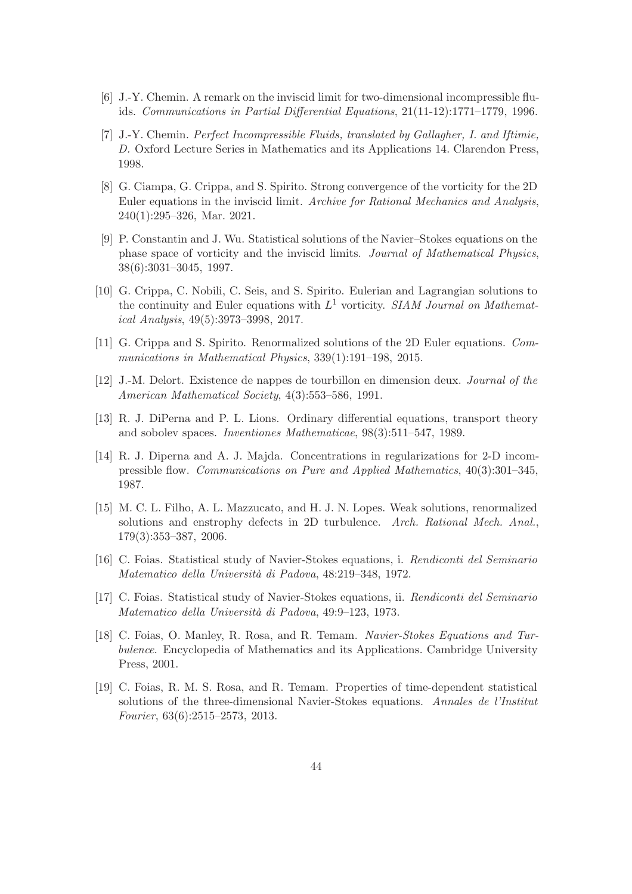- <span id="page-43-13"></span><span id="page-43-7"></span>[6] J.-Y. Chemin. A remark on the inviscid limit for two-dimensional incompressible fluids. Communications in Partial Differential Equations, 21(11-12):1771–1779, 1996.
- [7] J.-Y. Chemin. Perfect Incompressible Fluids, translated by Gallagher, I. and Iftimie, D. Oxford Lecture Series in Mathematics and its Applications 14. Clarendon Press, 1998.
- <span id="page-43-12"></span>[8] G. Ciampa, G. Crippa, and S. Spirito. Strong convergence of the vorticity for the 2D Euler equations in the inviscid limit. Archive for Rational Mechanics and Analysis, 240(1):295–326, Mar. 2021.
- <span id="page-43-6"></span>[9] P. Constantin and J. Wu. Statistical solutions of the Navier–Stokes equations on the phase space of vorticity and the inviscid limits. Journal of Mathematical Physics, 38(6):3031–3045, 1997.
- <span id="page-43-10"></span>[10] G. Crippa, C. Nobili, C. Seis, and S. Spirito. Eulerian and Lagrangian solutions to the continuity and Euler equations with  $L^1$  vorticity. SIAM Journal on Mathematical Analysis, 49(5):3973–3998, 2017.
- <span id="page-43-11"></span><span id="page-43-1"></span>[11] G. Crippa and S. Spirito. Renormalized solutions of the 2D Euler equations. Communications in Mathematical Physics, 339(1):191–198, 2015.
- <span id="page-43-8"></span>[12] J.-M. Delort. Existence de nappes de tourbillon en dimension deux. Journal of the American Mathematical Society, 4(3):553–586, 1991.
- [13] R. J. DiPerna and P. L. Lions. Ordinary differential equations, transport theory and sobolev spaces. Inventiones Mathematicae, 98(3):511–547, 1989.
- <span id="page-43-0"></span>[14] R. J. Diperna and A. J. Majda. Concentrations in regularizations for 2-D incompressible flow. Communications on Pure and Applied Mathematics, 40(3):301–345, 1987.
- <span id="page-43-9"></span>[15] M. C. L. Filho, A. L. Mazzucato, and H. J. N. Lopes. Weak solutions, renormalized solutions and enstrophy defects in 2D turbulence. Arch. Rational Mech. Anal., 179(3):353–387, 2006.
- <span id="page-43-3"></span><span id="page-43-2"></span>[16] C. Foias. Statistical study of Navier-Stokes equations, i. Rendiconti del Seminario Matematico della Università di Padova, 48:219–348, 1972.
- [17] C. Foias. Statistical study of Navier-Stokes equations, ii. Rendiconti del Seminario Matematico della Università di Padova, 49:9–123, 1973.
- <span id="page-43-5"></span>[18] C. Foias, O. Manley, R. Rosa, and R. Temam. Navier-Stokes Equations and Turbulence. Encyclopedia of Mathematics and its Applications. Cambridge University Press, 2001.
- <span id="page-43-4"></span>[19] C. Foias, R. M. S. Rosa, and R. Temam. Properties of time-dependent statistical solutions of the three-dimensional Navier-Stokes equations. Annales de l'Institut Fourier, 63(6):2515–2573, 2013.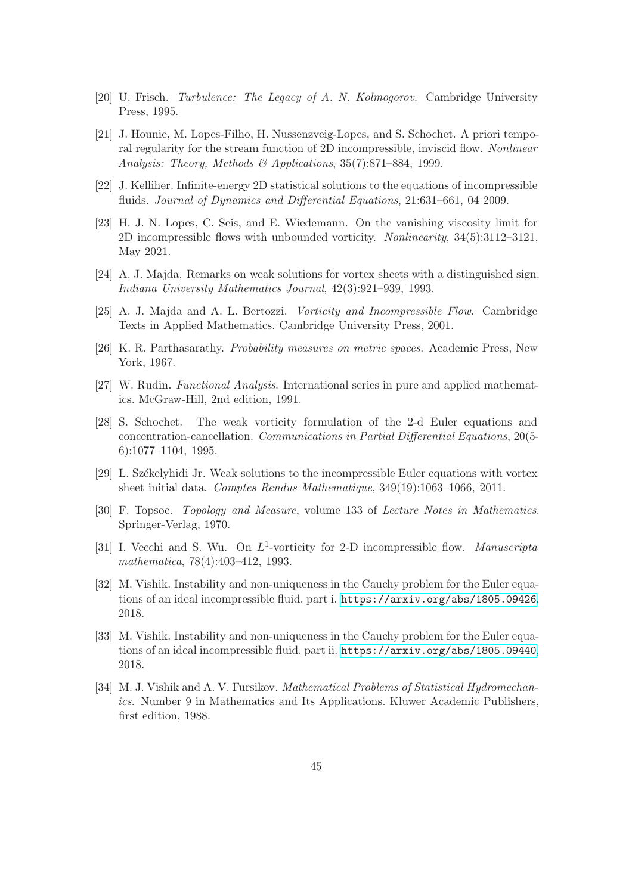- <span id="page-44-8"></span><span id="page-44-3"></span>[20] U. Frisch. Turbulence: The Legacy of A. N. Kolmogorov. Cambridge University Press, 1995.
- [21] J. Hounie, M. Lopes-Filho, H. Nussenzveig-Lopes, and S. Schochet. A priori temporal regularity for the stream function of 2D incompressible, inviscid flow. Nonlinear Analysis: Theory, Methods & Applications, 35(7):871–884, 1999.
- <span id="page-44-9"></span><span id="page-44-5"></span>[22] J. Kelliher. Infinite-energy 2D statistical solutions to the equations of incompressible fluids. Journal of Dynamics and Differential Equations, 21:631–661, 04 2009.
- [23] H. J. N. Lopes, C. Seis, and E. Wiedemann. On the vanishing viscosity limit for 2D incompressible flows with unbounded vorticity. Nonlinearity, 34(5):3112–3121, May 2021.
- <span id="page-44-11"></span>[24] A. J. Majda. Remarks on weak solutions for vortex sheets with a distinguished sign. Indiana University Mathematics Journal, 42(3):921–939, 1993.
- <span id="page-44-13"></span><span id="page-44-6"></span>[25] A. J. Majda and A. L. Bertozzi. Vorticity and Incompressible Flow. Cambridge Texts in Applied Mathematics. Cambridge University Press, 2001.
- <span id="page-44-14"></span>[26] K. R. Parthasarathy. Probability measures on metric spaces. Academic Press, New York, 1967.
- <span id="page-44-10"></span>[27] W. Rudin. Functional Analysis. International series in pure and applied mathematics. McGraw-Hill, 2nd edition, 1991.
- [28] S. Schochet. The weak vorticity formulation of the 2-d Euler equations and concentration-cancellation. Communications in Partial Differential Equations, 20(5- 6):1077–1104, 1995.
- <span id="page-44-7"></span>[29] L. Székelyhidi Jr. Weak solutions to the incompressible Euler equations with vortex sheet initial data. Comptes Rendus Mathematique, 349(19):1063–1066, 2011.
- <span id="page-44-12"></span>[30] F. Topsoe. Topology and Measure, volume 133 of Lecture Notes in Mathematics. Springer-Verlag, 1970.
- <span id="page-44-0"></span>[31] I. Vecchi and S. Wu. On  $L^1$ -vorticity for 2-D incompressible flow. Manuscripta mathematica, 78(4):403–412, 1993.
- <span id="page-44-1"></span>[32] M. Vishik. Instability and non-uniqueness in the Cauchy problem for the Euler equations of an ideal incompressible fluid. part i. <https://arxiv.org/abs/1805.09426>, 2018.
- <span id="page-44-2"></span>[33] M. Vishik. Instability and non-uniqueness in the Cauchy problem for the Euler equations of an ideal incompressible fluid. part ii. <https://arxiv.org/abs/1805.09440>, 2018.
- <span id="page-44-4"></span>[34] M. J. Vishik and A. V. Fursikov. *Mathematical Problems of Statistical Hydromechan*ics. Number 9 in Mathematics and Its Applications. Kluwer Academic Publishers, first edition, 1988.